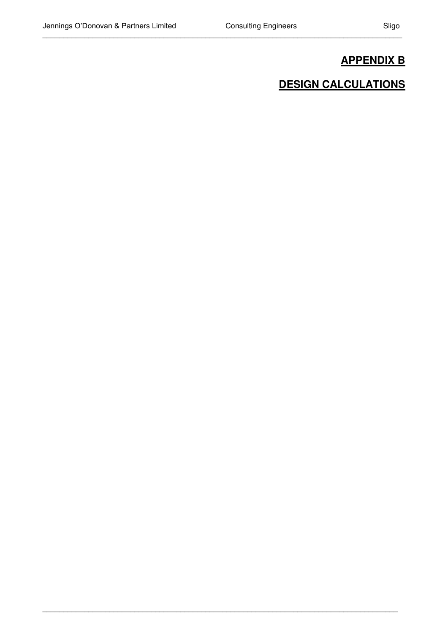\_\_\_\_\_\_\_\_\_\_\_\_\_\_\_\_\_\_\_\_\_\_\_\_\_\_\_\_\_\_\_\_\_\_\_\_\_\_\_\_\_\_\_\_\_\_\_\_\_\_\_\_\_\_\_\_\_\_\_\_\_\_\_\_\_\_\_\_\_\_\_\_\_\_\_\_\_\_\_\_\_\_\_\_\_\_

\_\_\_\_\_\_\_\_\_\_\_\_\_\_\_\_\_\_\_\_\_\_\_\_\_\_\_\_\_\_\_\_\_\_\_\_\_\_\_\_\_\_\_\_\_\_\_\_\_\_\_\_\_\_\_\_\_\_\_\_\_\_\_\_\_\_\_\_\_\_\_\_\_\_\_\_\_\_\_\_\_\_\_\_\_

# **APPENDIX B**

# **DESIGN CALCULATIONS**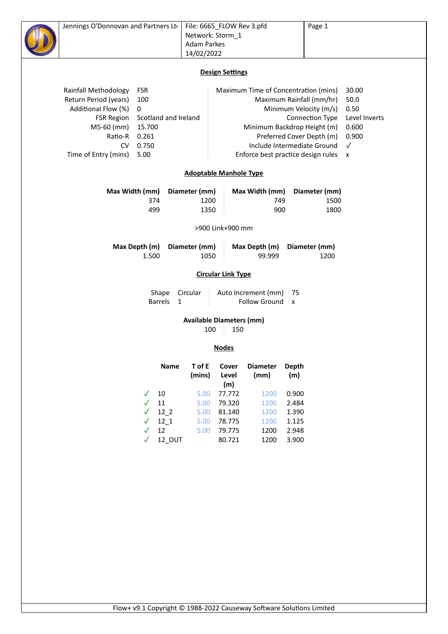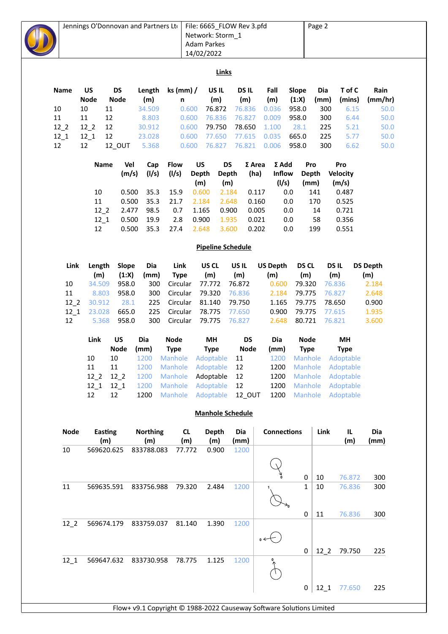|                                                                                                           |                                              | Jennings O'Donnovan and Partners Ltd                           |                                                                       |                          |                                                                        | File: 6665_FLOW Rev 3.pfd<br>Network: Storm_1<br><b>Adam Parkes</b><br>14/02/2022 |                                  |                                        |                                    |                                             |                                                                        | Page 2                    |                                                                                                 |                                  |  |
|-----------------------------------------------------------------------------------------------------------|----------------------------------------------|----------------------------------------------------------------|-----------------------------------------------------------------------|--------------------------|------------------------------------------------------------------------|-----------------------------------------------------------------------------------|----------------------------------|----------------------------------------|------------------------------------|---------------------------------------------|------------------------------------------------------------------------|---------------------------|-------------------------------------------------------------------------------------------------|----------------------------------|--|
|                                                                                                           |                                              |                                                                |                                                                       |                          |                                                                        |                                                                                   | Links                            |                                        |                                    |                                             |                                                                        |                           |                                                                                                 |                                  |  |
| Name<br>10<br>11                                                                                          | US<br><b>Node</b><br>10<br>11                | <b>DS</b><br><b>Node</b><br>11<br>12                           | Length<br>(m)<br>34.509<br>8.803                                      |                          | ks (mm) /<br>n<br>0.600<br>0.600                                       |                                                                                   | US IL<br>(m)<br>76.872<br>76.836 | <b>DSIL</b><br>(m)<br>76.836<br>76.827 |                                    | Fall<br>(m)<br>0.036<br>0.009               | Slope<br>(1:X)<br>958.0<br>958.0                                       | Dia<br>(mm)<br>300<br>300 | T of C<br>(mins)<br>6.15<br>6.44                                                                | Rain<br>(mm/hr)<br>50.0<br>50.0  |  |
| $12-2$<br>$12-1$<br>12                                                                                    | $12-2$<br>$12_{1}$<br>12                     | 12<br>12<br>12_OUT                                             | 30.912<br>23.028<br>5.368                                             |                          | 0.600<br>0.600<br>0.600                                                |                                                                                   | 79.750<br>77.650<br>76.827       | 78.650<br>77.615<br>76.821             |                                    | 1.100<br>0.035<br>0.006                     | 28.1<br>665.0<br>958.0                                                 | 225<br>225<br>300         | 5.21<br>5.77<br>6.62                                                                            | 50.0<br>50.0<br>50.0             |  |
|                                                                                                           | <b>Name</b>                                  | Vel                                                            | Cap<br>(m/s)<br>(1/s)                                                 |                          | <b>Flow</b><br>(1/s)                                                   | US<br><b>Depth</b><br>(m)                                                         | <b>DS</b><br><b>Depth</b><br>(m) |                                        | $\Sigma$ Area<br>(ha)              | $\Sigma$ Add<br>Inflow<br>(1/s)             | Pro                                                                    | <b>Depth</b><br>(mm)      | Pro<br><b>Velocity</b><br>(m/s)                                                                 |                                  |  |
|                                                                                                           | 10<br>$11\,$<br>$12-2$<br>$12-1$             | 2.477<br>0.500                                                 | 0.500<br>35.3<br>0.500<br>35.3<br>98.5<br>19.9                        |                          | 15.9<br>21.7<br>0.7<br>2.8                                             | 0.600<br>2.184<br>1.165<br>0.900                                                  | 2.184<br>2.648<br>0.900<br>1.935 |                                        | 0.117<br>0.160<br>0.005<br>0.021   | 0.0<br>0.0<br>0.0<br>0.0                    |                                                                        | 141<br>170<br>14<br>58    | 0.487<br>0.525<br>0.721<br>0.356                                                                |                                  |  |
| 0.500<br>35.3<br>2.648<br>3.600<br>12<br>27.4<br>0.202<br>0.0<br>199<br>0.551<br><b>Pipeline Schedule</b> |                                              |                                                                |                                                                       |                          |                                                                        |                                                                                   |                                  |                                        |                                    |                                             |                                                                        |                           |                                                                                                 |                                  |  |
| Link                                                                                                      | Length<br>(m)                                | Slope<br>(1:X)                                                 | Dia<br>(mm)                                                           |                          | Link<br><b>Type</b>                                                    | US CL<br>(m)                                                                      |                                  | US IL<br>(m)                           |                                    | <b>US Depth</b><br>(m)                      | <b>DS CL</b><br>(m)                                                    |                           | DS IL<br>(m)                                                                                    | <b>DS Depth</b><br>(m)           |  |
| 10<br>11<br>$12-2$<br>$12 - 1$                                                                            | 34.509<br>8.803<br>30.912<br>23.028          | 958.0<br>958.0<br>28.1<br>665.0                                |                                                                       | 300<br>300<br>225<br>225 | Circular<br>Circular<br>Circular<br>Circular                           | 77.772<br>79.320<br>81.140<br>78.775                                              |                                  | 76.872<br>76.836<br>79.750<br>77.650   |                                    | 0.600<br>2.184<br>1.165<br>0.900            | 79.320<br>79.775<br>79.775<br>79.775                                   |                           | 76.836<br>76.827<br>78.650<br>77.615                                                            | 2.184<br>2.648<br>0.900<br>1.935 |  |
| 12                                                                                                        | 5.368                                        | 958.0                                                          |                                                                       | 300                      | Circular                                                               | 79.775                                                                            |                                  | 76.827                                 |                                    | 2.648                                       | 80.721                                                                 |                           | 76.821                                                                                          | 3.600                            |  |
|                                                                                                           | Link<br>10<br>11<br>$12-2$<br>$12_{1}$<br>12 | <b>US</b><br><b>Node</b><br>10<br>11<br>$12-2$<br>$12-1$<br>12 | Dia<br>(mm)<br>1200 Manhole Adoptable<br>1200<br>1200<br>1200<br>1200 |                          | <b>Node</b><br><b>Type</b><br>Manhole<br>Manhole<br>Manhole<br>Manhole | MH<br><b>Type</b><br>Adoptable<br>Adoptable<br>Adoptable<br>Adoptable             |                                  | 11<br>12<br>12<br>12                   | <b>DS</b><br><b>Node</b><br>12 OUT | Dia<br>(mm)<br>1200<br>1200<br>1200<br>1200 | <b>Node</b><br><b>Type</b><br>Manhole<br>Manhole<br>Manhole<br>Manhole |                           | MH<br><b>Type</b><br>1200 Manhole Adoptable<br>Adoptable<br>Adoptable<br>Adoptable<br>Adoptable |                                  |  |
|                                                                                                           |                                              |                                                                |                                                                       |                          |                                                                        | <b>Manhole Schedule</b>                                                           |                                  |                                        |                                    |                                             |                                                                        |                           |                                                                                                 |                                  |  |
| <b>Node</b>                                                                                               |                                              | <b>Easting</b><br>(m)                                          | <b>Northing</b><br>(m)                                                |                          | <b>CL</b><br>(m)                                                       |                                                                                   | <b>Depth</b><br>(m)              | Dia<br>(mm)                            |                                    | <b>Connections</b>                          |                                                                        | Link                      | IL<br>(m)                                                                                       | Dia<br>(mm)                      |  |
| 10                                                                                                        |                                              | 569620.625                                                     | 833788.083                                                            |                          | 77.772                                                                 |                                                                                   | 0.900                            | 1200                                   |                                    |                                             | 0                                                                      | 10                        | 76.872                                                                                          | 300                              |  |
| 11                                                                                                        |                                              | 569635.591                                                     | 833756.988                                                            |                          | 79.320                                                                 |                                                                                   | 2.484                            | 1200                                   |                                    |                                             | $\mathbf 1$                                                            | 10                        | 76.836                                                                                          | 300                              |  |
| $12-2$                                                                                                    |                                              | 569674.179                                                     | 833759.037                                                            |                          | 81.140                                                                 |                                                                                   | 1.390                            | 1200                                   |                                    | $_{0}$ $\leftarrow$                         | 0                                                                      | 11                        | 76.836                                                                                          | 300                              |  |

12\_1 569647.632 833730.958 78.775 1.125 1200  $\overline{\mathcal{L}}$ 0 12\_2 79.750

Flow+ v9.1 Copyright © 1988-2022 Causeway Software Solutions Limited

0 12\_1 77.650

225

225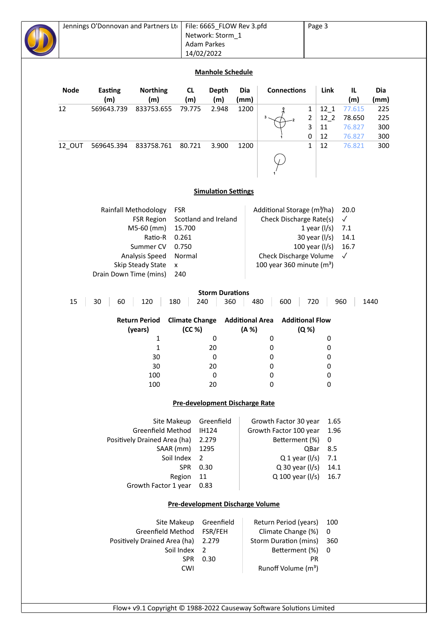## **Manhole Schedule**

| <b>Node</b> | Easting<br>(m) | <b>Northing</b><br>(m) | <b>CL</b><br>(m) | Depth<br>(m) | Dia<br>(mm) | <b>Connections</b> |   | Link | IL<br>(m) | Dia<br>(mm) |
|-------------|----------------|------------------------|------------------|--------------|-------------|--------------------|---|------|-----------|-------------|
| 12          | 569643.739     | 833753.655             | 79.775           | 2.948        | 1200        |                    | 1 | 12 1 | 77.615    | 225         |
|             |                |                        |                  |              |             |                    | 2 | 12 2 | 78.650    | 225         |
|             |                |                        |                  |              |             |                    | 3 | 11   | 76.827    | 300         |
|             |                |                        |                  |              |             |                    | 0 | 12   | 76.827    | 300         |
| 12 OUT      | 569645.394     | 833758.761             | 80.721           | 3.900        | 1200        |                    | 1 | 12   | 76.821    | 300         |
|             |                |                        |                  |              |             |                    |   |      |           |             |

### **Simulation Settings**

| Rainfall Methodology   | <b>FSR</b>                      | Additional Storage (m <sup>3</sup> /ha) 20.0 |           |
|------------------------|---------------------------------|----------------------------------------------|-----------|
|                        | FSR Region Scotland and Ireland | Check Discharge Rate(s)                      | $\sqrt{}$ |
| $M5-60$ (mm)           | 15.700                          | 1 year $\frac{1}{s}$                         | 7.1       |
| Ratio-R                | 0.261                           | 30 year $\frac{1}{s}$                        | 14.1      |
| Summer CV              | 0.750                           | 100 year $\frac{1}{s}$                       | 16.7      |
| Analysis Speed         | Normal                          | Check Discharge Volume √                     |           |
| Skip Steady State      | $\mathsf{x}$                    | 100 year 360 minute $(m^3)$                  |           |
| Drain Down Time (mins) | 240                             |                                              |           |

### **Storm Durations**

| <b>Storm Durations</b> |                                 |                                 |                          |                                 |             |  |  |  |  |  |  |
|------------------------|---------------------------------|---------------------------------|--------------------------|---------------------------------|-------------|--|--|--|--|--|--|
| 15<br>30               | 120<br>60                       | 180<br>240                      | 360<br>480               | 600<br>720                      | 960<br>1440 |  |  |  |  |  |  |
|                        | <b>Return Period</b><br>(years) | <b>Climate Change</b><br>(CC %) | Additional Area<br>(A %) | <b>Additional Flow</b><br>(Q %) |             |  |  |  |  |  |  |
|                        |                                 | 0                               | 0                        | 0                               |             |  |  |  |  |  |  |
|                        |                                 | 20                              | 0                        | 0                               |             |  |  |  |  |  |  |
|                        | 30                              | 0                               | 0                        | 0                               |             |  |  |  |  |  |  |
|                        | 30                              | 20                              | 0                        | 0                               |             |  |  |  |  |  |  |
|                        | 100                             | 0                               | 0                        | 0                               |             |  |  |  |  |  |  |
|                        | 100                             | 20                              |                          | 0                               |             |  |  |  |  |  |  |

### **Pre-development Discharge Rate**

| Site Makeup                  | Greenfield    | Growth Factor 30 year    | 1.65 |
|------------------------------|---------------|--------------------------|------|
| Greenfield Method            | <b>IH124</b>  | Growth Factor 100 year   | 1.96 |
| Positively Drained Area (ha) | 2.279         | Betterment (%)           | 0    |
| SAAR (mm)                    | 1295          | <b>QBar</b>              | 8.5  |
| Soil Index                   | $\mathcal{L}$ | $Q_1$ year (I/s)         | 7.1  |
| <b>SPR</b>                   | 0.30          | $Q$ 30 year ( $I/s$ )    | 14.1 |
| Region                       | 11            | Q 100 year $\frac{1}{s}$ | 16.7 |
| Growth Factor 1 year         | 0.83          |                          |      |

## **Pre-development Discharge Volume**

| Site Makeup Greenfield             |      | Return Period (years) 100       |     |
|------------------------------------|------|---------------------------------|-----|
| Greenfield Method FSR/FEH          |      | Climate Change (%) 0            |     |
| Positively Drained Area (ha) 2.279 |      | Storm Duration (mins)           | 360 |
| Soil Index 2                       |      | Betterment (%) 0                |     |
| <b>SPR</b>                         | 0.30 | PR                              |     |
| C.WI                               |      | Runoff Volume (m <sup>3</sup> ) |     |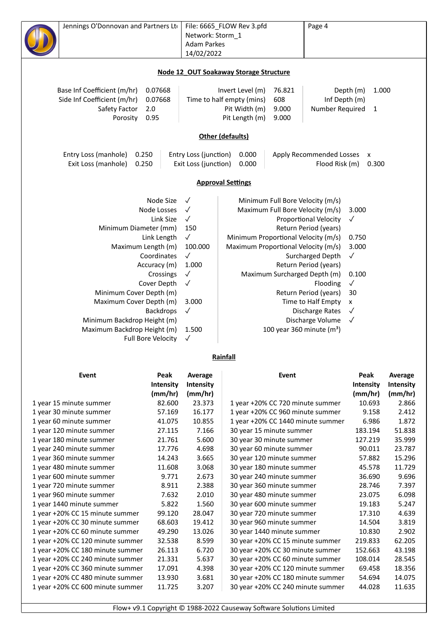| Jennings O'Donnovan and Partners Ltd |                           | Network: Storm_1<br><b>Adam Parkes</b> | File: 6665_FLOW Rev 3.pfd              | Page 4                       |                    |             |
|--------------------------------------|---------------------------|----------------------------------------|----------------------------------------|------------------------------|--------------------|-------------|
|                                      |                           | 14/02/2022                             |                                        |                              |                    |             |
|                                      |                           |                                        | Node 12 OUT Soakaway Storage Structure |                              |                    |             |
| Base Inf Coefficient (m/hr)          | 0.07668                   |                                        | Invert Level (m)<br>76.821             |                              | Depth (m)<br>1.000 |             |
| Side Inf Coefficient (m/hr)          | 0.07668                   |                                        | Time to half empty (mins)<br>608       | Inf Depth (m)                |                    |             |
| Safety Factor                        | 2.0                       |                                        | Pit Width (m)<br>9.000                 | Number Required              | $\mathbf{1}$       |             |
| Porosity                             | 0.95                      |                                        | Pit Length (m)<br>9.000                |                              |                    |             |
|                                      |                           |                                        | Other (defaults)                       |                              |                    |             |
| Entry Loss (manhole)                 | 0.250                     | Entry Loss (junction)                  | 0.000                                  | Apply Recommended Losses     | X                  |             |
| Exit Loss (manhole)                  | 0.250                     | Exit Loss (junction)                   | 0.000                                  | Flood Risk (m)               | 0.300              |             |
|                                      |                           |                                        | <b>Approval Settings</b>               |                              |                    |             |
|                                      | Node Size                 | $\checkmark$                           | Minimum Full Bore Velocity (m/s)       |                              |                    |             |
|                                      | Node Losses               | $\checkmark$                           | Maximum Full Bore Velocity (m/s)       |                              | 3.000              |             |
|                                      | Link Size                 | $\checkmark$                           |                                        | <b>Proportional Velocity</b> | $\checkmark$       |             |
|                                      | Minimum Diameter (mm)     | 150                                    | Return Period (years)                  |                              |                    |             |
|                                      | Link Length               | $\checkmark$                           | Minimum Proportional Velocity (m/s)    | 0.750                        |                    |             |
|                                      | Maximum Length (m)        | 100.000                                | Maximum Proportional Velocity (m/s)    |                              |                    |             |
|                                      | Coordinates               | $\checkmark$                           |                                        | Surcharged Depth             | $\checkmark$       |             |
|                                      | Accuracy (m)              | 1.000                                  |                                        | Return Period (years)        |                    |             |
|                                      | Crossings                 | $\checkmark$                           | Maximum Surcharged Depth (m)           |                              | 0.100              |             |
|                                      | Cover Depth               | $\checkmark$                           |                                        | Flooding                     | $\checkmark$       |             |
|                                      | Minimum Cover Depth (m)   |                                        |                                        | Return Period (years)        | 30                 |             |
|                                      | Maximum Cover Depth (m)   | 3.000                                  |                                        | Time to Half Empty           | x                  |             |
|                                      | <b>Backdrops</b>          | $\checkmark$                           |                                        | <b>Discharge Rates</b>       | $\checkmark$       |             |
| Minimum Backdrop Height (m)          |                           |                                        |                                        | Discharge Volume             | $\checkmark$       |             |
| Maximum Backdrop Height (m)          | <b>Full Bore Velocity</b> | 1.500<br>$\checkmark$                  | 100 year 360 minute $(m^3)$            |                              |                    |             |
|                                      |                           |                                        | Rainfall                               |                              |                    |             |
| Event                                | Peak                      | Average                                | Event                                  |                              | Peak               | Average     |
|                                      | Intensity                 | Intensity                              |                                        |                              | Intensity          | Intensity   |
|                                      | (mm/hr)                   | (mm/hr)                                |                                        |                              | (mm/hr)            | (mm/hr)     |
| 1 vear 15 minute summer              | 82.600                    | <b>23 373</b>                          | 1 year $+20\%$ CC 720 minute summer    |                              | 10.693             | <b>2866</b> |

|                                  | (mm/hr) | (mm/hr) |                                   | (mm/hr) | (mm/hr) |
|----------------------------------|---------|---------|-----------------------------------|---------|---------|
| 1 year 15 minute summer          | 82.600  | 23.373  | 1 year +20% CC 720 minute summer  | 10.693  | 2.866   |
| 1 year 30 minute summer          | 57.169  | 16.177  | 1 year +20% CC 960 minute summer  | 9.158   | 2.412   |
| 1 year 60 minute summer          | 41.075  | 10.855  | 1 year +20% CC 1440 minute summer | 6.986   | 1.872   |
| 1 year 120 minute summer         | 27.115  | 7.166   | 30 year 15 minute summer          | 183.194 | 51.838  |
| 1 year 180 minute summer         | 21.761  | 5.600   | 30 year 30 minute summer          | 127.219 | 35.999  |
| 1 year 240 minute summer         | 17.776  | 4.698   | 30 year 60 minute summer          | 90.011  | 23.787  |
| 1 year 360 minute summer         | 14.243  | 3.665   | 30 year 120 minute summer         | 57.882  | 15.296  |
| 1 year 480 minute summer         | 11.608  | 3.068   | 30 year 180 minute summer         | 45.578  | 11.729  |
| 1 year 600 minute summer         | 9.771   | 2.673   | 30 year 240 minute summer         | 36.690  | 9.696   |
| 1 year 720 minute summer         | 8.911   | 2.388   | 30 year 360 minute summer         | 28.746  | 7.397   |
| 1 year 960 minute summer         | 7.632   | 2.010   | 30 year 480 minute summer         | 23.075  | 6.098   |
| 1 year 1440 minute summer        | 5.822   | 1.560   | 30 year 600 minute summer         | 19.183  | 5.247   |
| 1 year +20% CC 15 minute summer  | 99.120  | 28.047  | 30 year 720 minute summer         | 17.310  | 4.639   |
| 1 year +20% CC 30 minute summer  | 68.603  | 19.412  | 30 year 960 minute summer         | 14.504  | 3.819   |
| 1 year +20% CC 60 minute summer  | 49.290  | 13.026  | 30 year 1440 minute summer        | 10.830  | 2.902   |
| 1 year +20% CC 120 minute summer | 32.538  | 8.599   | 30 year +20% CC 15 minute summer  | 219.833 | 62.205  |
| 1 year +20% CC 180 minute summer | 26.113  | 6.720   | 30 year +20% CC 30 minute summer  | 152.663 | 43.198  |
| 1 year +20% CC 240 minute summer | 21.331  | 5.637   | 30 year +20% CC 60 minute summer  | 108.014 | 28.545  |
| 1 year +20% CC 360 minute summer | 17.091  | 4.398   | 30 year +20% CC 120 minute summer | 69.458  | 18.356  |
| 1 year +20% CC 480 minute summer | 13.930  | 3.681   | 30 year +20% CC 180 minute summer | 54.694  | 14.075  |
| 1 year +20% CC 600 minute summer | 11.725  | 3.207   | 30 year +20% CC 240 minute summer | 44.028  | 11.635  |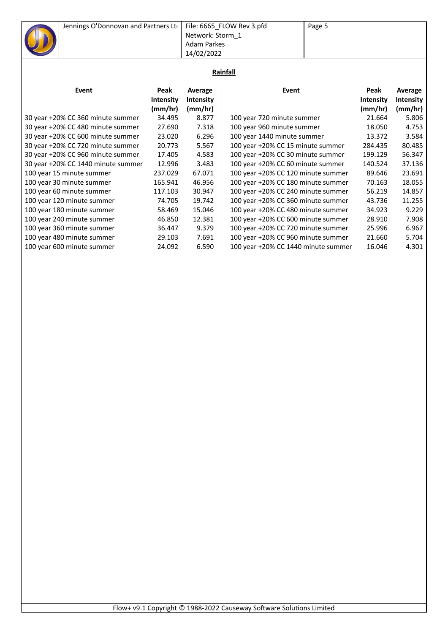|   | Jennings O'Donnovan and Partners Ltd File: 6665 FLOW Rev 3.pfd |                  | Page 5 |
|---|----------------------------------------------------------------|------------------|--------|
|   |                                                                | Network: Storm 1 |        |
| ш |                                                                | Adam Parkes      |        |
|   |                                                                | 14/02/2022       |        |

## **Rainfall**

| Event                              | Peak<br><b>Intensity</b><br>(mm/hr) | Average<br>Intensity<br>(mm/hr) | Event                               | Peak<br><b>Intensity</b><br>(mm/hr) | Average<br><b>Intensity</b><br>(mm/hr) |
|------------------------------------|-------------------------------------|---------------------------------|-------------------------------------|-------------------------------------|----------------------------------------|
| 30 year +20% CC 360 minute summer  | 34.495                              | 8.877                           | 100 year 720 minute summer          | 21.664                              | 5.806                                  |
| 30 year +20% CC 480 minute summer  | 27.690                              | 7.318                           | 100 year 960 minute summer          | 18.050                              | 4.753                                  |
| 30 year +20% CC 600 minute summer  | 23.020                              | 6.296                           | 100 year 1440 minute summer         | 13.372                              | 3.584                                  |
| 30 year +20% CC 720 minute summer  | 20.773                              | 5.567                           | 100 year +20% CC 15 minute summer   | 284.435                             | 80.485                                 |
| 30 year +20% CC 960 minute summer  | 17.405                              | 4.583                           | 100 year +20% CC 30 minute summer   | 199.129                             | 56.347                                 |
| 30 year +20% CC 1440 minute summer | 12.996                              | 3.483                           | 100 year +20% CC 60 minute summer   | 140.524                             | 37.136                                 |
| 100 year 15 minute summer          | 237.029                             | 67.071                          | 100 year +20% CC 120 minute summer  | 89.646                              | 23.691                                 |
| 100 year 30 minute summer          | 165.941                             | 46.956                          | 100 year +20% CC 180 minute summer  | 70.163                              | 18.055                                 |
| 100 year 60 minute summer          | 117.103                             | 30.947                          | 100 year +20% CC 240 minute summer  | 56.219                              | 14.857                                 |
| 100 year 120 minute summer         | 74.705                              | 19.742                          | 100 year +20% CC 360 minute summer  | 43.736                              | 11.255                                 |
| 100 year 180 minute summer         | 58.469                              | 15.046                          | 100 year +20% CC 480 minute summer  | 34.923                              | 9.229                                  |
| 100 year 240 minute summer         | 46.850                              | 12.381                          | 100 year +20% CC 600 minute summer  | 28.910                              | 7.908                                  |
| 100 year 360 minute summer         | 36.447                              | 9.379                           | 100 year +20% CC 720 minute summer  | 25.996                              | 6.967                                  |
| 100 year 480 minute summer         | 29.103                              | 7.691                           | 100 year +20% CC 960 minute summer  | 21.660                              | 5.704                                  |
| 100 year 600 minute summer         | 24.092                              | 6.590                           | 100 year +20% CC 1440 minute summer | 16.046                              | 4.301                                  |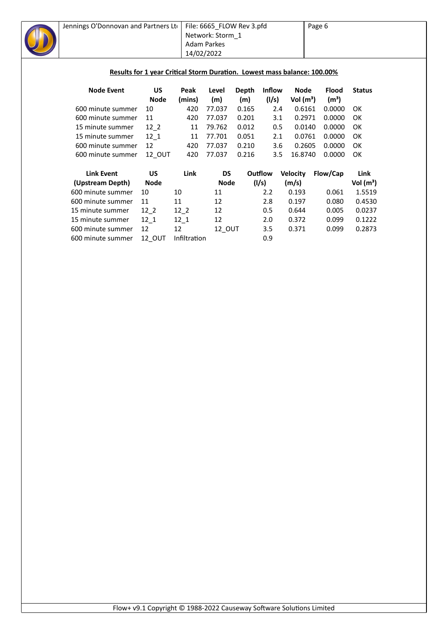

## **Results for 1 year Critical Storm Duration. Lowest mass balance: 100.00%**

| <b>Node Event</b> | US          | Peak   | Level  | Depth | <b>Inflow</b> | Node        | <b>Flood</b>      | <b>Status</b> |
|-------------------|-------------|--------|--------|-------|---------------|-------------|-------------------|---------------|
|                   | <b>Node</b> | (mins) | (m)    | (m)   | (1/s)         | Vol $(m^3)$ | (m <sup>3</sup> ) |               |
| 600 minute summer | 10          | 420    | 77.037 | 0.165 | 2.4           | 0.6161      | 0.0000            | OK            |
| 600 minute summer | 11          | 420    | 77.037 | 0.201 | 3.1           | 0.2971      | 0.0000            | OK            |
| 15 minute summer  | 12 2        | 11     | 79.762 | 0.012 | 0.5           | 0.0140      | 0.0000            | OK            |
| 15 minute summer  | 12 1        | 11     | 77.701 | 0.051 | 2.1           | 0.0761      | 0.0000            | OK            |
| 600 minute summer | 12          | 420    | 77.037 | 0.210 | 3.6           | 0.2605      | 0.0000            | OK.           |
| 600 minute summer | 12 OUT      | 420    | 77.037 | 0.216 | 3.5           | 16.8740     | 0.0000            | OK            |

| <b>Link Event</b> | บร          | Link         | DS            | Outflow | <b>Velocity</b> | Flow/Cap | Link        |
|-------------------|-------------|--------------|---------------|---------|-----------------|----------|-------------|
| (Upstream Depth)  | <b>Node</b> |              | <b>Node</b>   | (1/s)   | (m/s)           |          | Vol $(m^3)$ |
| 600 minute summer | 10          | 10           | 11            | 2.2     | 0.193           | 0.061    | 1.5519      |
| 600 minute summer | 11          | 11           | 12            | 2.8     | 0.197           | 0.080    | 0.4530      |
| 15 minute summer  | 12 2        | 12 2         | 12            | 0.5     | 0.644           | 0.005    | 0.0237      |
| 15 minute summer  | 12 1        | 12 1         | 12            | 2.0     | 0.372           | 0.099    | 0.1222      |
| 600 minute summer | 12          | 12           | <b>12 OUT</b> | 3.5     | 0.371           | 0.099    | 0.2873      |
| 600 minute summer | 12 OUT      | Infiltration |               | 0.9     |                 |          |             |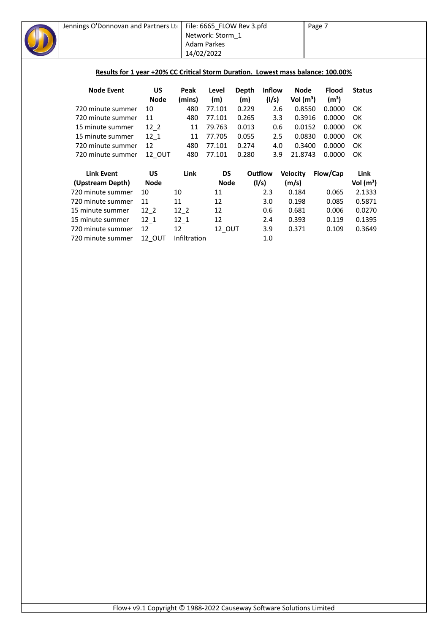

## Results for 1 year +20% CC Critical Storm Duration. Lowest mass balance: 100.00%

| <b>Node Event</b> | US          | Peak   | Level  | Depth | <b>Inflow</b> | Node        | <b>Flood</b>      | <b>Status</b> |
|-------------------|-------------|--------|--------|-------|---------------|-------------|-------------------|---------------|
|                   | <b>Node</b> | (mins) | (m)    | (m)   | (1/s)         | Vol $(m^3)$ | (m <sup>3</sup> ) |               |
| 720 minute summer | 10          | 480    | 77.101 | 0.229 | 2.6           | 0.8550      | 0.0000            | OK.           |
| 720 minute summer | 11          | 480    | 77.101 | 0.265 | 3.3           | 0.3916      | 0.0000            | OK.           |
| 15 minute summer  | 12 2        | 11     | 79.763 | 0.013 | 0.6           | 0.0152      | 0.0000            | OK            |
| 15 minute summer  | 12 1        | 11     | 77.705 | 0.055 | 2.5           | 0.0830      | 0.0000            | OK            |
| 720 minute summer | 12          | 480    | 77.101 | 0.274 | 4.0           | 0.3400      | 0.0000            | OK            |
| 720 minute summer | 12 OUT      | 480    | 77.101 | 0.280 | 3.9           | 21.8743     | 0.0000            | OK            |

| <b>Link Event</b> | บร          | Link         | DS            | Outflow | <b>Velocity</b> | Flow/Cap | Link        |
|-------------------|-------------|--------------|---------------|---------|-----------------|----------|-------------|
| (Upstream Depth)  | <b>Node</b> |              | <b>Node</b>   | (1/s)   | (m/s)           |          | Vol $(m^3)$ |
| 720 minute summer | 10          | 10           | 11            | 2.3     | 0.184           | 0.065    | 2.1333      |
| 720 minute summer | 11          | 11           | 12            | 3.0     | 0.198           | 0.085    | 0.5871      |
| 15 minute summer  | 12 2        | 12 2         | 12            | 0.6     | 0.681           | 0.006    | 0.0270      |
| 15 minute summer  | 12 1        | 12 1         | 12            | 2.4     | 0.393           | 0.119    | 0.1395      |
| 720 minute summer | 12          | 12           | <b>12 OUT</b> | 3.9     | 0.371           | 0.109    | 0.3649      |
| 720 minute summer | 12 OUT      | Infiltration |               | 1.0     |                 |          |             |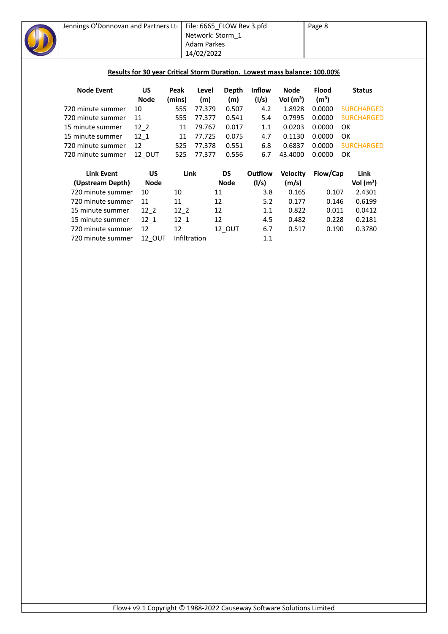

| Link Event        | US          | Link         | DS            | Outflow | <b>Velocity</b> | Flow/Cap | Link        |
|-------------------|-------------|--------------|---------------|---------|-----------------|----------|-------------|
| (Upstream Depth)  | <b>Node</b> |              | <b>Node</b>   | (1/s)   | (m/s)           |          | Vol $(m^3)$ |
| 720 minute summer | 10          | 10           | 11            | 3.8     | 0.165           | 0.107    | 2.4301      |
| 720 minute summer | 11          | 11           | 12            | 5.2     | 0.177           | 0.146    | 0.6199      |
| 15 minute summer  | 12 2        | 12 2         | 12            | 1.1     | 0.822           | 0.011    | 0.0412      |
| 15 minute summer  | 12 1        | 12 1         | 12            | 4.5     | 0.482           | 0.228    | 0.2181      |
| 720 minute summer | 12          | 12           | <b>12 OUT</b> | 6.7     | 0.517           | 0.190    | 0.3780      |
| 720 minute summer | 12 OUT      | Infiltration |               | 1.1     |                 |          |             |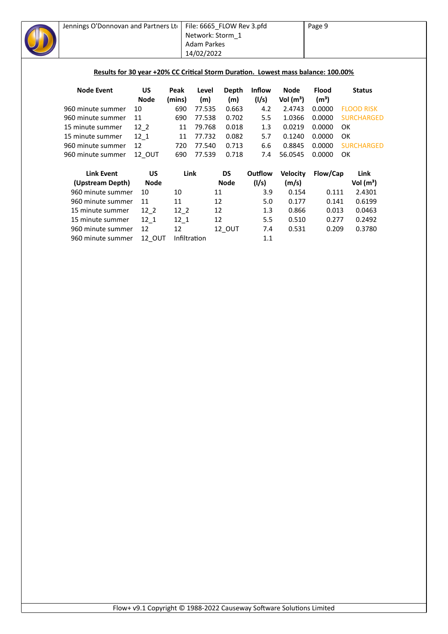|                   |                   |                                                                                               |                                                        |                                         |                                                                                                                       |                                                       | Page 9                         |                   |                                                                                                                                                             |
|-------------------|-------------------|-----------------------------------------------------------------------------------------------|--------------------------------------------------------|-----------------------------------------|-----------------------------------------------------------------------------------------------------------------------|-------------------------------------------------------|--------------------------------|-------------------|-------------------------------------------------------------------------------------------------------------------------------------------------------------|
|                   |                   |                                                                                               |                                                        |                                         |                                                                                                                       |                                                       |                                |                   |                                                                                                                                                             |
|                   |                   |                                                                                               |                                                        |                                         |                                                                                                                       |                                                       |                                |                   |                                                                                                                                                             |
|                   |                   |                                                                                               |                                                        |                                         |                                                                                                                       |                                                       |                                |                   |                                                                                                                                                             |
|                   | <b>Node</b>       | (mins)                                                                                        | (m)                                                    | (m)                                     | (1/s)                                                                                                                 | Vol $(m^3)$                                           | (m <sup>3</sup> )              |                   |                                                                                                                                                             |
| 960 minute summer | 10                | 690                                                                                           | 77.535                                                 | 0.663                                   | 4.2                                                                                                                   | 2.4743                                                | 0.0000                         | <b>FLOOD RISK</b> |                                                                                                                                                             |
| 960 minute summer | 11                | 690                                                                                           | 77.538                                                 | 0.702                                   | 5.5                                                                                                                   | 1.0366                                                | 0.0000                         | <b>SURCHARGED</b> |                                                                                                                                                             |
| 15 minute summer  | $12-2$            | 11                                                                                            | 79.768                                                 | 0.018                                   | 1.3                                                                                                                   | 0.0219                                                | 0.0000                         | <b>OK</b>         |                                                                                                                                                             |
| 15 minute summer  | $12 - 1$          | 11                                                                                            | 77.732                                                 | 0.082                                   | 5.7                                                                                                                   | 0.1240                                                | 0.0000                         | OK                |                                                                                                                                                             |
| 960 minute summer | 12                | 720                                                                                           | 77.540                                                 | 0.713                                   | 6.6                                                                                                                   | 0.8845                                                | 0.0000                         | <b>SURCHARGED</b> |                                                                                                                                                             |
| 960 minute summer | 12 OUT            | 690                                                                                           | 77.539                                                 | 0.718                                   | 7.4                                                                                                                   | 56.0545                                               | 0.0000                         | OK                |                                                                                                                                                             |
|                   |                   |                                                                                               |                                                        |                                         |                                                                                                                       |                                                       |                                |                   |                                                                                                                                                             |
| <b>Link Event</b> | US                |                                                                                               |                                                        | <b>DS</b>                               |                                                                                                                       |                                                       |                                | Link              |                                                                                                                                                             |
| (Upstream Depth)  | <b>Node</b>       |                                                                                               |                                                        |                                         | (1/s)                                                                                                                 | (m/s)                                                 |                                | Vol $(m^3)$       |                                                                                                                                                             |
|                   | 10                | 10                                                                                            |                                                        |                                         | 3.9                                                                                                                   | 0.154                                                 |                                | 2.4301            |                                                                                                                                                             |
|                   | 11                | 11                                                                                            |                                                        |                                         | 5.0                                                                                                                   | 0.177                                                 |                                | 0.6199            |                                                                                                                                                             |
| 15 minute summer  | $12-2$            |                                                                                               |                                                        |                                         | 1.3                                                                                                                   | 0.866                                                 |                                | 0.0463            |                                                                                                                                                             |
| 15 minute summer  | $12_1$            | $12-1$                                                                                        |                                                        |                                         | 5.5                                                                                                                   | 0.510                                                 |                                | 0.2492            |                                                                                                                                                             |
|                   | 12                | 12                                                                                            |                                                        |                                         | 7.4                                                                                                                   | 0.531                                                 |                                | 0.3780            |                                                                                                                                                             |
|                   |                   |                                                                                               |                                                        |                                         | 1.1                                                                                                                   |                                                       |                                |                   |                                                                                                                                                             |
|                   | <b>Node Event</b> | <b>US</b><br>960 minute summer<br>960 minute summer<br>960 minute summer<br>960 minute summer | Jennings O'Donnovan and Partners Lto<br>Peak<br>12_OUT | Level<br>Link<br>$12-2$<br>Infiltration | Network: Storm_1<br><b>Adam Parkes</b><br>14/02/2022<br><b>Depth</b><br><b>Node</b><br>11<br>12<br>12<br>12<br>12_OUT | File: 6665_FLOW Rev 3.pfd<br><b>Inflow</b><br>Outflow | <b>Node</b><br><b>Velocity</b> | <b>Flood</b>      | Results for 30 year +20% CC Critical Storm Duration. Lowest mass balance: 100.00%<br><b>Status</b><br>Flow/Cap<br>0.111<br>0.141<br>0.013<br>0.277<br>0.209 |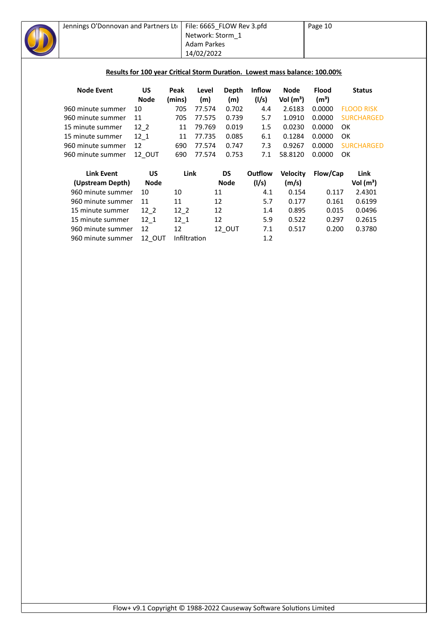| Jennings O'Donnovan and Partners Lto |            |               | File: 6665_FLOW Rev 3.pfd<br>Network: Storm 1<br>Adam Parkes<br>14/02/2022 |              |               |                       | Page 10<br>Results for 100 year Critical Storm Duration. Lowest mass balance: 100.00% |                   |  |  |
|--------------------------------------|------------|---------------|----------------------------------------------------------------------------|--------------|---------------|-----------------------|---------------------------------------------------------------------------------------|-------------------|--|--|
| <b>Node Event</b>                    | US         | Peak          | Level                                                                      | Depth        | <b>Inflow</b> | Node                  | <b>Flood</b>                                                                          | <b>Status</b>     |  |  |
| 960 minute summer                    | Node<br>10 | (mins)<br>705 | (m)<br>77.574                                                              | (m)<br>0.702 | (I/s)<br>4.4  | Vol $(m^3)$<br>2.6183 | (m <sup>3</sup> )<br>0.0000                                                           | <b>FLOOD RISK</b> |  |  |
| 960 minute summer                    | 11         | 705           | 77.575                                                                     | 0.739        | 5.7           | 1.0910                | 0.0000                                                                                | <b>SURCHARGED</b> |  |  |
|                                      |            |               |                                                                            |              |               |                       |                                                                                       |                   |  |  |
| 15 minute summer                     | $12-2$     | 11            | 79.769                                                                     | 0.019        | 1.5           | 0.0230                | 0.0000                                                                                | <b>OK</b>         |  |  |
| 15 minute summer                     | $12 - 1$   | 11            | 77.735                                                                     | 0.085        | 6.1           | 0.1284                | 0.0000                                                                                | <b>OK</b>         |  |  |
| 960 minute summer                    | 12         | 690           | 77.574                                                                     | 0.747        | 7.3           | 0.9267                | 0.0000                                                                                | <b>SURCHARGED</b> |  |  |
| 960 minute summer                    | 12 OUT     | 690           | 77.574                                                                     | 0.753        | 7.1           | 58.8120               | 0.0000                                                                                | OK                |  |  |
| <b>Link Event</b>                    | <b>US</b>  |               | Link                                                                       | <b>DS</b>    | Outflow       | <b>Velocity</b>       | Flow/Cap                                                                              | Link              |  |  |
| (Upstream Depth)                     | Node       |               |                                                                            | <b>Node</b>  | (1/s)         | (m/s)                 |                                                                                       | Vol $(m^3)$       |  |  |
| 960 minute summer                    | 10         | 10            | 11                                                                         |              | 4.1           | 0.154                 | 0.117                                                                                 | 2.4301            |  |  |
| 960 minute summer                    | 11         | 11            | 12                                                                         |              | 5.7           | 0.177                 | 0.161                                                                                 | 0.6199            |  |  |
| 15 minute summer                     | $12-2$     | $12-2$        | 12                                                                         |              | 1.4           | 0.895                 | 0.015                                                                                 | 0.0496            |  |  |
| 15 minute summer                     | $12_{1}$   | $12 - 1$      | 12                                                                         |              | 5.9           | 0.522                 | 0.297                                                                                 | 0.2615            |  |  |

960 minute summer 12 12 12\_OUT 7.1 0.517 0.200 0.3780

960 minute summer 12\_OUT Infiltration <sup>-</sup> 1.2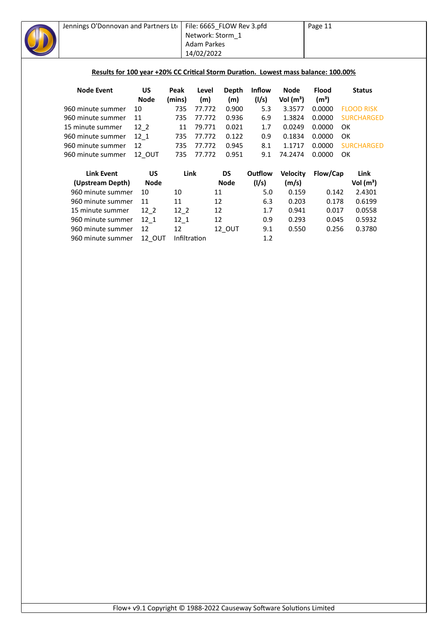

960 minute summer 12\_OUT Infiltration 1.2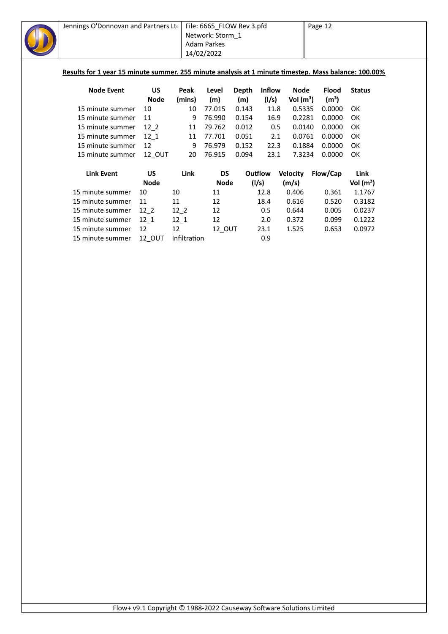| Jennings O'Donnovan and Partners Lto                                                                 |             |          | File: 6665_FLOW Rev 3.pfd |       |               |                 | Page 12           |               |
|------------------------------------------------------------------------------------------------------|-------------|----------|---------------------------|-------|---------------|-----------------|-------------------|---------------|
|                                                                                                      |             |          | Network: Storm_1          |       |               |                 |                   |               |
|                                                                                                      |             |          | <b>Adam Parkes</b>        |       |               |                 |                   |               |
|                                                                                                      |             |          | 14/02/2022                |       |               |                 |                   |               |
|                                                                                                      |             |          |                           |       |               |                 |                   |               |
| Results for 1 year 15 minute summer. 255 minute analysis at 1 minute timestep. Mass balance: 100.00% |             |          |                           |       |               |                 |                   |               |
|                                                                                                      |             |          |                           |       |               |                 |                   |               |
| <b>Node Event</b>                                                                                    | <b>US</b>   | Peak     | Level                     | Depth | <b>Inflow</b> | Node            | <b>Flood</b>      | <b>Status</b> |
|                                                                                                      | <b>Node</b> | (mins)   | (m)                       | (m)   | (1/s)         | Vol $(m^3)$     | (m <sup>3</sup> ) |               |
| 15 minute summer                                                                                     | 10          | 10       | 77.015                    | 0.143 | 11.8          | 0.5335          | 0.0000            | OK            |
| 15 minute summer                                                                                     | 11          | 9        | 76.990                    | 0.154 | 16.9          | 0.2281          | 0.0000            | OK            |
| 15 minute summer                                                                                     | $12-2$      | 11       | 79.762                    | 0.012 | 0.5           | 0.0140          | 0.0000            | OK            |
| 15 minute summer                                                                                     | $12 - 1$    | 11       | 77.701                    | 0.051 | 2.1           | 0.0761          | 0.0000            | OK            |
| 15 minute summer                                                                                     | 12          | 9        | 76.979                    | 0.152 | 22.3          | 0.1884          | 0.0000            | OK            |
| 15 minute summer                                                                                     | 12_OUT      | 20       | 76.915                    | 0.094 | 23.1          | 7.3234          | 0.0000            | OK            |
|                                                                                                      |             |          |                           |       |               |                 |                   |               |
| <b>Link Event</b>                                                                                    | <b>US</b>   | Link     | DS                        |       | Outflow       | <b>Velocity</b> | Flow/Cap          | Link          |
|                                                                                                      | <b>Node</b> |          | <b>Node</b>               |       | (l/s)         | (m/s)           |                   | Vol $(m^3)$   |
| 15 minute summer                                                                                     | 10          | 10       | 11                        |       | 12.8          | 0.406           | 0.361             | 1.1767        |
| 15 minute summer                                                                                     | 11          | 11       | 12                        |       | 18.4          | 0.616           | 0.520             | 0.3182        |
| 15 minute summer                                                                                     | $12-2$      | $12-2$   | 12                        |       | 0.5           | 0.644           | 0.005             | 0.0237        |
| 15 minute summer                                                                                     | 12 1        | $12_{1}$ | 12                        |       | 2.0           | 0.372           | 0.099             | 0.1222        |

15 minute summer 12 12 12 0UT 23.1 1.525 0.653 0.0972<br>15 minute summer 12 OUT Infiltration 0.9

15 minute summer 12\_OUT Infiltration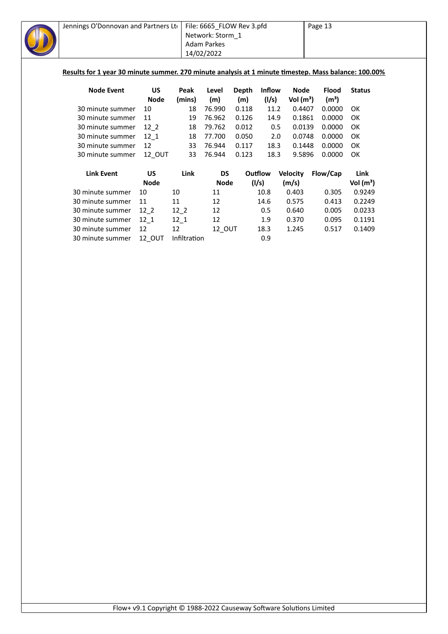| Jennings O'Donnovan and Partners Lto<br>Results for 1 year 30 minute summer. 270 minute analysis at 1 minute timestep. Mass balance: 100.00% |                   | File: 6665_FLOW Rev 3.pfd<br>Network: Storm 1<br>Adam Parkes<br>14/02/2022 |               | Page 13 |               |                       |                             |               |
|----------------------------------------------------------------------------------------------------------------------------------------------|-------------------|----------------------------------------------------------------------------|---------------|---------|---------------|-----------------------|-----------------------------|---------------|
| <b>Node Event</b>                                                                                                                            | <b>US</b>         | Peak                                                                       | Level         | Depth   | <b>Inflow</b> | Node                  | <b>Flood</b>                | <b>Status</b> |
| 30 minute summer                                                                                                                             | <b>Node</b><br>10 | (mins)<br>18                                                               | (m)<br>76.990 | (m)     | (1/s)         | Vol $(m^3)$<br>0.4407 | (m <sup>3</sup> )<br>0.0000 | OK.           |
|                                                                                                                                              |                   |                                                                            |               | 0.118   | 11.2          |                       |                             |               |
| 30 minute summer                                                                                                                             | 11                | 19                                                                         | 76.962        | 0.126   | 14.9          | 0.1861                | 0.0000                      | <b>OK</b>     |
| 30 minute summer                                                                                                                             | $12-2$            | 18                                                                         | 79.762        | 0.012   | 0.5           | 0.0139                | 0.0000                      | OK            |
| 30 minute summer                                                                                                                             | 12 1              | 18                                                                         | 77.700        | 0.050   | 2.0           | 0.0748                | 0.0000                      | OK            |
| 30 minute summer                                                                                                                             | 12                | 33                                                                         | 76.944        | 0.117   | 18.3          | 0.1448                | 0.0000                      | OK            |
| 30 minute summer                                                                                                                             | 12 OUT            | 33                                                                         | 76.944        | 0.123   | 18.3          | 9.5896                | 0.0000                      | OK            |
| <b>Link Event</b>                                                                                                                            | <b>US</b>         | <b>Link</b>                                                                | DS            |         | Outflow       | <b>Velocity</b>       | Flow/Cap                    | Link          |
|                                                                                                                                              | <b>Node</b>       |                                                                            | <b>Node</b>   |         | (1/s)         | (m/s)                 |                             | Vol $(m^3)$   |
| 30 minute summer                                                                                                                             | 10                | 10                                                                         | 11            |         | 10.8          | 0.403                 | 0.305                       | 0.9249        |
| 30 minute summer                                                                                                                             | 11                | 11                                                                         | 12            |         | 14.6          | 0.575                 | 0.413                       | 0.2249        |
| 30 minute summer                                                                                                                             | $12-2$            | $12-2$                                                                     | 12            |         | 0.5           | 0.640                 | 0.005                       | 0.0233        |
|                                                                                                                                              | $12 - 1$          |                                                                            |               |         |               |                       |                             |               |

30 minute summer 12 12 12\_OUT 18.3 1.245 0.517 0.1409

30 minute summer 12\_OUT Infiltration 6.9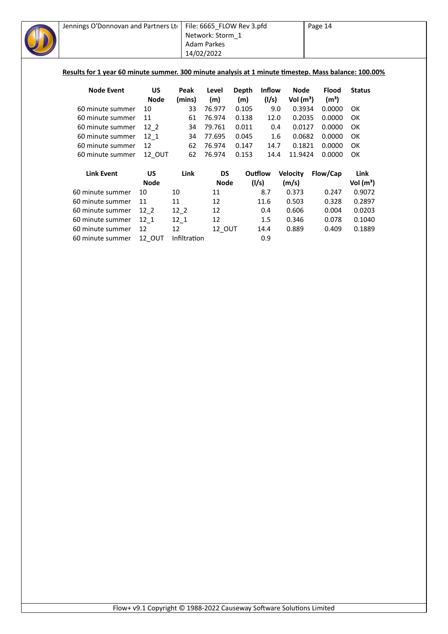| Jennings O'Donnovan and Partners Lto                                                                 |             |          | File: 6665_FLOW Rev 3.pfd |       |               | Page 14         |                   |               |  |
|------------------------------------------------------------------------------------------------------|-------------|----------|---------------------------|-------|---------------|-----------------|-------------------|---------------|--|
|                                                                                                      |             |          | Network: Storm 1          |       |               |                 |                   |               |  |
|                                                                                                      |             |          | Adam Parkes               |       |               |                 |                   |               |  |
|                                                                                                      |             |          | 14/02/2022                |       |               |                 |                   |               |  |
|                                                                                                      |             |          |                           |       |               |                 |                   |               |  |
| Results for 1 year 60 minute summer. 300 minute analysis at 1 minute timestep. Mass balance: 100.00% |             |          |                           |       |               |                 |                   |               |  |
|                                                                                                      |             |          |                           |       |               |                 |                   |               |  |
| <b>Node Event</b>                                                                                    | <b>US</b>   | Peak     | Level                     | Depth | <b>Inflow</b> | Node            | <b>Flood</b>      | <b>Status</b> |  |
|                                                                                                      | Node        | (mins)   | (m)                       | (m)   | (1/s)         | Vol $(m^3)$     | (m <sup>3</sup> ) |               |  |
| 60 minute summer                                                                                     | 10          | 33       | 76.977                    | 0.105 | 9.0           | 0.3934          | 0.0000            | 0K            |  |
| 60 minute summer                                                                                     | 11          | 61       | 76.974                    | 0.138 | 12.0          | 0.2035          | 0.0000            | OK            |  |
| 60 minute summer                                                                                     | $12-2$      | 34       | 79.761                    | 0.011 | 0.4           | 0.0127          | 0.0000            | OK            |  |
| 60 minute summer                                                                                     | $12 - 1$    | 34       | 77.695                    | 0.045 | $1.6\,$       | 0.0682          | 0.0000            | OK            |  |
| 60 minute summer                                                                                     | 12          | 62       | 76.974                    | 0.147 | 14.7          | 0.1821          | 0.0000            | OK            |  |
| 60 minute summer                                                                                     | 12 OUT      | 62       | 76.974                    | 0.153 | 14.4          | 11.9424         | 0.0000            | OK            |  |
| <b>Link Event</b>                                                                                    | US          | Link     | DS                        |       | Outflow       | <b>Velocity</b> | Flow/Cap          | Link          |  |
|                                                                                                      | <b>Node</b> |          | <b>Node</b>               |       | (l/s)         | (m/s)           |                   | Vol $(m^3)$   |  |
| 60 minute summer                                                                                     | 10          | 10       | 11                        |       | 8.7           | 0.373           | 0.247             | 0.9072        |  |
| 60 minute summer                                                                                     | 11          | 11       | 12                        |       | 11.6          | 0.503           | 0.328             | 0.2897        |  |
| 60 minute summer                                                                                     | $12-2$      | $12-2$   | 12                        |       | 0.4           | 0.606           | 0.004             | 0.0203        |  |
| 60 minute summer                                                                                     | 12 1        | $12_{1}$ | 12                        |       | 1.5           | 0.346           | 0.078             | 0.1040        |  |

60 minute summer 12 12 12\_OUT 14.4 0.889 0.409 0.1889

60 minute summer 12\_OUT Infiltration <sup>-</sup> 0.9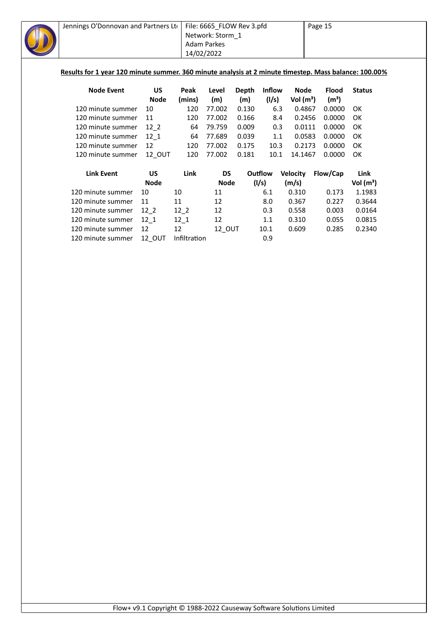|                   |             |              |                                                |                           |                                           |                                               | Page 15                                                     |                                                                                                                                                                                                  |  |
|-------------------|-------------|--------------|------------------------------------------------|---------------------------|-------------------------------------------|-----------------------------------------------|-------------------------------------------------------------|--------------------------------------------------------------------------------------------------------------------------------------------------------------------------------------------------|--|
|                   |             |              |                                                |                           |                                           |                                               |                                                             |                                                                                                                                                                                                  |  |
|                   |             |              |                                                |                           |                                           |                                               |                                                             |                                                                                                                                                                                                  |  |
|                   |             |              |                                                |                           |                                           |                                               |                                                             |                                                                                                                                                                                                  |  |
|                   |             |              |                                                |                           |                                           |                                               |                                                             |                                                                                                                                                                                                  |  |
|                   |             |              |                                                |                           |                                           |                                               |                                                             |                                                                                                                                                                                                  |  |
|                   |             |              |                                                |                           |                                           |                                               |                                                             |                                                                                                                                                                                                  |  |
| <b>Node Event</b> | <b>US</b>   | Peak         | Level                                          | <b>Depth</b>              |                                           |                                               | <b>Flood</b>                                                | <b>Status</b>                                                                                                                                                                                    |  |
|                   | <b>Node</b> | (mins)       | (m)                                            | (m)                       |                                           |                                               | (m <sup>3</sup> )                                           |                                                                                                                                                                                                  |  |
| 120 minute summer | 10          | 120          | 77.002                                         | 0.130                     |                                           |                                               | 0.0000                                                      | OK                                                                                                                                                                                               |  |
| 120 minute summer | 11          | 120          | 77.002                                         | 0.166                     |                                           |                                               | 0.0000                                                      | OK                                                                                                                                                                                               |  |
| 120 minute summer | $12-2$      | 64           | 79.759                                         | 0.009                     |                                           |                                               | 0.0000                                                      | OK                                                                                                                                                                                               |  |
| 120 minute summer | $12_{1}$    | 64           | 77.689                                         | 0.039                     |                                           |                                               | 0.0000                                                      | OK                                                                                                                                                                                               |  |
| 120 minute summer | 12          | 120          | 77.002                                         | 0.175                     |                                           |                                               | 0.0000                                                      | OK                                                                                                                                                                                               |  |
| 120 minute summer | 12_OUT      | 120          | 77.002                                         | 0.181                     |                                           |                                               | 0.0000                                                      | OK                                                                                                                                                                                               |  |
| <b>Link Event</b> | <b>US</b>   | Link         | <b>DS</b>                                      |                           |                                           | <b>Velocity</b>                               | Flow/Cap                                                    | Link                                                                                                                                                                                             |  |
|                   | <b>Node</b> |              |                                                |                           |                                           | (m/s)                                         |                                                             | Vol $(m^3)$                                                                                                                                                                                      |  |
| 120 minute summer | 10          | 10           | 11                                             |                           | 6.1                                       | 0.310                                         | 0.173                                                       | 1.1983                                                                                                                                                                                           |  |
| 120 minute summer | 11          | 11           | 12                                             |                           | 8.0                                       | 0.367                                         | 0.227                                                       | 0.3644                                                                                                                                                                                           |  |
| 120 minute summer | $12-2$      | $12-2$       | 12                                             |                           | 0.3                                       | 0.558                                         | 0.003                                                       | 0.0164                                                                                                                                                                                           |  |
| 120 minute summer | $12_{1}$    |              | 12                                             |                           | 1.1                                       | 0.310                                         | 0.055                                                       | 0.0815                                                                                                                                                                                           |  |
| 120 minute summer | 12          | 12           |                                                |                           | 10.1                                      | 0.609                                         | 0.285                                                       | 0.2340                                                                                                                                                                                           |  |
| 120 minute summer | 12 OUT      | Infiltration |                                                |                           | 0.9                                       |                                               |                                                             |                                                                                                                                                                                                  |  |
|                   |             |              | Jennings O'Donnovan and Partners Lto<br>$12_1$ | Adam Parkes<br>14/02/2022 | Network: Storm 1<br><b>Node</b><br>12_OUT | File: 6665_FLOW Rev 3.pfd<br>Outflow<br>(1/s) | Inflow<br>(1/s)<br>6.3<br>8.4<br>0.3<br>1.1<br>10.3<br>10.1 | Results for 1 year 120 minute summer. 360 minute analysis at 2 minute timestep. Mass balance: 100.00%<br><b>Node</b><br>Vol $(m^3)$<br>0.4867<br>0.2456<br>0.0111<br>0.0583<br>0.2173<br>14.1467 |  |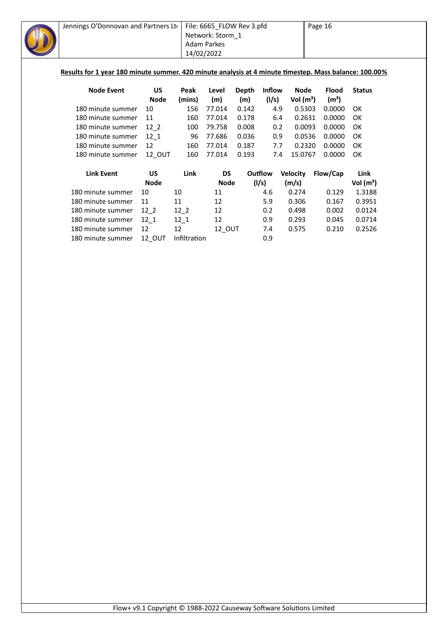| Jennings O'Donnovan and Partners Lto | 14/02/2022  | File: 6665_FLOW Rev 3.pfd<br>Network: Storm 1<br><b>Adam Parkes</b> |             |       | Page 16<br>Results for 1 year 180 minute summer. 420 minute analysis at 4 minute timestep. Mass balance: 100.00% |                 |                   |               |
|--------------------------------------|-------------|---------------------------------------------------------------------|-------------|-------|------------------------------------------------------------------------------------------------------------------|-----------------|-------------------|---------------|
| <b>Node Event</b>                    | US          | Peak                                                                | Level       | Depth | <b>Inflow</b>                                                                                                    | Node            | <b>Flood</b>      | <b>Status</b> |
|                                      | <b>Node</b> | (mins)                                                              | (m)         | (m)   | (1/s)                                                                                                            | Vol $(m^3)$     | (m <sup>3</sup> ) |               |
| 180 minute summer                    | 10          | 156                                                                 | 77.014      | 0.142 | 4.9                                                                                                              | 0.5303          | 0.0000            | OK            |
| 180 minute summer                    | 11          | 160                                                                 | 77.014      | 0.178 | 6.4                                                                                                              | 0.2631          | 0.0000            | OK            |
| 180 minute summer                    | $12-2$      | 100                                                                 | 79.758      | 0.008 | 0.2                                                                                                              | 0.0093          | 0.0000            | OK            |
| 180 minute summer                    | 12 1        | 96                                                                  | 77.686      | 0.036 | 0.9                                                                                                              | 0.0536          | 0.0000            | OK            |
| 180 minute summer                    | 12          | 160                                                                 | 77.014      | 0.187 | 7.7                                                                                                              | 0.2320          | 0.0000            | OK            |
| 180 minute summer                    | 12_OUT      | 160                                                                 | 77.014      | 0.193 | 7.4                                                                                                              | 15.0767         | 0.0000            | OK            |
| <b>Link Event</b>                    | <b>US</b>   | Link                                                                | <b>DS</b>   |       | Outflow                                                                                                          | <b>Velocity</b> | Flow/Cap          | Link          |
|                                      | <b>Node</b> |                                                                     | <b>Node</b> |       | (1/s)                                                                                                            | (m/s)           |                   | Vol $(m^3)$   |
| 180 minute summer                    | 10          | 10                                                                  | 11          |       | 4.6                                                                                                              | 0.274           | 0.129             | 1.3188        |
| 180 minute summer                    | 11          | 11                                                                  | 12          |       | 5.9                                                                                                              | 0.306           | 0.167             | 0.3951        |
| 180 minute summer                    | $12-2$      | $12-2$                                                              | 12          |       | 0.2                                                                                                              | 0.498           | 0.002             | 0.0124        |
| 180 minute summer                    | $12_{1}$    | $12_1$                                                              | 12          |       | 0.9                                                                                                              | 0.293           | 0.045             | 0.0714        |
|                                      |             |                                                                     |             |       |                                                                                                                  |                 |                   |               |
| 180 minute summer                    | 12          | 12                                                                  | 12_OUT      |       | 7.4                                                                                                              | 0.575           | 0.210             | 0.2526        |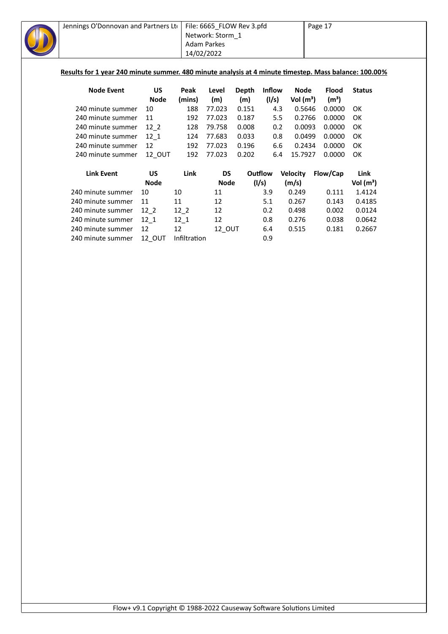| Jennings O'Donnovan and Partners Ltd                                                                  |             |              | File: 6665_FLOW Rev 3.pfd |       |         |                 |  |                   | Page 17       |  |  |  |
|-------------------------------------------------------------------------------------------------------|-------------|--------------|---------------------------|-------|---------|-----------------|--|-------------------|---------------|--|--|--|
|                                                                                                       |             |              | Network: Storm 1          |       |         |                 |  |                   |               |  |  |  |
|                                                                                                       |             |              | <b>Adam Parkes</b>        |       |         |                 |  |                   |               |  |  |  |
|                                                                                                       |             | 14/02/2022   |                           |       |         |                 |  |                   |               |  |  |  |
|                                                                                                       |             |              |                           |       |         |                 |  |                   |               |  |  |  |
| Results for 1 year 240 minute summer. 480 minute analysis at 4 minute timestep. Mass balance: 100.00% |             |              |                           |       |         |                 |  |                   |               |  |  |  |
|                                                                                                       |             |              |                           |       |         |                 |  |                   |               |  |  |  |
| <b>Node Event</b>                                                                                     | <b>US</b>   | Peak         | Level                     | Depth | Inflow  | <b>Node</b>     |  | <b>Flood</b>      | <b>Status</b> |  |  |  |
|                                                                                                       | <b>Node</b> | (mins)       | (m)                       | (m)   | (1/s)   | Vol $(m^3)$     |  | (m <sup>3</sup> ) |               |  |  |  |
| 240 minute summer                                                                                     | 10          | 188          | 77.023                    | 0.151 | 4.3     | 0.5646          |  | 0.0000            | OK            |  |  |  |
| 240 minute summer                                                                                     | 11          | 192          | 77.023                    | 0.187 | 5.5     | 0.2766          |  | 0.0000            | OK            |  |  |  |
| 240 minute summer                                                                                     | $12-2$      | 128          | 79.758                    | 0.008 | 0.2     | 0.0093          |  | 0.0000            | OK            |  |  |  |
| 240 minute summer                                                                                     | 12 1        | 124          | 77.683                    | 0.033 | 0.8     | 0.0499          |  | 0.0000            | OK            |  |  |  |
| 240 minute summer                                                                                     | 12          | 192          | 77.023                    | 0.196 | 6.6     | 0.2434          |  | 0.0000            | OK            |  |  |  |
| 240 minute summer                                                                                     | 12 OUT      | 192          | 77.023                    | 0.202 | 6.4     | 15.7927         |  | 0.0000            | OK            |  |  |  |
|                                                                                                       |             |              |                           |       |         |                 |  |                   |               |  |  |  |
| <b>Link Event</b>                                                                                     | <b>US</b>   | Link         | <b>DS</b>                 |       | Outflow | <b>Velocity</b> |  | Flow/Cap          | Link          |  |  |  |
|                                                                                                       | <b>Node</b> |              | <b>Node</b>               |       | (1/s)   | (m/s)           |  |                   | Vol $(m^3)$   |  |  |  |
| 240 minute summer                                                                                     | 10          | 10           | 11                        |       | 3.9     | 0.249           |  | 0.111             | 1.4124        |  |  |  |
| 240 minute summer                                                                                     | 11          | 11           | 12                        |       | 5.1     | 0.267           |  | 0.143             | 0.4185        |  |  |  |
| 240 minute summer                                                                                     | $12-2$      | $12-2$       | 12                        |       | 0.2     | 0.498           |  | 0.002             | 0.0124        |  |  |  |
| 240 minute summer                                                                                     | $12-1$      | $12_1$       | 12                        |       | 0.8     | 0.276           |  | 0.038             | 0.0642        |  |  |  |
| 240 minute summer                                                                                     | 12          | 12           | 12_OUT                    |       | 6.4     | 0.515           |  | 0.181             | 0.2667        |  |  |  |
| 240 minute summer                                                                                     | 12_OUT      | Infiltration |                           |       | 0.9     |                 |  |                   |               |  |  |  |
|                                                                                                       |             |              |                           |       |         |                 |  |                   |               |  |  |  |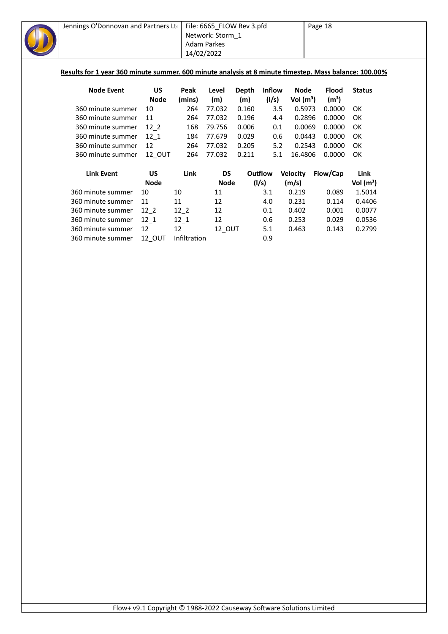| Jennings O'Donnovan and Partners Ltd                                                                  |               |                    | File: 6665_FLOW Rev 3.pfd<br>Network: Storm_1 |              |               |                 | Page 18           |               |
|-------------------------------------------------------------------------------------------------------|---------------|--------------------|-----------------------------------------------|--------------|---------------|-----------------|-------------------|---------------|
|                                                                                                       |               | <b>Adam Parkes</b> |                                               |              |               |                 |                   |               |
|                                                                                                       |               | 14/02/2022         |                                               |              |               |                 |                   |               |
|                                                                                                       |               |                    |                                               |              |               |                 |                   |               |
| Results for 1 year 360 minute summer. 600 minute analysis at 8 minute timestep. Mass balance: 100.00% |               |                    |                                               |              |               |                 |                   |               |
| <b>Node Event</b>                                                                                     | US            | Peak               | Level                                         | <b>Depth</b> | <b>Inflow</b> | <b>Node</b>     | <b>Flood</b>      | <b>Status</b> |
|                                                                                                       | <b>Node</b>   | (mins)             | (m)                                           | (m)          | (1/s)         | Vol $(m^3)$     | (m <sup>3</sup> ) |               |
| 360 minute summer                                                                                     | 10            | 264                | 77.032                                        | 0.160        | 3.5           | 0.5973          | 0.0000            | OK            |
| 360 minute summer                                                                                     | 11            | 264                | 77.032                                        | 0.196        | 4.4           | 0.2896          | 0.0000            | OK            |
| 360 minute summer                                                                                     | $12-2$        | 168                | 79.756                                        | 0.006        | 0.1           | 0.0069          | 0.0000            | OK            |
| 360 minute summer                                                                                     | 12 1          | 184                | 77.679                                        | 0.029        | 0.6           | 0.0443          | 0.0000            | OK            |
| 360 minute summer                                                                                     | 12            | 264                | 77.032                                        | 0.205        | 5.2           | 0.2543          | 0.0000            | OK            |
| 360 minute summer                                                                                     | 12 OUT        | 264                | 77.032                                        | 0.211        | 5.1           | 16.4806         | 0.0000            | OK            |
| <b>Link Event</b>                                                                                     | <b>US</b>     | Link               | <b>DS</b>                                     |              | Outflow       | <b>Velocity</b> | Flow/Cap          | Link          |
|                                                                                                       | <b>Node</b>   |                    | <b>Node</b>                                   |              | (1/s)         | (m/s)           |                   | Vol $(m^3)$   |
| 360 minute summer                                                                                     | 10            | 10                 | 11                                            |              | 3.1           | 0.219           | 0.089             | 1.5014        |
| 360 minute summer                                                                                     | 11            | 11                 | 12                                            |              | 4.0           | 0.231           | 0.114             | 0.4406        |
| 360 minute summer                                                                                     | $12-2$        | $12-2$             | 12                                            |              | 0.1           | 0.402           | 0.001             | 0.0077        |
| 360 minute summer                                                                                     | $12-1$        | $12_1$             | 12                                            |              | 0.6           | 0.253           | 0.029             | 0.0536        |
| 360 minute summer                                                                                     | 12            | 12                 | 12_OUT                                        |              | 5.1           | 0.463           | 0.143             | 0.2799        |
| 360 minute summer                                                                                     | <b>12 OUT</b> | Infiltration       |                                               |              | 0.9           |                 |                   |               |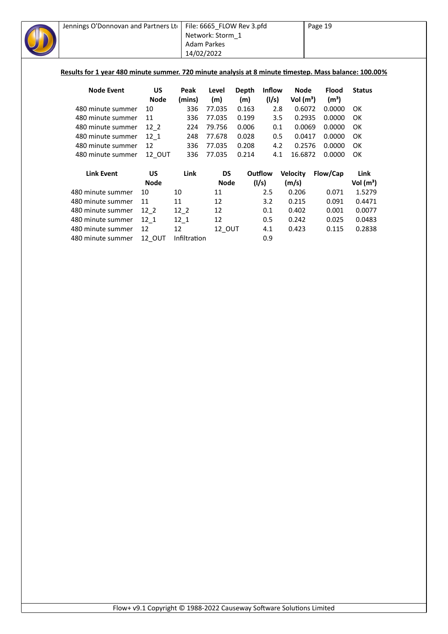| Jennings O'Donnovan and Partners Ltd                                                                  |                   |              | File: 6665_FLOW Rev 3.pfd |              |               |                       | Page 19                     |               |
|-------------------------------------------------------------------------------------------------------|-------------------|--------------|---------------------------|--------------|---------------|-----------------------|-----------------------------|---------------|
|                                                                                                       |                   |              | Network: Storm_1          |              |               |                       |                             |               |
|                                                                                                       |                   |              | <b>Adam Parkes</b>        |              |               |                       |                             |               |
|                                                                                                       |                   | 14/02/2022   |                           |              |               |                       |                             |               |
|                                                                                                       |                   |              |                           |              |               |                       |                             |               |
| Results for 1 year 480 minute summer. 720 minute analysis at 8 minute timestep. Mass balance: 100.00% |                   |              |                           |              |               |                       |                             |               |
|                                                                                                       |                   | Peak         |                           |              |               |                       |                             |               |
| <b>Node Event</b>                                                                                     | US<br><b>Node</b> |              | Level                     | <b>Depth</b> | <b>Inflow</b> | <b>Node</b>           | <b>Flood</b>                | <b>Status</b> |
| 480 minute summer                                                                                     | 10                | (mins)       | (m)<br>77.035             | (m)          | (1/s)<br>2.8  | Vol $(m^3)$<br>0.6072 | (m <sup>3</sup> )<br>0.0000 | OK            |
|                                                                                                       |                   | 336          |                           | 0.163        |               |                       |                             |               |
| 480 minute summer                                                                                     | 11                | 336          | 77.035                    | 0.199        | 3.5           | 0.2935                | 0.0000                      | OK            |
| 480 minute summer                                                                                     | 12 2              | 224          | 79.756                    | 0.006        | 0.1           | 0.0069                | 0.0000                      | OK            |
| 480 minute summer                                                                                     | $12_1$            | 248          | 77.678                    | 0.028        | 0.5           | 0.0417                | 0.0000                      | OK            |
| 480 minute summer                                                                                     | 12                | 336          | 77.035                    | 0.208        | 4.2           | 0.2576                | 0.0000                      | OK            |
| 480 minute summer                                                                                     | 12 OUT            | 336          | 77.035                    | 0.214        | 4.1           | 16.6872               | 0.0000                      | OK            |
| <b>Link Event</b>                                                                                     | <b>US</b>         | Link         | <b>DS</b>                 |              | Outflow       | <b>Velocity</b>       | Flow/Cap                    | Link          |
|                                                                                                       | <b>Node</b>       |              | <b>Node</b>               |              | (1/s)         | (m/s)                 |                             | Vol $(m^3)$   |
| 480 minute summer                                                                                     | 10                | 10           | 11                        |              | 2.5           | 0.206                 | 0.071                       | 1.5279        |
| 480 minute summer                                                                                     | 11                | 11           | 12                        |              | 3.2           | 0.215                 | 0.091                       | 0.4471        |
| 480 minute summer                                                                                     | $12_{2}$          | $12-2$       | 12                        |              | 0.1           | 0.402                 | 0.001                       | 0.0077        |
| 480 minute summer                                                                                     | $12_{1}$          | $12-1$       | 12                        |              | 0.5           | 0.242                 | 0.025                       | 0.0483        |
| 480 minute summer                                                                                     | 12                | 12           | 12_OUT                    |              | 4.1           | 0.423                 | 0.115                       | 0.2838        |
| 480 minute summer                                                                                     | <b>12 OUT</b>     | Infiltration |                           |              | 0.9           |                       |                             |               |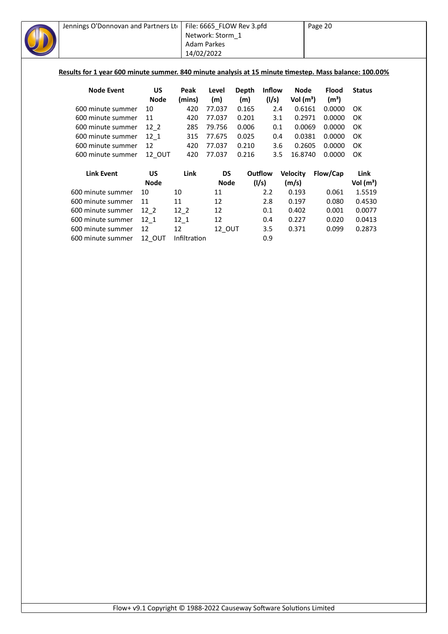| Jennings O'Donnovan and Partners Lto<br>Results for 1 year 600 minute summer. 840 minute analysis at 15 minute timestep. Mass balance: 100.00% |             | 14/02/2022   | File: 6665_FLOW Rev 3.pfd<br>Network: Storm 1<br><b>Adam Parkes</b> |       |               |                 | Page 20           |               |
|------------------------------------------------------------------------------------------------------------------------------------------------|-------------|--------------|---------------------------------------------------------------------|-------|---------------|-----------------|-------------------|---------------|
| <b>Node Event</b>                                                                                                                              | US          | Peak         | Level                                                               | Depth | <b>Inflow</b> | <b>Node</b>     | <b>Flood</b>      | <b>Status</b> |
|                                                                                                                                                | <b>Node</b> | (mins)       | (m)                                                                 | (m)   | (1/s)         | Vol $(m^3)$     | (m <sup>3</sup> ) |               |
| 600 minute summer                                                                                                                              | 10          | 420          | 77.037                                                              | 0.165 | 2.4           | 0.6161          | 0.0000            | OK            |
| 600 minute summer                                                                                                                              | 11          | 420          | 77.037                                                              | 0.201 | 3.1           | 0.2971          | 0.0000            | OK            |
| 600 minute summer                                                                                                                              | $12-2$      | 285          | 79.756                                                              | 0.006 | 0.1           | 0.0069          | 0.0000            | OK            |
| 600 minute summer                                                                                                                              | 12 1        | 315          | 77.675                                                              | 0.025 | 0.4           | 0.0381          | 0.0000            | OK            |
| 600 minute summer                                                                                                                              | 12          | 420          | 77.037                                                              | 0.210 | 3.6           | 0.2605          | 0.0000            | OK            |
| 600 minute summer                                                                                                                              | 12_OUT      | 420          | 77.037                                                              | 0.216 | 3.5           | 16.8740         | 0.0000            | OK            |
| <b>Link Event</b>                                                                                                                              | <b>US</b>   | Link         | <b>DS</b>                                                           |       | Outflow       | <b>Velocity</b> | Flow/Cap          | Link          |
|                                                                                                                                                | <b>Node</b> |              | <b>Node</b>                                                         |       | (1/s)         | (m/s)           |                   | Vol $(m^3)$   |
| 600 minute summer                                                                                                                              | 10          | 10           | 11                                                                  |       | 2.2           | 0.193           | 0.061             | 1.5519        |
| 600 minute summer                                                                                                                              | 11          | 11           | 12                                                                  |       | 2.8           | 0.197           | 0.080             | 0.4530        |
| 600 minute summer                                                                                                                              | $12_{2}$    | $12-2$       | 12                                                                  |       | 0.1           | 0.402           | 0.001             | 0.0077        |
| 600 minute summer                                                                                                                              | $12_{1}$    | $12-1$       | 12                                                                  |       | 0.4           | 0.227           | 0.020             | 0.0413        |
| 600 minute summer                                                                                                                              | 12          | 12           | 12_OUT                                                              |       | 3.5           | 0.371           | 0.099             | 0.2873        |
| 600 minute summer                                                                                                                              | 12_OUT      | Infiltration |                                                                     |       | 0.9           |                 |                   |               |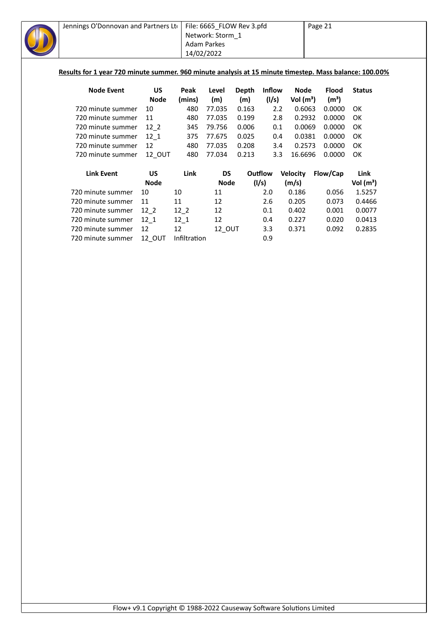| Jennings O'Donnovan and Partners Lto                                                                   |             |              | File: 6665_FLOW Rev 3.pfd |       |                  |                 | Page 21           |               |
|--------------------------------------------------------------------------------------------------------|-------------|--------------|---------------------------|-------|------------------|-----------------|-------------------|---------------|
|                                                                                                        |             |              | Network: Storm 1          |       |                  |                 |                   |               |
|                                                                                                        |             |              | Adam Parkes               |       |                  |                 |                   |               |
|                                                                                                        |             | 14/02/2022   |                           |       |                  |                 |                   |               |
|                                                                                                        |             |              |                           |       |                  |                 |                   |               |
| Results for 1 year 720 minute summer. 960 minute analysis at 15 minute timestep. Mass balance: 100.00% |             |              |                           |       |                  |                 |                   |               |
|                                                                                                        |             |              |                           |       |                  |                 |                   |               |
| <b>Node Event</b>                                                                                      | <b>US</b>   | Peak         | Level                     | Depth | <b>Inflow</b>    | Node            | <b>Flood</b>      | <b>Status</b> |
|                                                                                                        | <b>Node</b> | (mins)       | (m)                       | (m)   | (1/s)            | Vol $(m^3)$     | (m <sup>3</sup> ) |               |
| 720 minute summer                                                                                      | 10          | 480          | 77.035                    | 0.163 | $2.2\phantom{0}$ | 0.6063          | 0.0000            | OK            |
| 720 minute summer                                                                                      | 11          | 480          | 77.035                    | 0.199 | 2.8              | 0.2932          | 0.0000            | OK            |
| 720 minute summer                                                                                      | $12-2$      | 345          | 79.756                    | 0.006 | 0.1              | 0.0069          | 0.0000            | OK            |
| 720 minute summer                                                                                      | 12 1        | 375          | 77.675                    | 0.025 | 0.4              | 0.0381          | 0.0000            | OK            |
| 720 minute summer                                                                                      | 12          | 480          | 77.035                    | 0.208 | 3.4              | 0.2573          | 0.0000            | OK            |
| 720 minute summer                                                                                      | 12_OUT      | 480          | 77.034                    | 0.213 | 3.3              | 16.6696         | 0.0000            | OK            |
| <b>Link Event</b>                                                                                      | <b>US</b>   | Link         | <b>DS</b>                 |       | Outflow          | <b>Velocity</b> | Flow/Cap          | Link          |
|                                                                                                        | <b>Node</b> |              | <b>Node</b>               |       | (1/s)            | (m/s)           |                   | Vol $(m^3)$   |
| 720 minute summer                                                                                      | 10          | 10           | 11                        |       | 2.0              | 0.186           | 0.056             | 1.5257        |
| 720 minute summer                                                                                      | 11          | 11           | 12                        |       | 2.6              | 0.205           | 0.073             | 0.4466        |
| 720 minute summer                                                                                      | $12-2$      | $12-2$       | 12                        |       | 0.1              | 0.402           | 0.001             | 0.0077        |
| 720 minute summer                                                                                      | $12-1$      | $12_1$       | 12                        |       | 0.4              | 0.227           | 0.020             | 0.0413        |
| 720 minute summer                                                                                      | 12          | 12           | 12_OUT                    |       | 3.3              | 0.371           | 0.092             | 0.2835        |
| 720 minute summer                                                                                      | 12 OUT      | Infiltration |                           |       | 0.9              |                 |                   |               |
|                                                                                                        |             |              |                           |       |                  |                 |                   |               |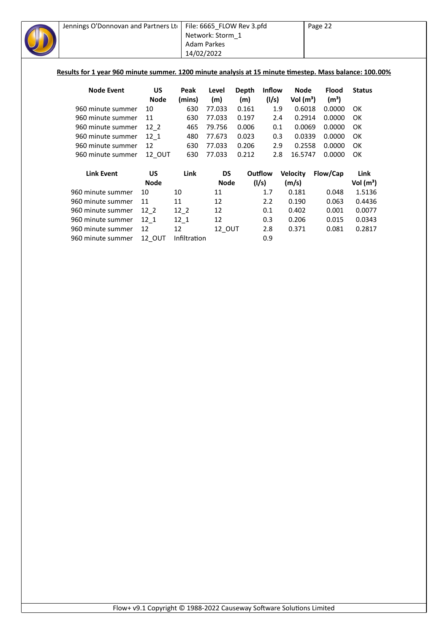| <b>Node Event</b> | <b>US</b>         | Peak                                | Level                                                            |                                                  |                                                        |                                                                                                                     | <b>Flood</b>                                                                                                 | <b>Status</b>                                                                                                                                                                                                                      |
|-------------------|-------------------|-------------------------------------|------------------------------------------------------------------|--------------------------------------------------|--------------------------------------------------------|---------------------------------------------------------------------------------------------------------------------|--------------------------------------------------------------------------------------------------------------|------------------------------------------------------------------------------------------------------------------------------------------------------------------------------------------------------------------------------------|
|                   | <b>Node</b>       | (mins)                              | (m)                                                              | (m)                                              |                                                        |                                                                                                                     | (m <sup>3</sup> )                                                                                            |                                                                                                                                                                                                                                    |
| 960 minute summer | 10                | 630                                 | 77.033                                                           |                                                  |                                                        |                                                                                                                     | 0.0000                                                                                                       | OK                                                                                                                                                                                                                                 |
| 960 minute summer | 11                | 630                                 | 77.033                                                           |                                                  |                                                        |                                                                                                                     | 0.0000                                                                                                       | OK                                                                                                                                                                                                                                 |
| 960 minute summer | $12-2$            | 465                                 | 79.756                                                           |                                                  |                                                        |                                                                                                                     | 0.0000                                                                                                       | OK                                                                                                                                                                                                                                 |
| 960 minute summer | 12 1              | 480                                 | 77.673                                                           |                                                  |                                                        |                                                                                                                     | 0.0000                                                                                                       | OK                                                                                                                                                                                                                                 |
| 960 minute summer | 12                | 630                                 | 77.033                                                           |                                                  |                                                        |                                                                                                                     | 0.0000                                                                                                       | OK                                                                                                                                                                                                                                 |
|                   | 12_OUT            | 630                                 | 77.033                                                           |                                                  |                                                        |                                                                                                                     | 0.0000                                                                                                       | OK                                                                                                                                                                                                                                 |
|                   |                   |                                     |                                                                  |                                                  |                                                        |                                                                                                                     |                                                                                                              | Link                                                                                                                                                                                                                               |
|                   | <b>Node</b>       |                                     |                                                                  |                                                  |                                                        |                                                                                                                     |                                                                                                              | Vol $(m^3)$                                                                                                                                                                                                                        |
| 960 minute summer | 10                | 10                                  | 11                                                               |                                                  | 1.7                                                    | 0.181                                                                                                               | 0.048                                                                                                        | 1.5136                                                                                                                                                                                                                             |
| 960 minute summer | 11                | 11                                  | 12                                                               |                                                  | 2.2                                                    | 0.190                                                                                                               | 0.063                                                                                                        | 0.4436                                                                                                                                                                                                                             |
| 960 minute summer | $12-2$            |                                     | 12                                                               |                                                  | 0.1                                                    | 0.402                                                                                                               | 0.001                                                                                                        | 0.0077                                                                                                                                                                                                                             |
| 960 minute summer |                   |                                     | 12                                                               |                                                  | 0.3                                                    | 0.206                                                                                                               | 0.015                                                                                                        | 0.0343                                                                                                                                                                                                                             |
| 960 minute summer | 12                | 12                                  |                                                                  |                                                  |                                                        |                                                                                                                     |                                                                                                              | 0.2817                                                                                                                                                                                                                             |
| 960 minute summer | 12 OUT            |                                     |                                                                  |                                                  |                                                        |                                                                                                                     |                                                                                                              |                                                                                                                                                                                                                                    |
|                   | <b>Link Event</b> | 960 minute summer<br>US<br>$12_{1}$ | Jennings O'Donnovan and Partners Lto<br>Link<br>$12-2$<br>$12-1$ | <b>Adam Parkes</b><br>14/02/2022<br>Infiltration | Network: Storm_1<br><b>DS</b><br><b>Node</b><br>12_OUT | File: 6665_FLOW Rev 3.pfd<br>Depth<br>0.161<br>0.197<br>0.006<br>0.023<br>0.206<br>0.212<br>Outflow<br>(1/s)<br>2.8 | <b>Inflow</b><br>(1/s)<br>1.9<br>2.4<br>0.1<br>0.3<br>2.9<br>2.8<br><b>Velocity</b><br>(m/s)<br>0.371<br>0.9 | Page 22<br>Results for 1 year 960 minute summer. 1200 minute analysis at 15 minute timestep. Mass balance: 100.00%<br><b>Node</b><br>Vol $(m^3)$<br>0.6018<br>0.2914<br>0.0069<br>0.0339<br>0.2558<br>16.5747<br>Flow/Cap<br>0.081 |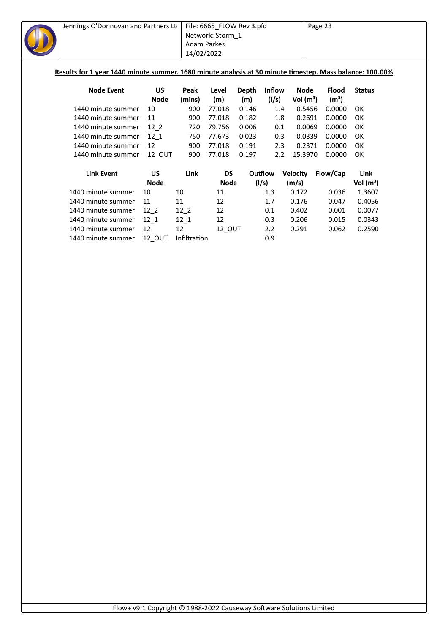| Jennings O'Donnovan and Partners Lto<br>Results for 1 year 1440 minute summer. 1680 minute analysis at 30 minute timestep. Mass balance: 100.00% |               | Adam Parkes<br>14/02/2022 | File: 6665_FLOW Rev 3.pfd<br>Network: Storm 1 |              |                  |                 | Page 23           |               |
|--------------------------------------------------------------------------------------------------------------------------------------------------|---------------|---------------------------|-----------------------------------------------|--------------|------------------|-----------------|-------------------|---------------|
| <b>Node Event</b>                                                                                                                                | <b>US</b>     | Peak                      | Level                                         | <b>Depth</b> | <b>Inflow</b>    | Node            | Flood             | <b>Status</b> |
|                                                                                                                                                  | <b>Node</b>   | (mins)                    | (m)                                           | (m)          | (1/s)            | Vol $(m^3)$     | (m <sup>3</sup> ) |               |
| 1440 minute summer                                                                                                                               | 10            | 900                       | 77.018                                        | 0.146        | 1.4              | 0.5456          | 0.0000            | OK.           |
| 1440 minute summer                                                                                                                               | 11            | 900                       | 77.018                                        | 0.182        | $1.8\phantom{0}$ | 0.2691          | 0.0000            | OK            |
| 1440 minute summer                                                                                                                               | $12-2$        | 720                       | 79.756                                        | 0.006        | 0.1              | 0.0069          | 0.0000            | OK            |
| 1440 minute summer                                                                                                                               | 12 1          | 750                       | 77.673                                        | 0.023        | 0.3              | 0.0339          | 0.0000            | OK            |
| 1440 minute summer                                                                                                                               | 12            | 900                       | 77.018                                        | 0.191        | 2.3              | 0.2371          | 0.0000            | OK.           |
| 1440 minute summer                                                                                                                               | 12_OUT        | 900                       | 77.018                                        | 0.197        | 2.2              | 15.3970         | 0.0000            | OK            |
| <b>Link Event</b>                                                                                                                                | US            | Link                      | <b>DS</b>                                     |              | Outflow          | <b>Velocity</b> | Flow/Cap          | Link          |
|                                                                                                                                                  | <b>Node</b>   |                           | <b>Node</b>                                   |              | (1/s)            | (m/s)           |                   | Vol $(m^3)$   |
| 1440 minute summer                                                                                                                               | 10            | 10                        | 11                                            |              | 1.3              | 0.172           | 0.036             | 1.3607        |
| 1440 minute summer                                                                                                                               | 11            | 11                        | 12                                            |              | 1.7              | 0.176           | 0.047             | 0.4056        |
| 1440 minute summer                                                                                                                               | $12-2$        | $12-2$                    | 12                                            |              | 0.1              | 0.402           | 0.001             | 0.0077        |
| 1440 minute summer                                                                                                                               | $12_{1}$      | $12-1$                    | 12                                            |              | 0.3              | 0.206           | 0.015             | 0.0343        |
| 1440 minute summer                                                                                                                               | 12            | 12                        | 12 OUT                                        |              | 2.2              | 0.291           | 0.062             | 0.2590        |
| 1440 minute summer                                                                                                                               | <b>12 OUT</b> | Infiltration              |                                               |              | 0.9              |                 |                   |               |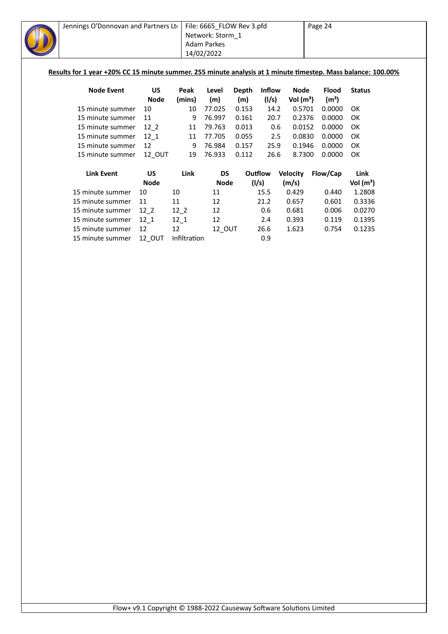| Jennings O'Donnovan and Partners Lto<br>Results for 1 year +20% CC 15 minute summer. 255 minute analysis at 1 minute timestep. Mass balance: 100.00% |             |        | File: 6665_FLOW Rev 3.pfd<br>Network: Storm 1<br><b>Adam Parkes</b><br>14/02/2022 |       |         |                 | Page 24           |               |
|------------------------------------------------------------------------------------------------------------------------------------------------------|-------------|--------|-----------------------------------------------------------------------------------|-------|---------|-----------------|-------------------|---------------|
| <b>Node Event</b>                                                                                                                                    | US          | Peak   | Level                                                                             | Depth | Inflow  | <b>Node</b>     | <b>Flood</b>      | <b>Status</b> |
|                                                                                                                                                      | <b>Node</b> | (mins) | (m)                                                                               | (m)   | (1/s)   | Vol $(m^3)$     | (m <sup>3</sup> ) |               |
| 15 minute summer                                                                                                                                     | 10          | 10     | 77.025                                                                            | 0.153 | 14.2    | 0.5701          | 0.0000            | OK            |
| 15 minute summer                                                                                                                                     | 11          | 9      | 76.997                                                                            | 0.161 | 20.7    | 0.2376          | 0.0000            | OK            |
| 15 minute summer                                                                                                                                     | 12 2        | 11     | 79.763                                                                            | 0.013 | 0.6     | 0.0152          | 0.0000            | OK            |
| 15 minute summer                                                                                                                                     | 12 1        | 11     | 77.705                                                                            | 0.055 | 2.5     | 0.0830          | 0.0000            | OK            |
| 15 minute summer                                                                                                                                     | 12          | 9      | 76.984                                                                            | 0.157 | 25.9    | 0.1946          | 0.0000            | OK            |
| 15 minute summer                                                                                                                                     | 12 OUT      | 19     | 76.933                                                                            | 0.112 | 26.6    | 8.7300          | 0.0000            | OK            |
| <b>Link Event</b>                                                                                                                                    | <b>US</b>   | Link   | <b>DS</b>                                                                         |       | Outflow | <b>Velocity</b> | Flow/Cap          | Link          |
|                                                                                                                                                      | <b>Node</b> |        | <b>Node</b>                                                                       |       | (l/s)   | (m/s)           |                   | Vol $(m^3)$   |
| 15 minute summer                                                                                                                                     | 10          | 10     | 11                                                                                |       | 15.5    | 0.429           | 0.440             | 1.2808        |
| 15 minute summer                                                                                                                                     | 11          | 11     | 12                                                                                |       | 21.2    | 0.657           | 0.601             | 0.3336        |
| 15 minute summer                                                                                                                                     | $12_{2}$    | $12-2$ | 12                                                                                |       | 0.6     | 0.681           | 0.006             | 0.0270        |
| 15 minute summer                                                                                                                                     | 12 1        | $12_1$ | 12                                                                                |       | 2.4     | 0.393           | 0.119             | 0.1395        |
| 15 minute summer                                                                                                                                     | 12          | 12     | 12 OUT                                                                            |       | 26.6    | 1.623           | 0.754             | 0.1235        |

15 minute summer 12\_OUT Infiltration 6.9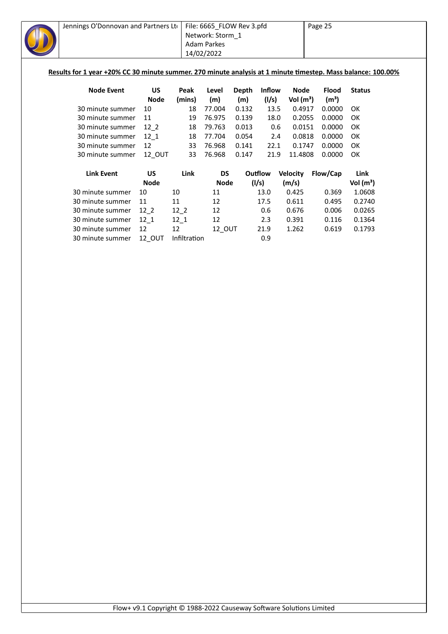| Jennings O'Donnovan and Partners Lto<br>Results for 1 year +20% CC 30 minute summer. 270 minute analysis at 1 minute timestep. Mass balance: 100.00% |             |        | File: 6665_FLOW Rev 3.pfd<br>Network: Storm 1<br><b>Adam Parkes</b><br>14/02/2022 |       |         |                 | Page 25           |               |
|------------------------------------------------------------------------------------------------------------------------------------------------------|-------------|--------|-----------------------------------------------------------------------------------|-------|---------|-----------------|-------------------|---------------|
| <b>Node Event</b>                                                                                                                                    | US          | Peak   | Level                                                                             | Depth | Inflow  | <b>Node</b>     | <b>Flood</b>      | <b>Status</b> |
|                                                                                                                                                      | <b>Node</b> | (mins) | (m)                                                                               | (m)   | (1/s)   | Vol $(m^3)$     | (m <sup>3</sup> ) |               |
| 30 minute summer                                                                                                                                     | 10          | 18     | 77.004                                                                            | 0.132 | 13.5    | 0.4917          | 0.0000            | OK            |
| 30 minute summer                                                                                                                                     | 11          | 19     | 76.975                                                                            | 0.139 | 18.0    | 0.2055          | 0.0000            | OK            |
| 30 minute summer                                                                                                                                     | 12 2        | 18     | 79.763                                                                            | 0.013 | 0.6     | 0.0151          | 0.0000            | OK            |
| 30 minute summer                                                                                                                                     | 12 1        | 18     | 77.704                                                                            | 0.054 | 2.4     | 0.0818          | 0.0000            | OK            |
| 30 minute summer                                                                                                                                     | 12          | 33     | 76.968                                                                            | 0.141 | 22.1    | 0.1747          | 0.0000            | OK            |
| 30 minute summer                                                                                                                                     | 12 OUT      | 33     | 76.968                                                                            | 0.147 | 21.9    | 11.4808         | 0.0000            | OK            |
| <b>Link Event</b>                                                                                                                                    | <b>US</b>   | Link   | <b>DS</b>                                                                         |       | Outflow | <b>Velocity</b> | Flow/Cap          | Link          |
|                                                                                                                                                      | <b>Node</b> |        | <b>Node</b>                                                                       |       | (I/s)   | (m/s)           |                   | Vol $(m^3)$   |
| 30 minute summer                                                                                                                                     | 10          | 10     | 11                                                                                |       | 13.0    | 0.425           | 0.369             | 1.0608        |
| 30 minute summer                                                                                                                                     | 11          | 11     | 12                                                                                |       | 17.5    | 0.611           | 0.495             | 0.2740        |
| 30 minute summer                                                                                                                                     | $12_{2}$    | $12-2$ | 12                                                                                |       | 0.6     | 0.676           | 0.006             | 0.0265        |
| 30 minute summer                                                                                                                                     | 12 1        | $12_1$ | 12                                                                                |       | 2.3     | 0.391           | 0.116             | 0.1364        |
| 30 minute summer                                                                                                                                     | 12          | 12     | 12 OUT                                                                            |       | 21.9    | 1.262           | 0.619             | 0.1793        |

30 minute summer 12\_OUT Infiltration 6.9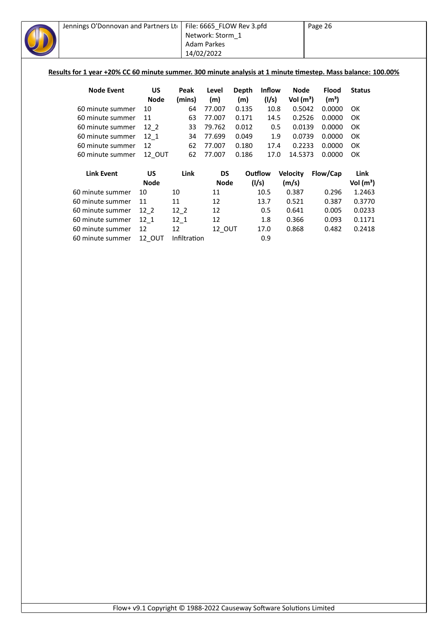| Jennings O'Donnovan and Partners Lto                                                                                              |                          |                | File: 6665_FLOW Rev 3.pfd<br>Network: Storm 1<br><b>Adam Parkes</b><br>14/02/2022 |              |                        |                            | Page 26                           |               |
|-----------------------------------------------------------------------------------------------------------------------------------|--------------------------|----------------|-----------------------------------------------------------------------------------|--------------|------------------------|----------------------------|-----------------------------------|---------------|
| Results for 1 year +20% CC 60 minute summer. 300 minute analysis at 1 minute timestep. Mass balance: 100.00%<br><b>Node Event</b> | <b>US</b><br><b>Node</b> | Peak<br>(mins) | Level<br>(m)                                                                      | Depth<br>(m) | <b>Inflow</b><br>(1/s) | <b>Node</b><br>Vol $(m^3)$ | <b>Flood</b><br>(m <sup>3</sup> ) | <b>Status</b> |
| 60 minute summer                                                                                                                  | 10                       | 64             | 77.007                                                                            | 0.135        | 10.8                   | 0.5042                     | 0.0000                            | OK            |
| 60 minute summer                                                                                                                  | 11                       | 63             | 77.007                                                                            | 0.171        | 14.5                   | 0.2526                     | 0.0000                            | OK            |
| 60 minute summer                                                                                                                  | $12-2$                   | 33             | 79.762                                                                            | 0.012        | 0.5                    | 0.0139                     | 0.0000                            | OK            |
| 60 minute summer                                                                                                                  | $12_1$                   | 34             | 77.699                                                                            | 0.049        | 1.9                    | 0.0739                     | 0.0000                            | OK            |
| 60 minute summer                                                                                                                  | 12                       | 62             | 77.007                                                                            | 0.180        | 17.4                   | 0.2233                     | 0.0000                            | OK            |
| 60 minute summer                                                                                                                  | 12 OUT                   | 62             | 77.007                                                                            | 0.186        | 17.0                   | 14.5373                    | 0.0000                            | OK            |
| <b>Link Event</b>                                                                                                                 | <b>US</b>                | Link           | <b>DS</b>                                                                         |              | Outflow                | <b>Velocity</b>            | Flow/Cap                          | Link          |
|                                                                                                                                   | <b>Node</b>              |                | <b>Node</b>                                                                       |              | (1/s)                  | (m/s)                      |                                   | Vol $(m^3)$   |
| 60 minute summer                                                                                                                  | 10                       | 10             | 11                                                                                |              | 10.5                   | 0.387                      | 0.296                             | 1.2463        |
| 60 minute summer                                                                                                                  | 11                       | 11             | 12                                                                                |              | 13.7                   | 0.521                      | 0.387                             | 0.3770        |
| 60 minute summer                                                                                                                  | $12-2$                   | $12-2$         | 12                                                                                |              | 0.5                    | 0.641                      | 0.005                             | 0.0233        |
| 60 minute summer                                                                                                                  | 12 1                     | $12_{1}$       | 12                                                                                |              | 1.8                    | 0.366                      | 0.093                             | 0.1171        |

60 minute summer 12 12 12\_OUT 17.0 0.868 0.482 0.2418

60 minute summer 12\_OUT Infiltration 60 minute summer 12\_OUT Infiltration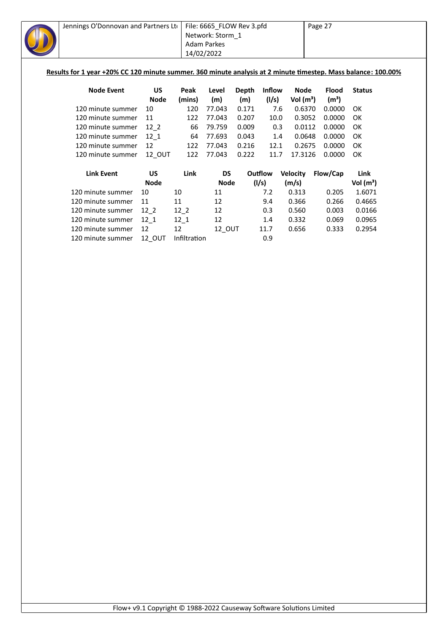| Jennings O'Donnovan and Partners Lto                                                                          |             |        | File: 6665_FLOW Rev 3.pfd |       |               |                 | Page 27           |               |  |
|---------------------------------------------------------------------------------------------------------------|-------------|--------|---------------------------|-------|---------------|-----------------|-------------------|---------------|--|
|                                                                                                               |             |        | Network: Storm 1          |       |               |                 |                   |               |  |
|                                                                                                               |             |        | Adam Parkes               |       |               |                 |                   |               |  |
|                                                                                                               |             |        | 14/02/2022                |       |               |                 |                   |               |  |
|                                                                                                               |             |        |                           |       |               |                 |                   |               |  |
| Results for 1 year +20% CC 120 minute summer. 360 minute analysis at 2 minute timestep. Mass balance: 100.00% |             |        |                           |       |               |                 |                   |               |  |
|                                                                                                               |             |        |                           |       |               |                 |                   |               |  |
| <b>Node Event</b>                                                                                             | <b>US</b>   | Peak   | Level                     | Depth | <b>Inflow</b> | <b>Node</b>     | <b>Flood</b>      | <b>Status</b> |  |
|                                                                                                               | <b>Node</b> | (mins) | (m)                       | (m)   | (1/s)         | Vol $(m^3)$     | (m <sup>3</sup> ) |               |  |
| 120 minute summer                                                                                             | 10          | 120    | 77.043                    | 0.171 | 7.6           | 0.6370          | 0.0000            | OK            |  |
| 120 minute summer                                                                                             | 11          | 122    | 77.043                    | 0.207 | 10.0          | 0.3052          | 0.0000            | OK            |  |
| 120 minute summer                                                                                             | $12-2$      | 66     | 79.759                    | 0.009 | 0.3           | 0.0112          | 0.0000            | OK            |  |
| 120 minute summer                                                                                             | $12 - 1$    | 64     | 77.693                    | 0.043 | 1.4           | 0.0648          | 0.0000            | OK            |  |
| 120 minute summer                                                                                             | 12          | 122    | 77.043                    | 0.216 | 12.1          | 0.2675          | 0.0000            | OK            |  |
| 120 minute summer                                                                                             | 12_OUT      | 122    | 77.043                    | 0.222 | 11.7          | 17.3126         | 0.0000            | OK            |  |
|                                                                                                               |             |        |                           |       |               |                 |                   |               |  |
| <b>Link Event</b>                                                                                             | US          | Link   | <b>DS</b>                 |       | Outflow       | <b>Velocity</b> | Flow/Cap          | Link          |  |
|                                                                                                               | <b>Node</b> |        | <b>Node</b>               |       | (1/s)         | (m/s)           |                   | Vol $(m^3)$   |  |
| 120 minute summer                                                                                             | 10          | 10     | 11                        |       | 7.2           | 0.313           | 0.205             | 1.6071        |  |
| 120 minute summer                                                                                             | 11          | 11     | 12                        |       | 9.4           | 0.366           | 0.266             | 0.4665        |  |
| 120 minute summer                                                                                             | $12-2$      | $12-2$ | 12                        |       | 0.3           | 0.560           | 0.003             | 0.0166        |  |
| 120 minute summer                                                                                             | $12 - 1$    | $12-1$ | 12                        |       | 1.4           | 0.332           | 0.069             | 0.0965        |  |
| 120 minute summer                                                                                             | 12          | 12     | 12 OUT                    |       | 11.7          | 0.656           | 0.333             | 0.2954        |  |

120 minute summer 12\_OUT Infiltration <sup>-</sup> 0.9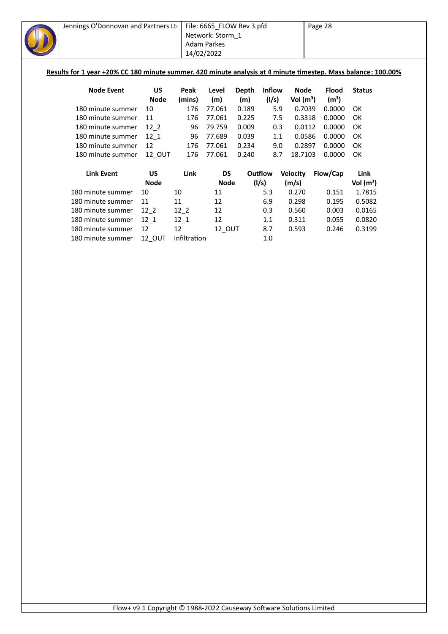| Jennings O'Donnovan and Partners Lto<br>Results for 1 year +20% CC 180 minute summer. 420 minute analysis at 4 minute timestep. Mass balance: 100.00% |               | File: 6665 FLOW Rev 3.pfd<br>Network: Storm 1<br>Adam Parkes<br>14/02/2022<br>Level<br>Peak<br>(mins)<br>(m)<br>176<br>77.061<br>176<br>77.061<br>96<br>79.759<br>96<br>77.689<br>176<br>77.061<br>176<br>77.061<br><b>DS</b><br>Link<br>Node<br>10<br>11<br>11<br>12 |    |       |               | Page 28         |                   |               |
|-------------------------------------------------------------------------------------------------------------------------------------------------------|---------------|-----------------------------------------------------------------------------------------------------------------------------------------------------------------------------------------------------------------------------------------------------------------------|----|-------|---------------|-----------------|-------------------|---------------|
| <b>Node Event</b>                                                                                                                                     | US            |                                                                                                                                                                                                                                                                       |    | Depth | <b>Inflow</b> | <b>Node</b>     | <b>Flood</b>      | <b>Status</b> |
|                                                                                                                                                       | <b>Node</b>   |                                                                                                                                                                                                                                                                       |    | (m)   | (1/s)         | Vol $(m^3)$     | (m <sup>3</sup> ) |               |
| 180 minute summer                                                                                                                                     | 10            |                                                                                                                                                                                                                                                                       |    | 0.189 | 5.9           | 0.7039          | 0.0000            | 0K            |
| 180 minute summer                                                                                                                                     | 11            |                                                                                                                                                                                                                                                                       |    | 0.225 | 7.5           | 0.3318          | 0.0000            | ОК            |
| 180 minute summer                                                                                                                                     | 12 2          |                                                                                                                                                                                                                                                                       |    | 0.009 | 0.3           | 0.0112          | 0.0000            | ОК            |
| 180 minute summer                                                                                                                                     | 12 1          |                                                                                                                                                                                                                                                                       |    | 0.039 | 1.1           | 0.0586          | 0.0000            | OK            |
| 180 minute summer                                                                                                                                     | 12            |                                                                                                                                                                                                                                                                       |    | 0.234 | 9.0           | 0.2897          | 0.0000            | OK            |
| 180 minute summer                                                                                                                                     | <b>12 OUT</b> |                                                                                                                                                                                                                                                                       |    | 0.240 | 8.7           | 18.7103         | 0.0000            | OK            |
| <b>Link Event</b>                                                                                                                                     | <b>US</b>     |                                                                                                                                                                                                                                                                       |    |       | Outflow       | <b>Velocity</b> | Flow/Cap          | Link          |
|                                                                                                                                                       | <b>Node</b>   |                                                                                                                                                                                                                                                                       |    |       | (1/s)         | (m/s)           |                   | Vol $(m^3)$   |
| 180 minute summer                                                                                                                                     | 10            |                                                                                                                                                                                                                                                                       |    |       | 5.3           | 0.270           | 0.151             | 1.7815        |
| 180 minute summer                                                                                                                                     | 11            |                                                                                                                                                                                                                                                                       |    |       | 6.9           | 0.298           | 0.195             | 0.5082        |
| 180 minute summer                                                                                                                                     | $12-2$        | $12-2$                                                                                                                                                                                                                                                                | 12 |       | 0.3           | 0.560           | 0.003             | 0.0165        |
| 180 minute summer                                                                                                                                     | 12 1          | $12 - 1$                                                                                                                                                                                                                                                              | 12 |       | 1.1           | 0.311           | 0.055             | 0.0820        |

180 minute summer 12 12 12\_OUT 8.7 0.593 0.246 0.3199

180 minute summer 12\_1 12\_1 12 12 1.1<br>180 minute summer 12 12 12\_0UT 8.7<br>180 minute summer 12\_0UT Infiltration 1.0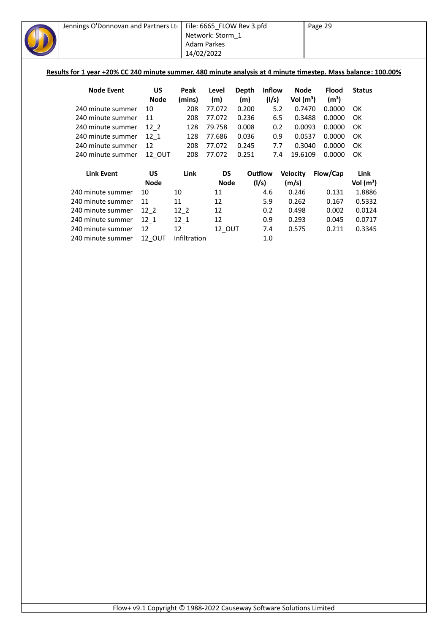| Jennings O'Donnovan and Partners Lto |               | 14/02/2022      | File: 6665_FLOW Rev 3.pfd<br>Network: Storm 1<br><b>Adam Parkes</b> |       |               | Page 29<br>Results for 1 year +20% CC 240 minute summer. 480 minute analysis at 4 minute timestep. Mass balance: 100.00% |                   |               |
|--------------------------------------|---------------|-----------------|---------------------------------------------------------------------|-------|---------------|--------------------------------------------------------------------------------------------------------------------------|-------------------|---------------|
| <b>Node Event</b>                    | US            | Peak            | Level                                                               | Depth | <b>Inflow</b> | Node                                                                                                                     | <b>Flood</b>      | <b>Status</b> |
|                                      | <b>Node</b>   | (mins)          | (m)                                                                 | (m)   | (1/s)         | Vol $(m^3)$                                                                                                              | (m <sup>3</sup> ) |               |
| 240 minute summer                    | 10            | 208             | 77.072                                                              | 0.200 | 5.2           | 0.7470                                                                                                                   | 0.0000            | OК            |
| 240 minute summer                    | 11            | 208             | 77.072                                                              | 0.236 | 6.5           | 0.3488                                                                                                                   | 0.0000            | OK            |
| 240 minute summer                    | 12 2          | 128             | 79.758                                                              | 0.008 | 0.2           | 0.0093                                                                                                                   | 0.0000            | OK            |
| 240 minute summer                    | $12_{1}$      | 128             | 77.686                                                              | 0.036 | 0.9           | 0.0537                                                                                                                   | 0.0000            | OK            |
| 240 minute summer                    | 12            | 208             | 77.072                                                              | 0.245 | 7.7           | 0.3040                                                                                                                   | 0.0000            | OK            |
| 240 minute summer                    | 12_OUT        | 208             | 77.072                                                              | 0.251 | 7.4           | 19.6109                                                                                                                  | 0.0000            | OK.           |
| <b>Link Event</b>                    | <b>US</b>     | Link            | <b>DS</b>                                                           |       | Outflow       | <b>Velocity</b>                                                                                                          | Flow/Cap          | Link          |
|                                      | <b>Node</b>   |                 | <b>Node</b>                                                         |       | (1/s)         | (m/s)                                                                                                                    |                   | Vol $(m^3)$   |
| 240 minute summer                    | 10            | 10              | 11                                                                  |       | 4.6           | 0.246                                                                                                                    | 0.131             | 1.8886        |
| 240 minute summer                    | 11            | 11              | 12                                                                  |       | 5.9           | 0.262                                                                                                                    | 0.167             | 0.5332        |
| 240 minute summer                    | $12-2$        | $12-2$          | 12                                                                  |       | 0.2           | 0.498                                                                                                                    | 0.002             | 0.0124        |
| 240 minute summer                    | $12 - 1$      | $12 - 1$        | 12                                                                  |       | 0.9           | 0.293                                                                                                                    | 0.045             | 0.0717        |
| 240 minute summer                    | 12            | 12 <sup>2</sup> | 12_OUT                                                              |       | 7.4           | 0.575                                                                                                                    | 0.211             | 0.3345        |
| 240 minute summer                    | <b>12 OUT</b> | Infiltration    |                                                                     |       | 1.0           |                                                                                                                          |                   |               |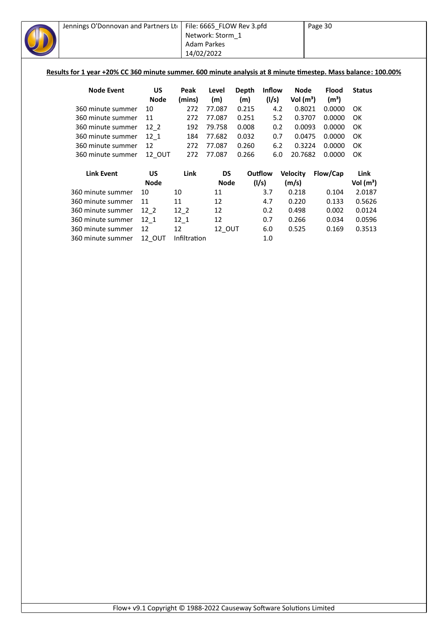| Jennings O'Donnovan and Partners Lto<br>Results for 1 year +20% CC 360 minute summer. 600 minute analysis at 8 minute timestep. Mass balance: 100.00% |             | 14/02/2022 | File: 6665_FLOW Rev 3.pfd<br>Network: Storm 1<br><b>Adam Parkes</b> |       | Page 30       |                 |                   |               |  |
|-------------------------------------------------------------------------------------------------------------------------------------------------------|-------------|------------|---------------------------------------------------------------------|-------|---------------|-----------------|-------------------|---------------|--|
| <b>Node Event</b>                                                                                                                                     | US          | Peak       | Level                                                               | Depth | <b>Inflow</b> | <b>Node</b>     | <b>Flood</b>      | <b>Status</b> |  |
|                                                                                                                                                       | <b>Node</b> | (mins)     | (m)                                                                 | (m)   | (1/s)         | Vol $(m^3)$     | (m <sup>3</sup> ) |               |  |
| 360 minute summer                                                                                                                                     | 10          | 272        | 77.087                                                              | 0.215 | 4.2           | 0.8021          | 0.0000            | OK            |  |
| 360 minute summer                                                                                                                                     | 11          | 272        | 77.087                                                              | 0.251 | 5.2           | 0.3707          | 0.0000            | OK            |  |
| 360 minute summer                                                                                                                                     | $12_{2}$    | 192        | 79.758                                                              | 0.008 | 0.2           | 0.0093          | 0.0000            | OK            |  |
| 360 minute summer                                                                                                                                     | $12 - 1$    | 184        | 77.682                                                              | 0.032 | 0.7           | 0.0475          | 0.0000            | OK            |  |
| 360 minute summer                                                                                                                                     | 12          | 272        | 77.087                                                              | 0.260 | 6.2           | 0.3224          | 0.0000            | OK            |  |
| 360 minute summer                                                                                                                                     | 12 OUT      | 272        | 77.087                                                              | 0.266 | 6.0           | 20.7682         | 0.0000            | OK            |  |
| <b>Link Event</b>                                                                                                                                     | <b>US</b>   | Link       | <b>DS</b>                                                           |       | Outflow       | <b>Velocity</b> | Flow/Cap          | Link          |  |
|                                                                                                                                                       | <b>Node</b> |            | <b>Node</b>                                                         |       | (1/s)         | (m/s)           |                   | Vol $(m^3)$   |  |
| 360 minute summer                                                                                                                                     | 10          | 10         | 11                                                                  |       | 3.7           | 0.218           | 0.104             | 2.0187        |  |
| 360 minute summer                                                                                                                                     | 11          | 11         | 12                                                                  |       | 4.7           | 0.220           | 0.133             | 0.5626        |  |
| 360 minute summer                                                                                                                                     | $12-2$      | $12-2$     | 12                                                                  |       | 0.2           | 0.498           | 0.002             | 0.0124        |  |
| 360 minute summer                                                                                                                                     | $12_{1}$    | $12 - 1$   | 12                                                                  |       | 0.7           | 0.266           | 0.034             | 0.0596        |  |
| 360 minute summer                                                                                                                                     | 12          | 12         | 12_OUT                                                              |       | 6.0           | 0.525           | 0.169             | 0.3513        |  |
|                                                                                                                                                       |             |            |                                                                     |       |               |                 |                   |               |  |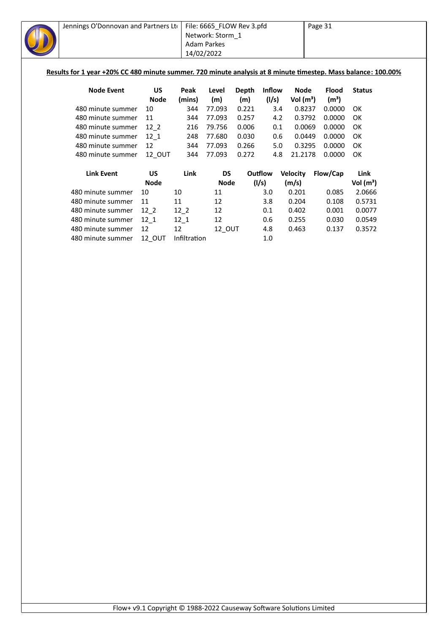| Jennings O'Donnovan and Partners Lto |             | File: 6665_FLOW Rev 3.pfd<br>Network: Storm 1<br><b>Adam Parkes</b><br>14/02/2022<br>Results for 1 year +20% CC 480 minute summer. 720 minute analysis at 8 minute timestep. Mass balance: 100.00% |             |       |               |                 | Page 31           |               |  |
|--------------------------------------|-------------|----------------------------------------------------------------------------------------------------------------------------------------------------------------------------------------------------|-------------|-------|---------------|-----------------|-------------------|---------------|--|
| <b>Node Event</b>                    | US          | Peak                                                                                                                                                                                               | Level       | Depth | <b>Inflow</b> | Node            | <b>Flood</b>      | <b>Status</b> |  |
|                                      | <b>Node</b> | (mins)                                                                                                                                                                                             | (m)         | (m)   | (1/s)         | Vol $(m^3)$     | (m <sup>3</sup> ) |               |  |
| 480 minute summer                    | 10          | 344                                                                                                                                                                                                | 77.093      | 0.221 | 3.4           | 0.8237          | 0.0000            | 0K            |  |
| 480 minute summer                    | 11          | 344                                                                                                                                                                                                | 77.093      | 0.257 | 4.2           | 0.3792          | 0.0000            | <b>OK</b>     |  |
| 480 minute summer                    | $12-2$      | 216                                                                                                                                                                                                | 79.756      | 0.006 | 0.1           | 0.0069          | 0.0000            | OK            |  |
| 480 minute summer                    | 12 1        | 248                                                                                                                                                                                                | 77.680      | 0.030 | 0.6           | 0.0449          | 0.0000            | OK            |  |
| 480 minute summer                    | 12          | 344                                                                                                                                                                                                | 77.093      | 0.266 | 5.0           | 0.3295          | 0.0000            | OK            |  |
| 480 minute summer                    | 12_OUT      | 344                                                                                                                                                                                                | 77.093      | 0.272 | 4.8           | 21.2178         | 0.0000            | OK            |  |
| <b>Link Event</b>                    | <b>US</b>   | Link                                                                                                                                                                                               | DS          |       | Outflow       | <b>Velocity</b> | Flow/Cap          | Link          |  |
|                                      | <b>Node</b> |                                                                                                                                                                                                    | <b>Node</b> |       | (1/s)         | (m/s)           |                   | Vol $(m^3)$   |  |
| 480 minute summer                    | 10          | 10                                                                                                                                                                                                 | 11          |       | 3.0           | 0.201           | 0.085             | 2.0666        |  |
| 480 minute summer                    | 11          | 11                                                                                                                                                                                                 | 12          |       | 3.8           | 0.204           | 0.108             | 0.5731        |  |
| 480 minute summer                    | $12-2$      | $12-2$                                                                                                                                                                                             | 12          |       | 0.1           | 0.402           | 0.001             | 0.0077        |  |
| 480 minute summer                    | 12 1        | $12 - 1$                                                                                                                                                                                           | 12          |       | 0.6           | 0.255           | 0.030             | 0.0549        |  |
| 480 minute summer                    | 12          | 12                                                                                                                                                                                                 | 12 OUT      |       | 4.8           | 0.463           | 0.137             | 0.3572        |  |
| 480 minute summer                    | 12 OUT      | Infiltration                                                                                                                                                                                       |             |       | 1.0           |                 |                   |               |  |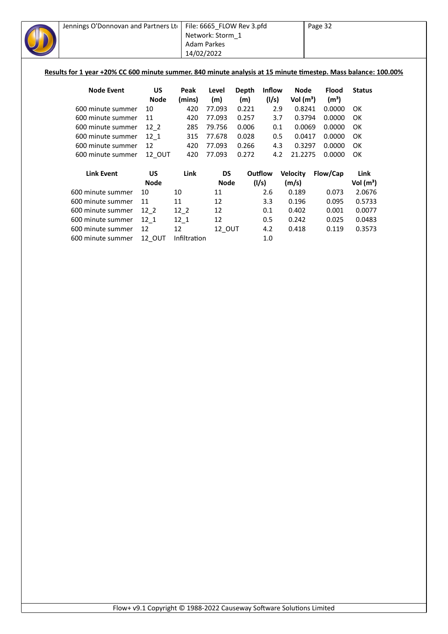| Jennings O'Donnovan and Partners Ltd<br>Results for 1 year +20% CC 600 minute summer. 840 minute analysis at 15 minute timestep. Mass balance: 100.00% |               |                | File: 6665_FLOW Rev 3.pfd<br>Network: Storm 1<br><b>Adam Parkes</b><br>14/02/2022 |              |                        |                     | Page 32                           |               |
|--------------------------------------------------------------------------------------------------------------------------------------------------------|---------------|----------------|-----------------------------------------------------------------------------------|--------------|------------------------|---------------------|-----------------------------------|---------------|
| <b>Node Event</b>                                                                                                                                      | US<br>Node    | Peak<br>(mins) | Level<br>(m)                                                                      | Depth<br>(m) | <b>Inflow</b><br>(1/s) | Node<br>Vol $(m^3)$ | <b>Flood</b><br>(m <sup>3</sup> ) | <b>Status</b> |
| 600 minute summer                                                                                                                                      | 10            | 420            | 77.093                                                                            | 0.221        | 2.9                    | 0.8241              | 0.0000                            | OK            |
| 600 minute summer                                                                                                                                      | 11            | 420            | 77.093                                                                            | 0.257        | 3.7                    | 0.3794              | 0.0000                            | OK            |
| 600 minute summer                                                                                                                                      | 12 2          | 285            | 79.756                                                                            | 0.006        | 0.1                    | 0.0069              | 0.0000                            | OK            |
| 600 minute summer                                                                                                                                      | 12 1          | 315            | 77.678                                                                            | 0.028        | 0.5                    | 0.0417              | 0.0000                            | OK            |
| 600 minute summer                                                                                                                                      | 12            | 420            | 77.093                                                                            | 0.266        | 4.3                    | 0.3297              | 0.0000                            | OK            |
| 600 minute summer                                                                                                                                      | <b>12 OUT</b> | 420            | 77.093                                                                            | 0.272        | 4.2                    | 21.2275             | 0.0000                            | OK            |
| <b>Link Event</b>                                                                                                                                      | <b>US</b>     | Link           | DS                                                                                |              | Outflow                | <b>Velocity</b>     | Flow/Cap                          | Link          |

| LIIIK EVEIIL      | UJ.         | LIIIK        | כּש           | ouulow | <b>VEIDLILY</b> | riuw/Cdp | LIIIK       |
|-------------------|-------------|--------------|---------------|--------|-----------------|----------|-------------|
|                   | <b>Node</b> |              | <b>Node</b>   | (1/s)  | (m/s)           |          | Vol $(m^3)$ |
| 600 minute summer | 10          | 10           | 11            | 2.6    | 0.189           | 0.073    | 2.0676      |
| 600 minute summer | 11          | 11           | 12            | 3.3    | 0.196           | 0.095    | 0.5733      |
| 600 minute summer | 12 2        | 12 2         | 12            | 0.1    | 0.402           | 0.001    | 0.0077      |
| 600 minute summer | 12 1        | 12 1         | 12            | 0.5    | 0.242           | 0.025    | 0.0483      |
| 600 minute summer | 12          | 12           | <b>12 OUT</b> | 4.2    | 0.418           | 0.119    | 0.3573      |
| 600 minute summer | 12 OUT      | Infiltration |               | 1.0    |                 |          |             |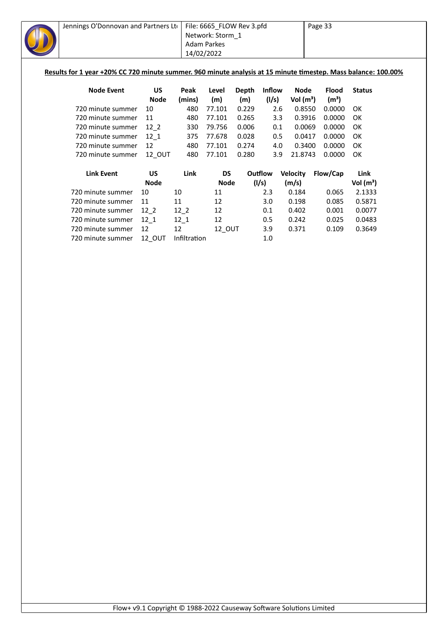| Jennings O'Donnovan and Partners Ltd                                                                           |                    |        | File: 6665 FLOW Rev 3.pfd<br>Network: Storm 1<br><b>Adam Parkes</b><br>14/02/2022 |       |                  |                          | Page 33           |                               |
|----------------------------------------------------------------------------------------------------------------|--------------------|--------|-----------------------------------------------------------------------------------|-------|------------------|--------------------------|-------------------|-------------------------------|
| Results for 1 year +20% CC 720 minute summer. 960 minute analysis at 15 minute timestep. Mass balance: 100.00% |                    |        |                                                                                   |       |                  |                          |                   |                               |
| <b>Node Event</b>                                                                                              | US                 | Peak   | Level                                                                             | Depth | <b>Inflow</b>    | Node                     | <b>Flood</b>      | <b>Status</b>                 |
|                                                                                                                | <b>Node</b>        | (mins) | (m)                                                                               | (m)   | (1/s)            | Vol $(m^3)$              | (m <sup>3</sup> ) |                               |
| 720 minute summer                                                                                              | 10                 | 480    | 77.101                                                                            | 0.229 | 2.6              | 0.8550                   | 0.0000            | OK                            |
| 720 minute summer                                                                                              | 11                 | 480    | 77.101                                                                            | 0.265 | 3.3              | 0.3916                   | 0.0000            | OK                            |
| 720 minute summer                                                                                              | 12 2               | 330    | 79.756                                                                            | 0.006 | 0.1              | 0.0069                   | 0.0000            | OK                            |
| 720 minute summer                                                                                              | 12 1               | 375    | 77.678                                                                            | 0.028 | 0.5              | 0.0417                   | 0.0000            | OK                            |
| 720 minute summer                                                                                              | 12                 | 480    | 77.101                                                                            | 0.274 | 4.0              | 0.3400                   | 0.0000            | OK                            |
| 720 minute summer                                                                                              | 12 OUT             | 480    | 77.101                                                                            | 0.280 | 3.9              | 21.8743                  | 0.0000            | OK                            |
| <b>Link Event</b>                                                                                              | US.<br><b>Node</b> | Link   | DS<br><b>Node</b>                                                                 |       | Outflow<br>(1/s) | <b>Velocity</b><br>(m/s) | Flow/Cap          | Link<br>Vol (m <sup>3</sup> ) |

|                   | <b>Node</b> |              | Node   | (1/s) | (m/s) |       | Vol $(m^3)$ |
|-------------------|-------------|--------------|--------|-------|-------|-------|-------------|
| 720 minute summer | 10          | 10           | 11     | 2.3   | 0.184 | 0.065 | 2.1333      |
| 720 minute summer | 11          | 11           | 12     | 3.0   | 0.198 | 0.085 | 0.5871      |
| 720 minute summer | 12 2        | 12 2         | 12     | 0.1   | 0.402 | 0.001 | 0.0077      |
| 720 minute summer | 12 1        | 12 1         | 12     | 0.5   | 0.242 | 0.025 | 0.0483      |
| 720 minute summer | -12         | 12           | 12 OUT | 3.9   | 0.371 | 0.109 | 0.3649      |
| 720 minute summer | 12 OUT      | Infiltration |        | 1.0   |       |       |             |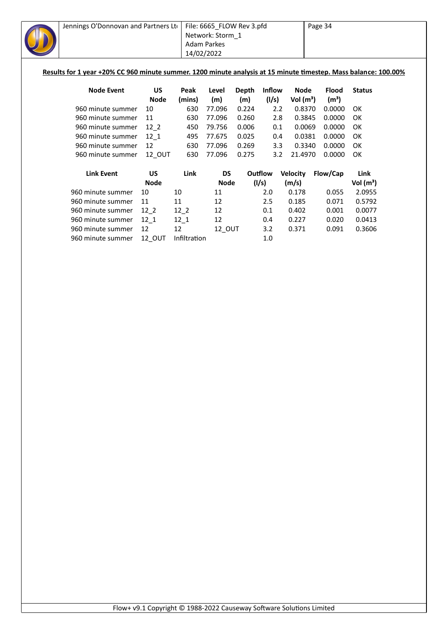| Jennings O'Donnovan and Partners Lto |               | File: 6665_FLOW Rev 3.pfd<br>Network: Storm 1<br><b>Adam Parkes</b><br>14/02/2022 |           |       |               | Page 34<br>Results for 1 year +20% CC 960 minute summer. 1200 minute analysis at 15 minute timestep. Mass balance: 100.00% |                   |               |  |
|--------------------------------------|---------------|-----------------------------------------------------------------------------------|-----------|-------|---------------|----------------------------------------------------------------------------------------------------------------------------|-------------------|---------------|--|
| <b>Node Event</b>                    | US            | Peak                                                                              | Level     | Depth | <b>Inflow</b> | <b>Node</b>                                                                                                                | <b>Flood</b>      | <b>Status</b> |  |
|                                      | <b>Node</b>   | (mins)                                                                            | (m)       | (m)   | (1/s)         | Vol $(m^3)$                                                                                                                | (m <sup>3</sup> ) |               |  |
| 960 minute summer                    | 10            | 630                                                                               | 77.096    | 0.224 | 2.2           | 0.8370                                                                                                                     | 0.0000            | 0K            |  |
| 960 minute summer                    | 11            | 630                                                                               | 77.096    | 0.260 | 2.8           | 0.3845                                                                                                                     | 0.0000            | OK            |  |
| 960 minute summer                    | $12-2$        | 450                                                                               | 79.756    | 0.006 | 0.1           | 0.0069                                                                                                                     | 0.0000            | 0K            |  |
| 960 minute summer                    | 12 1          | 495                                                                               | 77.675    | 0.025 | 0.4           | 0.0381                                                                                                                     | 0.0000            | 0K            |  |
| 960 minute summer                    | 12            | 630                                                                               | 77.096    | 0.269 | 3.3           | 0.3340                                                                                                                     | 0.0000            | 0K            |  |
| 960 minute summer                    | <b>12 OUT</b> | 630                                                                               | 77.096    | 0.275 | 3.2           | 21.4970                                                                                                                    | 0.0000            | OK            |  |
| <b>Link Event</b>                    | <b>US</b>     | Link                                                                              | <b>DS</b> |       | Outflow       | <b>Velocity</b>                                                                                                            | Flow/Cap          | Link          |  |
|                                      | <b>Node</b>   |                                                                                   | Node      |       | (1/s)         | (m/s)                                                                                                                      |                   | Vol $(m^3)$   |  |
| 960 minute summer                    | 10            | 10                                                                                | 11        |       | 2.0           | 0.178                                                                                                                      | 0.055             | 2.0955        |  |
| 960 minute summer                    | 11            | 11                                                                                | 12        |       | 2.5           | 0.185                                                                                                                      | 0.071             | 0.5792        |  |
| 960 minute summer                    | 12 2          | $12-2$                                                                            | 12        |       | 0.1           | 0.402                                                                                                                      | 0.001             | 0.0077        |  |

960 minute summer 12\_1 12\_1 12 0.4 0.227 0.020 0.0413

960 minute summer 12 12 12\_OUT 3.2 0.371 0.091 0.3606

960 minute summer 12\_OUT Infiltration 1.0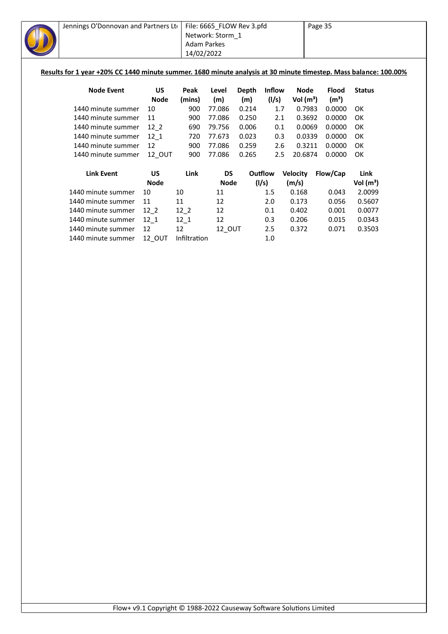| Jennings O'Donnovan and Partners Lto |             | File: 6665_FLOW Rev 3.pfd<br>Network: Storm 1<br><b>Adam Parkes</b><br>14/02/2022<br>Results for 1 year +20% CC 1440 minute summer. 1680 minute analysis at 30 minute timestep. Mass balance: 100.00% |             |              |               | Page 35         |                   |               |  |
|--------------------------------------|-------------|-------------------------------------------------------------------------------------------------------------------------------------------------------------------------------------------------------|-------------|--------------|---------------|-----------------|-------------------|---------------|--|
| <b>Node Event</b>                    | <b>US</b>   | Peak                                                                                                                                                                                                  | Level       | <b>Depth</b> | <b>Inflow</b> | <b>Node</b>     | <b>Flood</b>      | <b>Status</b> |  |
|                                      | <b>Node</b> | (mins)                                                                                                                                                                                                | (m)         | (m)          | (1/s)         | Vol $(m^3)$     | (m <sup>3</sup> ) |               |  |
| 1440 minute summer                   | 10          | 900                                                                                                                                                                                                   | 77.086      | 0.214        |               | 0.7983<br>1.7   | 0.0000            | OK            |  |
| 1440 minute summer                   | 11          | 900                                                                                                                                                                                                   | 77.086      | 0.250        |               | 0.3692<br>2.1   | 0.0000            | OK            |  |
| 1440 minute summer                   | $12-2$      | 690                                                                                                                                                                                                   | 79.756      | 0.006        |               | 0.0069<br>0.1   | 0.0000            | OK            |  |
| 1440 minute summer                   | $12_{1}$    | 720                                                                                                                                                                                                   | 77.673      | 0.023        |               | 0.0339<br>0.3   | 0.0000            | OK            |  |
| 1440 minute summer                   | 12          | 900                                                                                                                                                                                                   | 77.086      | 0.259        |               | 0.3211<br>2.6   | 0.0000            | OK            |  |
| 1440 minute summer                   | 12_OUT      | 900                                                                                                                                                                                                   | 77.086      | 0.265        |               | 20.6874<br>2.5  | 0.0000            | OK            |  |
| <b>Link Event</b>                    | US          | Link                                                                                                                                                                                                  | <b>DS</b>   |              | Outflow       | <b>Velocity</b> | Flow/Cap          | Link          |  |
|                                      | <b>Node</b> |                                                                                                                                                                                                       | <b>Node</b> |              | (1/s)         | (m/s)           |                   | Vol $(m^3)$   |  |
| 1440 minute summer                   | 10          | 10                                                                                                                                                                                                    | 11          |              | 1.5           | 0.168           | 0.043             | 2.0099        |  |
| 1440 minute summer                   | 11          | 11                                                                                                                                                                                                    | 12          |              | 2.0           | 0.173           | 0.056             | 0.5607        |  |
| 1440 minute summer                   | $12-2$      | $12-2$                                                                                                                                                                                                | 12          |              | 0.1           | 0.402           | 0.001             | 0.0077        |  |
| 1440 minute summer                   | $12_{1}$    | $12-1$                                                                                                                                                                                                | 12          |              | 0.3           | 0.206           | 0.015             | 0.0343        |  |
| 1440 minute summer                   | 12          | 12                                                                                                                                                                                                    | 12 OUT      |              | 2.5           | 0.372           | 0.071             | 0.3503        |  |
| 1440 minute summer                   | 12 OUT      | Infiltration                                                                                                                                                                                          |             |              | 1.0           |                 |                   |               |  |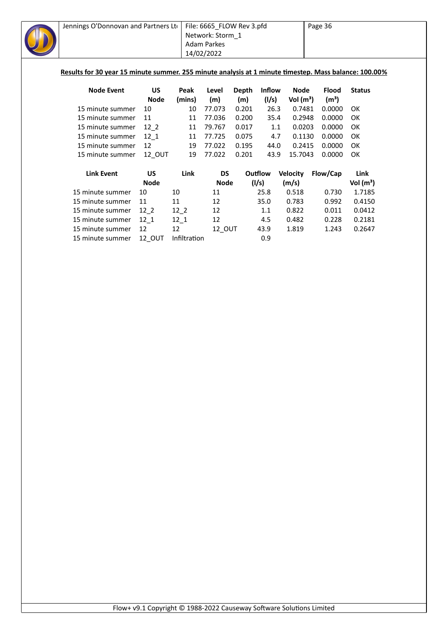| Jennings O'Donnovan and Partners Lto                                                                  |             |          | File: 6665 FLOW Rev 3.pfd |       |               |                 | Page 36           |               |  |  |  |
|-------------------------------------------------------------------------------------------------------|-------------|----------|---------------------------|-------|---------------|-----------------|-------------------|---------------|--|--|--|
|                                                                                                       |             |          | Network: Storm 1          |       |               |                 |                   |               |  |  |  |
|                                                                                                       |             |          | <b>Adam Parkes</b>        |       |               |                 |                   |               |  |  |  |
|                                                                                                       |             |          | 14/02/2022                |       |               |                 |                   |               |  |  |  |
|                                                                                                       |             |          |                           |       |               |                 |                   |               |  |  |  |
| Results for 30 year 15 minute summer. 255 minute analysis at 1 minute timestep. Mass balance: 100.00% |             |          |                           |       |               |                 |                   |               |  |  |  |
|                                                                                                       |             |          |                           |       |               |                 |                   |               |  |  |  |
| <b>Node Event</b>                                                                                     | <b>US</b>   | Peak     | Level                     | Depth | <b>Inflow</b> | <b>Node</b>     | <b>Flood</b>      | <b>Status</b> |  |  |  |
|                                                                                                       | <b>Node</b> | (mins)   | (m)                       | (m)   | (I/s)         | Vol $(m^3)$     | (m <sup>3</sup> ) |               |  |  |  |
| 15 minute summer                                                                                      | 10          | 10       | 77.073                    | 0.201 | 26.3          | 0.7481          | 0.0000            | OK            |  |  |  |
| 15 minute summer                                                                                      | 11          | 11       | 77.036                    | 0.200 | 35.4          | 0.2948          | 0.0000            | OK            |  |  |  |
| 15 minute summer                                                                                      | $12-2$      | 11       | 79.767                    | 0.017 | 1.1           | 0.0203          | 0.0000            | OK            |  |  |  |
| 15 minute summer                                                                                      | $12 - 1$    | 11       | 77.725                    | 0.075 | 4.7           | 0.1130          | 0.0000            | OK            |  |  |  |
| 15 minute summer                                                                                      | 12          | 19       | 77.022                    | 0.195 | 44.0          | 0.2415          | 0.0000            | OK            |  |  |  |
| 15 minute summer                                                                                      | 12 OUT      | 19       | 77.022                    | 0.201 | 43.9          | 15.7043         | 0.0000            | OK            |  |  |  |
|                                                                                                       |             |          |                           |       |               |                 |                   |               |  |  |  |
| <b>Link Event</b>                                                                                     | <b>US</b>   | Link     | <b>DS</b>                 |       | Outflow       | <b>Velocity</b> | Flow/Cap          | Link          |  |  |  |
|                                                                                                       | <b>Node</b> |          | <b>Node</b>               |       | (1/s)         | (m/s)           |                   | Vol $(m^3)$   |  |  |  |
| 15 minute summer                                                                                      | 10          | 10       | 11                        |       | 25.8          | 0.518           | 0.730             | 1.7185        |  |  |  |
| 15 minute summer                                                                                      | 11          | 11       | 12                        |       | 35.0          | 0.783           | 0.992             | 0.4150        |  |  |  |
| 15 minute summer                                                                                      | $12-2$      | $12-2$   | 12                        |       | 1.1           | 0.822           | 0.011             | 0.0412        |  |  |  |
| 15 minute summer                                                                                      | $12 - 1$    | $12_{1}$ | 12                        |       | 4.5           | 0.482           | 0.228             | 0.2181        |  |  |  |
| 15 minute summer                                                                                      | 12          | 12       | 12 OUT                    |       | 43.9          | 1.819           | 1.243             | 0.2647        |  |  |  |

15 minute summer 12\_OUT Infiltration 6.9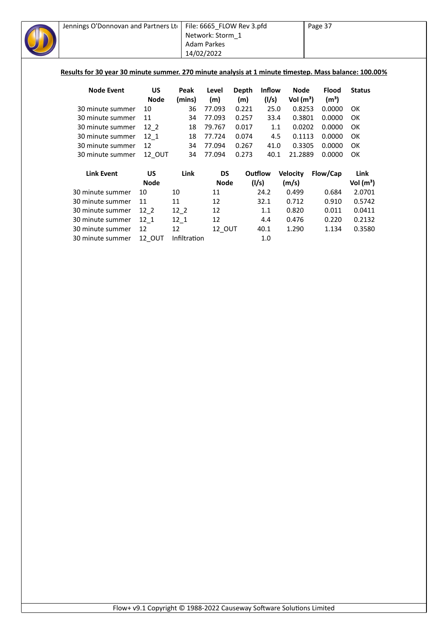| Jennings O'Donnovan and Partners Lto<br>Results for 30 year 30 minute summer. 270 minute analysis at 1 minute timestep. Mass balance: 100.00% |               |              | File: 6665_FLOW Rev 3.pfd<br>Network: Storm 1<br>Adam Parkes<br>14/02/2022 |              |               |                 | Page 37           |               |
|-----------------------------------------------------------------------------------------------------------------------------------------------|---------------|--------------|----------------------------------------------------------------------------|--------------|---------------|-----------------|-------------------|---------------|
| <b>Node Event</b>                                                                                                                             | <b>US</b>     | Peak         | Level                                                                      | <b>Depth</b> | <b>Inflow</b> | <b>Node</b>     | <b>Flood</b>      | <b>Status</b> |
|                                                                                                                                               | <b>Node</b>   | (mins)       | (m)                                                                        | (m)          | (I/s)         | Vol $(m^3)$     | (m <sup>3</sup> ) |               |
| 30 minute summer                                                                                                                              | 10            | 36           | 77.093                                                                     | 0.221        | 25.0          | 0.8253          | 0.0000            | OK            |
| 30 minute summer                                                                                                                              | 11            | 34           | 77.093                                                                     | 0.257        | 33.4          | 0.3801          | 0.0000            | OK            |
| 30 minute summer                                                                                                                              | $12-2$        | 18           | 79.767                                                                     | 0.017        | 1.1           | 0.0202          | 0.0000            | OK            |
| 30 minute summer                                                                                                                              | $12_{1}$      | 18           | 77.724                                                                     | 0.074        | 4.5           | 0.1113          | 0.0000            | OK            |
| 30 minute summer                                                                                                                              | 12            | 34           | 77.094                                                                     | 0.267        | 41.0          | 0.3305          | 0.0000            | OK            |
| 30 minute summer                                                                                                                              | 12_OUT        | 34           | 77.094                                                                     | 0.273        | 40.1          | 21.2889         | 0.0000            | OK            |
| <b>Link Event</b>                                                                                                                             | <b>US</b>     | Link         | <b>DS</b>                                                                  |              | Outflow       | <b>Velocity</b> | Flow/Cap          | Link          |
|                                                                                                                                               | <b>Node</b>   |              | <b>Node</b>                                                                |              | (1/s)         | (m/s)           |                   | Vol $(m^3)$   |
| 30 minute summer                                                                                                                              | 10            | 10           | 11                                                                         |              | 24.2          | 0.499           | 0.684             | 2.0701        |
| 30 minute summer                                                                                                                              | 11            | 11           | 12                                                                         |              | 32.1          | 0.712           | 0.910             | 0.5742        |
| 30 minute summer                                                                                                                              | $12-2$        | $12-2$       | 12                                                                         |              | 1.1           | 0.820           | 0.011             | 0.0411        |
| 30 minute summer                                                                                                                              | $12 - 1$      | $12_1$       | 12                                                                         |              | 4.4           | 0.476           | 0.220             | 0.2132        |
| 30 minute summer                                                                                                                              | 12            | 12           | 12_OUT                                                                     |              | 40.1          | 1.290           | 1.134             | 0.3580        |
| 30 minute summer                                                                                                                              | <b>12 OUT</b> | Infiltration |                                                                            |              | 1.0           |                 |                   |               |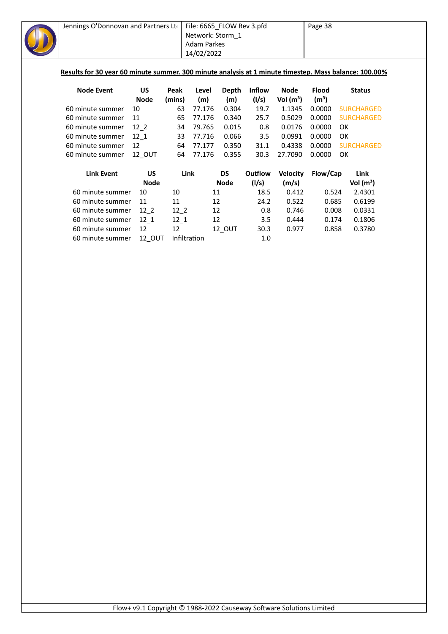| Jennings O'Donnovan and Partners Ltd                                                                  |             |              |                    | File: 6665_FLOW Rev 3.pfd |               |                 | Page 38           |                   |
|-------------------------------------------------------------------------------------------------------|-------------|--------------|--------------------|---------------------------|---------------|-----------------|-------------------|-------------------|
|                                                                                                       |             |              |                    | Network: Storm_1          |               |                 |                   |                   |
|                                                                                                       |             |              | <b>Adam Parkes</b> |                           |               |                 |                   |                   |
|                                                                                                       |             |              | 14/02/2022         |                           |               |                 |                   |                   |
|                                                                                                       |             |              |                    |                           |               |                 |                   |                   |
| Results for 30 year 60 minute summer. 300 minute analysis at 1 minute timestep. Mass balance: 100.00% |             |              |                    |                           |               |                 |                   |                   |
|                                                                                                       |             |              |                    |                           |               |                 |                   |                   |
| <b>Node Event</b>                                                                                     | <b>US</b>   | Peak         | Level              | <b>Depth</b>              | <b>Inflow</b> | <b>Node</b>     | <b>Flood</b>      | <b>Status</b>     |
|                                                                                                       | <b>Node</b> | (mins)       | (m)                | (m)                       | (1/s)         | Vol $(m^3)$     | (m <sup>3</sup> ) |                   |
| 60 minute summer                                                                                      | 10          | 63           | 77.176             | 0.304                     | 19.7          | 1.1345          | 0.0000            | <b>SURCHARGED</b> |
| 60 minute summer                                                                                      | 11          | 65           | 77.176             | 0.340                     | 25.7          | 0.5029          | 0.0000            | <b>SURCHARGED</b> |
| 60 minute summer                                                                                      | $12-2$      | 34           | 79.765             | 0.015                     | 0.8           | 0.0176          | 0.0000            | OK.               |
| 60 minute summer                                                                                      | $12_{1}$    | 33           | 77.716             | 0.066                     | 3.5           | 0.0991          | 0.0000            | OK                |
| 60 minute summer                                                                                      | 12          | 64           | 77.177             | 0.350                     | 31.1          | 0.4338          | 0.0000            | <b>SURCHARGED</b> |
| 60 minute summer                                                                                      | 12_OUT      | 64           | 77.176             | 0.355                     | 30.3          | 27.7090         | 0.0000            | OK                |
| <b>Link Event</b>                                                                                     | <b>US</b>   | Link         |                    | <b>DS</b>                 | Outflow       | <b>Velocity</b> | Flow/Cap          | Link              |
|                                                                                                       | <b>Node</b> |              |                    | <b>Node</b>               | (1/s)         | (m/s)           |                   | Vol $(m^3)$       |
| 60 minute summer                                                                                      | 10          | 10           |                    | 11                        | 18.5          | 0.412           | 0.524             | 2.4301            |
| 60 minute summer                                                                                      | 11          | 11           |                    | 12                        | 24.2          | 0.522           | 0.685             | 0.6199            |
| 60 minute summer                                                                                      | $12-2$      | $12-2$       |                    | 12                        | 0.8           | 0.746           | 0.008             | 0.0331            |
| 60 minute summer                                                                                      | $12_{1}$    | $12_1$       |                    | 12                        | 3.5           | 0.444           | 0.174             | 0.1806            |
| 60 minute summer                                                                                      | 12          | 12           |                    | 12_OUT                    | 30.3          | 0.977           | 0.858             | 0.3780            |
| 60 minute summer                                                                                      | 12_OUT      | Infiltration |                    |                           | 1.0           |                 |                   |                   |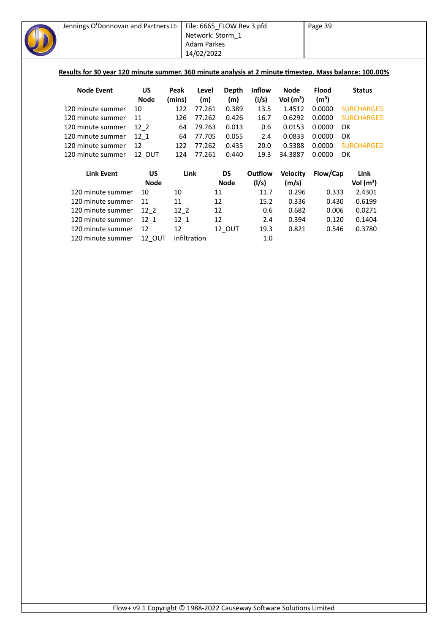| Jennings O'Donnovan and Partners Ltd                                                                   |             |        | File: 6665_FLOW Rev 3.pfd<br>Network: Storm_1 |              |               |                 | Page 39           |                   |
|--------------------------------------------------------------------------------------------------------|-------------|--------|-----------------------------------------------|--------------|---------------|-----------------|-------------------|-------------------|
|                                                                                                        |             |        | <b>Adam Parkes</b>                            |              |               |                 |                   |                   |
|                                                                                                        |             |        | 14/02/2022                                    |              |               |                 |                   |                   |
| Results for 30 year 120 minute summer. 360 minute analysis at 2 minute timestep. Mass balance: 100.00% |             |        |                                               |              |               |                 |                   |                   |
| <b>Node Event</b>                                                                                      | <b>US</b>   | Peak   | Level                                         | <b>Depth</b> | <b>Inflow</b> | <b>Node</b>     | <b>Flood</b>      | <b>Status</b>     |
|                                                                                                        | <b>Node</b> | (mins) | (m)                                           | (m)          | (1/s)         | Vol $(m^3)$     | (m <sup>3</sup> ) |                   |
| 120 minute summer                                                                                      | 10          | 122    | 77.261                                        | 0.389        | 13.5          | 1.4512          | 0.0000            | <b>SURCHARGED</b> |
| 120 minute summer                                                                                      | 11          | 126    | 77.262                                        | 0.426        | 16.7          | 0.6292          | 0.0000            | <b>SURCHARGED</b> |
| 120 minute summer                                                                                      | $12-2$      | 64     | 79.763                                        | 0.013        | 0.6           | 0.0153          | 0.0000            | OK                |
| 120 minute summer                                                                                      | $12 - 1$    | 64     | 77.705                                        | 0.055        | 2.4           | 0.0833          | 0.0000            | OK                |
| 120 minute summer                                                                                      | 12          | 122    | 77.262                                        | 0.435        | 20.0          | 0.5388          | 0.0000            | <b>SURCHARGED</b> |
| 120 minute summer                                                                                      | 12 OUT      | 124    | 77.261                                        | 0.440        | 19.3          | 34.3887         | 0.0000            | OK                |
| <b>Link Event</b>                                                                                      | <b>US</b>   | Link   |                                               | <b>DS</b>    | Outflow       | <b>Velocity</b> | Flow/Cap          | Link              |
|                                                                                                        | <b>Node</b> |        |                                               | <b>Node</b>  | (1/s)         | (m/s)           |                   | Vol $(m^3)$       |
| 120 minute summer                                                                                      | 10          | 10     | 11                                            |              | 11.7          | 0.296           | 0.333             | 2.4301            |
| 120 minute summer                                                                                      | 11          | 11     | 12                                            |              | 15.2          | 0.336           | 0.430             | 0.6199            |
| 120 minute summer                                                                                      | $12-2$      | $12-2$ | 12                                            |              | 0.6           | 0.682           | 0.006             | 0.0271            |
| 120 minute summer                                                                                      | $12_1$      | $12_1$ | 12                                            |              | 2.4           | 0.394           | 0.120             | 0.1404            |
|                                                                                                        | 12          | 12     |                                               | 12_OUT       | 19.3          | 0.821           | 0.546             | 0.3780            |
| 120 minute summer                                                                                      |             |        |                                               |              |               |                 |                   |                   |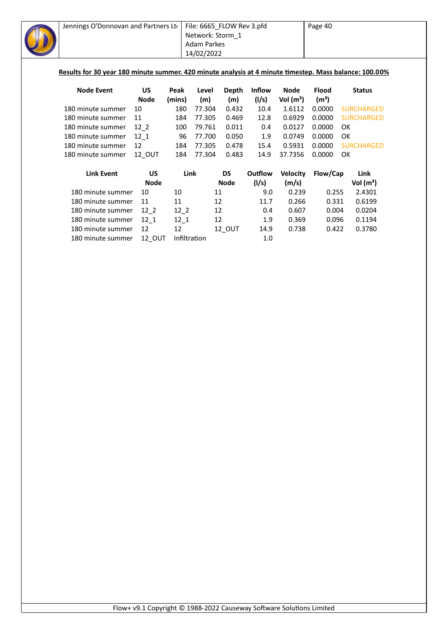| Jennings O'Donnovan and Partners Ltd                                                                   |             |              | File: 6665_FLOW Rev 3.pfd |              |               |                 | Page 40           |                   |  |  |
|--------------------------------------------------------------------------------------------------------|-------------|--------------|---------------------------|--------------|---------------|-----------------|-------------------|-------------------|--|--|
|                                                                                                        |             |              | Network: Storm_1          |              |               |                 |                   |                   |  |  |
|                                                                                                        |             |              | <b>Adam Parkes</b>        |              |               |                 |                   |                   |  |  |
|                                                                                                        |             |              | 14/02/2022                |              |               |                 |                   |                   |  |  |
|                                                                                                        |             |              |                           |              |               |                 |                   |                   |  |  |
| Results for 30 year 180 minute summer. 420 minute analysis at 4 minute timestep. Mass balance: 100.00% |             |              |                           |              |               |                 |                   |                   |  |  |
| <b>Node Event</b>                                                                                      | <b>US</b>   | Peak         | Level                     | <b>Depth</b> | <b>Inflow</b> | <b>Node</b>     | <b>Flood</b>      | <b>Status</b>     |  |  |
|                                                                                                        | <b>Node</b> | (mins)       | (m)                       | (m)          | (1/s)         | Vol $(m^3)$     | (m <sup>3</sup> ) |                   |  |  |
| 180 minute summer                                                                                      | 10          | 180          | 77.304                    | 0.432        | 10.4          | 1.6112          | 0.0000            | <b>SURCHARGED</b> |  |  |
| 180 minute summer                                                                                      | 11          | 184          | 77.305                    | 0.469        | 12.8          | 0.6929          | 0.0000            | <b>SURCHARGED</b> |  |  |
| 180 minute summer                                                                                      | $12-2$      | 100          | 79.761                    | 0.011        | 0.4           | 0.0127          | 0.0000            | OK                |  |  |
| 180 minute summer                                                                                      | 12 1        | 96           | 77.700                    | 0.050        | 1.9           | 0.0749          | 0.0000            | OK                |  |  |
| 180 minute summer                                                                                      | 12          | 184          | 77.305                    | 0.478        | 15.4          | 0.5931          | 0.0000            | <b>SURCHARGED</b> |  |  |
| 180 minute summer                                                                                      | 12_OUT      | 184          | 77.304                    | 0.483        | 14.9          | 37.7356         | 0.0000            | <b>OK</b>         |  |  |
| <b>Link Event</b>                                                                                      | <b>US</b>   | Link         |                           | <b>DS</b>    | Outflow       | <b>Velocity</b> | Flow/Cap          | Link              |  |  |
|                                                                                                        | <b>Node</b> |              |                           | <b>Node</b>  | (1/s)         | (m/s)           |                   | Vol $(m^3)$       |  |  |
| 180 minute summer                                                                                      | 10          | 10           | 11                        |              | 9.0           | 0.239           | 0.255             | 2.4301            |  |  |
| 180 minute summer                                                                                      | 11          | 11           | 12                        |              | 11.7          | 0.266           | 0.331             | 0.6199            |  |  |
| 180 minute summer                                                                                      | $12_{2}$    | $12-2$       | 12                        |              | 0.4           | 0.607           | 0.004             | 0.0204            |  |  |
| 180 minute summer                                                                                      | $12_1$      | $12_1$       | 12                        |              | 1.9           | 0.369           | 0.096             | 0.1194            |  |  |
| 180 minute summer                                                                                      | 12          | 12           |                           | 12_OUT       | 14.9          | 0.738           | 0.422             | 0.3780            |  |  |
| 180 minute summer                                                                                      | 12_OUT      | Infiltration |                           |              | 1.0           |                 |                   |                   |  |  |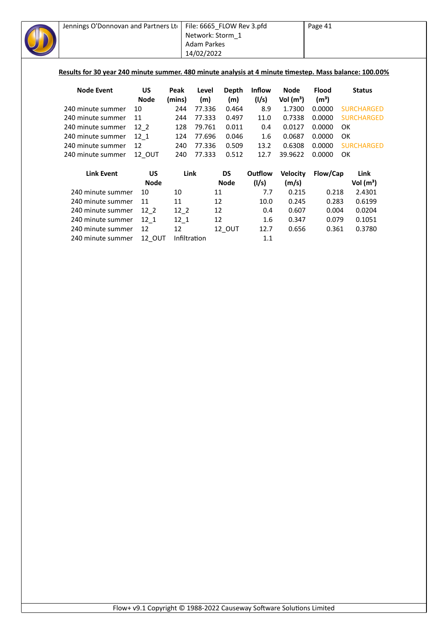|                   | Jennings O'Donnovan and Partners Lto |             |        | File: 6665_FLOW Rev 3.pfd                             |             |         |                 | Page 41                           |           |                                                                                                        |
|-------------------|--------------------------------------|-------------|--------|-------------------------------------------------------|-------------|---------|-----------------|-----------------------------------|-----------|--------------------------------------------------------------------------------------------------------|
|                   |                                      |             |        | Network: Storm 1                                      |             |         |                 |                                   |           |                                                                                                        |
|                   |                                      |             |        | <b>Adam Parkes</b>                                    |             |         |                 |                                   |           |                                                                                                        |
|                   |                                      |             |        | 14/02/2022                                            |             |         |                 |                                   |           |                                                                                                        |
|                   |                                      |             |        |                                                       |             |         |                 |                                   |           |                                                                                                        |
|                   |                                      |             |        |                                                       |             |         |                 |                                   |           | Results for 30 year 240 minute summer. 480 minute analysis at 4 minute timestep. Mass balance: 100.00% |
| <b>Node Event</b> |                                      | <b>US</b>   | Peak   | <b>Depth</b><br><b>Inflow</b><br>Level<br><b>Node</b> |             |         |                 |                                   |           | <b>Status</b>                                                                                          |
|                   |                                      | <b>Node</b> | (mins) | (m)                                                   | (m)         | (1/s)   | Vol $(m^3)$     | <b>Flood</b><br>(m <sup>3</sup> ) |           |                                                                                                        |
| 240 minute summer |                                      | 10          | 244    | 77.336                                                | 0.464       | 8.9     | 1.7300          | 0.0000                            |           | <b>SURCHARGED</b>                                                                                      |
| 240 minute summer |                                      | 11          | 244    | 77.333                                                | 0.497       | 11.0    | 0.7338          | 0.0000                            |           | <b>SURCHARGED</b>                                                                                      |
| 240 minute summer |                                      | $12-2$      | 128    | 79.761                                                | 0.011       | 0.4     | 0.0127          | 0.0000                            | <b>OK</b> |                                                                                                        |
| 240 minute summer |                                      | 12 1        | 124    | 77.696                                                | 0.046       | 1.6     | 0.0687          | 0.0000                            | OK        |                                                                                                        |
| 240 minute summer |                                      | 12          | 240    | 77.336                                                | 0.509       | 13.2    | 0.6308          | 0.0000                            |           | <b>SURCHARGED</b>                                                                                      |
| 240 minute summer |                                      | 12 OUT      | 240    | 77.333                                                | 0.512       | 12.7    | 39.9622         | 0.0000                            | <b>OK</b> |                                                                                                        |
|                   |                                      |             |        |                                                       |             |         |                 |                                   |           |                                                                                                        |
|                   | <b>Link Event</b>                    | <b>US</b>   | Link   |                                                       | <b>DS</b>   | Outflow | <b>Velocity</b> | Flow/Cap                          |           | Link                                                                                                   |
|                   |                                      | <b>Node</b> |        |                                                       | <b>Node</b> | (1/s)   | (m/s)           |                                   |           | Vol $(m^3)$                                                                                            |
|                   | 240 minute summer                    | 10          | 10     | 11                                                    |             | 7.7     | 0.215           | 0.218                             |           | 2.4301                                                                                                 |
|                   | 240 minute summer                    | 11          | 11     | 12                                                    |             | 10.0    | 0.245           | 0.283                             |           | 0.6199                                                                                                 |
|                   | 240 minute summer                    | $12-2$      | $12-2$ | 12                                                    |             | 0.4     | 0.607           | 0.004                             |           | 0.0204                                                                                                 |
|                   | 240 minute summer                    | $12_{1}$    | $12-1$ | 12                                                    |             | 1.6     | 0.347           | 0.079                             |           | 0.1051                                                                                                 |
|                   | 240 minute summer                    | 12          | 12     |                                                       | 12_OUT      | 12.7    | 0.656           | 0.361                             |           | 0.3780                                                                                                 |
|                   | <b>12 OUT</b><br>240 minute summer   |             |        | Infiltration<br>$1.1\,$                               |             |         |                 |                                   |           |                                                                                                        |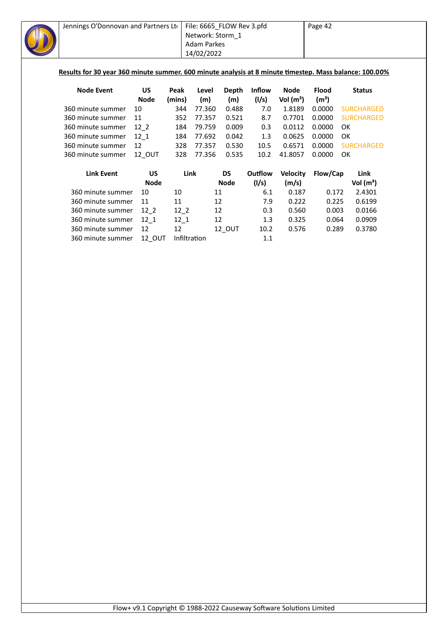| Jennings O'Donnovan and Partners Lto                                                                   |             |              | File: 6665_FLOW Rev 3.pfd |             |               |                 | Page 42           |                   |
|--------------------------------------------------------------------------------------------------------|-------------|--------------|---------------------------|-------------|---------------|-----------------|-------------------|-------------------|
|                                                                                                        |             |              | Network: Storm 1          |             |               |                 |                   |                   |
|                                                                                                        |             |              | <b>Adam Parkes</b>        |             |               |                 |                   |                   |
|                                                                                                        |             |              | 14/02/2022                |             |               |                 |                   |                   |
|                                                                                                        |             |              |                           |             |               |                 |                   |                   |
| Results for 30 year 360 minute summer. 600 minute analysis at 8 minute timestep. Mass balance: 100.00% |             |              |                           |             |               |                 |                   |                   |
| <b>Node Event</b>                                                                                      | <b>US</b>   | Peak         | Level                     | Depth       | <b>Inflow</b> | <b>Node</b>     | <b>Flood</b>      | <b>Status</b>     |
|                                                                                                        | <b>Node</b> | (mins)       | (m)                       | (m)         | (1/s)         | Vol $(m^3)$     | (m <sup>3</sup> ) |                   |
| 360 minute summer                                                                                      | 10          | 344          | 77.360                    | 0.488       | 7.0           | 1.8189          | 0.0000            | <b>SURCHARGED</b> |
| 360 minute summer                                                                                      | 11          | 352          | 77.357                    | 0.521       | 8.7           | 0.7701          | 0.0000            | <b>SURCHARGED</b> |
| 360 minute summer                                                                                      | $12-2$      | 184          | 79.759                    | 0.009       | 0.3           | 0.0112          | 0.0000            | OK                |
| 360 minute summer                                                                                      | 12 1        | 184          | 77.692                    | 0.042       | 1.3           | 0.0625          | 0.0000            | <b>OK</b>         |
| 360 minute summer                                                                                      | 12          | 328          | 77.357                    | 0.530       | 10.5          | 0.6571          | 0.0000            | <b>SURCHARGED</b> |
| 360 minute summer                                                                                      | 12_OUT      | 328          | 77.356                    | 0.535       | 10.2          | 41.8057         | 0.0000            | OK                |
| <b>Link Event</b>                                                                                      | <b>US</b>   | Link         |                           | <b>DS</b>   | Outflow       | <b>Velocity</b> | Flow/Cap          | Link              |
|                                                                                                        | <b>Node</b> |              |                           | <b>Node</b> | (1/s)         | (m/s)           |                   | Vol $(m^3)$       |
| 360 minute summer                                                                                      | 10          | 10           | 11                        |             | 6.1           | 0.187           | 0.172             | 2.4301            |
| 360 minute summer                                                                                      | 11          | 11           | 12                        |             | 7.9           | 0.222           | 0.225             | 0.6199            |
| 360 minute summer                                                                                      | $12-2$      | $12-2$       | 12                        |             | 0.3           | 0.560           | 0.003             | 0.0166            |
| 360 minute summer                                                                                      | $12_1$      | $12-1$       | 12                        |             | 1.3           | 0.325           | 0.064             | 0.0909            |
| 360 minute summer                                                                                      | 12          | 12           |                           | 12_OUT      | 10.2          | 0.576           | 0.289             | 0.3780            |
| 360 minute summer                                                                                      | 12_OUT      | Infiltration |                           |             | $1.1\,$       |                 |                   |                   |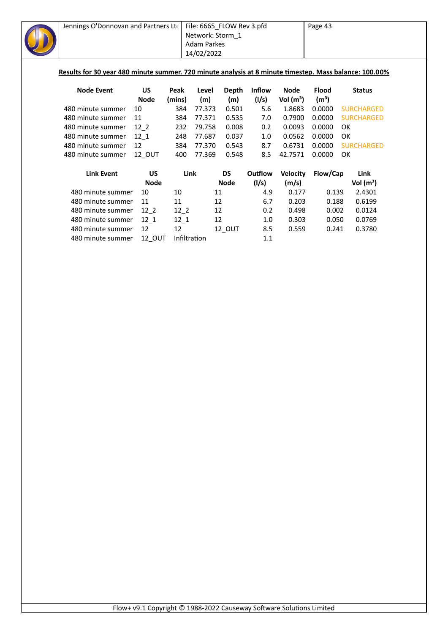| Jennings O'Donnovan and Partners Lto                                                                   |             |        | File: 6665_FLOW Rev 3.pfd |             |               |                 | Page 43           |                   |  |  |
|--------------------------------------------------------------------------------------------------------|-------------|--------|---------------------------|-------------|---------------|-----------------|-------------------|-------------------|--|--|
|                                                                                                        |             |        | Network: Storm_1          |             |               |                 |                   |                   |  |  |
|                                                                                                        |             |        | <b>Adam Parkes</b>        |             |               |                 |                   |                   |  |  |
|                                                                                                        |             |        | 14/02/2022                |             |               |                 |                   |                   |  |  |
|                                                                                                        |             |        |                           |             |               |                 |                   |                   |  |  |
| Results for 30 year 480 minute summer. 720 minute analysis at 8 minute timestep. Mass balance: 100.00% |             |        |                           |             |               |                 |                   |                   |  |  |
| <b>Node Event</b>                                                                                      | <b>US</b>   | Peak   | Level                     | Depth       | <b>Inflow</b> | <b>Node</b>     | <b>Flood</b>      | <b>Status</b>     |  |  |
|                                                                                                        | <b>Node</b> | (mins) | (m)                       | (m)         | (1/s)         | Vol $(m^3)$     | (m <sup>3</sup> ) |                   |  |  |
| 480 minute summer                                                                                      | 10          | 384    | 77.373                    | 0.501       | 5.6           | 1.8683          | 0.0000            | <b>SURCHARGED</b> |  |  |
| 480 minute summer                                                                                      | 11          | 384    | 77.371                    | 0.535       | 7.0           | 0.7900          | 0.0000            | <b>SURCHARGED</b> |  |  |
| 480 minute summer                                                                                      | 12 2        | 232    | 79.758                    | 0.008       | 0.2           | 0.0093          | 0.0000            | OK                |  |  |
| 480 minute summer                                                                                      | $12-1$      | 248    | 77.687                    | 0.037       | 1.0           | 0.0562          | 0.0000            | 0K                |  |  |
| 480 minute summer                                                                                      | 12          | 384    | 77.370                    | 0.543       | 8.7           | 0.6731          | 0.0000            | <b>SURCHARGED</b> |  |  |
| 480 minute summer                                                                                      | 12_OUT      | 400    | 77.369                    | 0.548       | 8.5           | 42.7571         | 0.0000            | <b>OK</b>         |  |  |
| <b>Link Event</b>                                                                                      | <b>US</b>   | Link   |                           | <b>DS</b>   | Outflow       | <b>Velocity</b> | Flow/Cap          | Link              |  |  |
|                                                                                                        | <b>Node</b> |        |                           | <b>Node</b> | (1/s)         | (m/s)           |                   | Vol $(m^3)$       |  |  |
| 480 minute summer                                                                                      | 10          | 10     | 11                        |             | 4.9           | 0.177           | 0.139             | 2.4301            |  |  |
| 480 minute summer                                                                                      | 11          | 11     | 12                        |             | 6.7           | 0.203           | 0.188             | 0.6199            |  |  |
| 480 minute summer                                                                                      | $12-2$      | $12-2$ | 12                        |             | 0.2           | 0.498           | 0.002             | 0.0124            |  |  |
| 480 minute summer                                                                                      | $12-1$      | $12_1$ | 12                        |             | 1.0           | 0.303           | 0.050             | 0.0769            |  |  |
| 480 minute summer                                                                                      | 12          | 12     |                           | 12_OUT      | 8.5           | 0.559           | 0.241             | 0.3780            |  |  |
|                                                                                                        |             |        |                           |             |               |                 |                   |                   |  |  |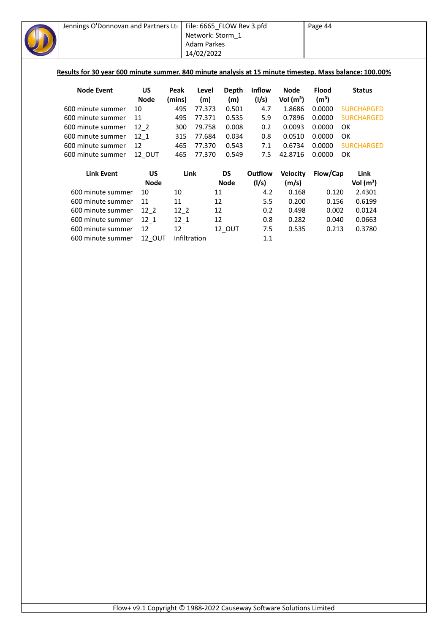| Jennings O'Donnovan and Partners Lto                                                                    |               |              | File: 6665_FLOW Rev 3.pfd                      |             |         |                 | Page 44                           |                   |  |  |
|---------------------------------------------------------------------------------------------------------|---------------|--------------|------------------------------------------------|-------------|---------|-----------------|-----------------------------------|-------------------|--|--|
|                                                                                                         |               |              | Network: Storm 1                               |             |         |                 |                                   |                   |  |  |
|                                                                                                         |               |              | <b>Adam Parkes</b>                             |             |         |                 |                                   |                   |  |  |
|                                                                                                         |               |              | 14/02/2022                                     |             |         |                 |                                   |                   |  |  |
|                                                                                                         |               |              |                                                |             |         |                 |                                   |                   |  |  |
| Results for 30 year 600 minute summer. 840 minute analysis at 15 minute timestep. Mass balance: 100.00% |               |              |                                                |             |         |                 |                                   |                   |  |  |
| <b>Node Event</b>                                                                                       | <b>US</b>     | Peak         | <b>Inflow</b><br>Level<br>Depth<br><b>Node</b> |             |         |                 |                                   | <b>Status</b>     |  |  |
|                                                                                                         | <b>Node</b>   | (mins)       | (m)                                            | (m)         | (1/s)   | Vol $(m^3)$     | <b>Flood</b><br>(m <sup>3</sup> ) |                   |  |  |
| 600 minute summer                                                                                       | 10            | 495          | 77.373                                         | 0.501       | 4.7     | 1.8686          | 0.0000                            | <b>SURCHARGED</b> |  |  |
| 600 minute summer                                                                                       | 11            | 495          | 77.371                                         | 0.535       | 5.9     | 0.7896          | 0.0000                            | <b>SURCHARGED</b> |  |  |
| 600 minute summer                                                                                       | 12 2          | 300          | 79.758                                         | 0.008       | 0.2     | 0.0093          | 0.0000                            | <b>OK</b>         |  |  |
| 600 minute summer                                                                                       | 12 1          | 315          | 77.684                                         | 0.034       | 0.8     | 0.0510          | 0.0000                            | <b>OK</b>         |  |  |
| 600 minute summer                                                                                       | 12            | 465          | 77.370                                         | 0.543       | 7.1     | 0.6734          | 0.0000                            | <b>SURCHARGED</b> |  |  |
| 600 minute summer                                                                                       | 12 OUT        | 465          | 77.370                                         | 0.549       | 7.5     | 42.8716         | 0.0000                            | OK                |  |  |
| <b>Link Event</b>                                                                                       | <b>US</b>     | Link         |                                                | <b>DS</b>   | Outflow | <b>Velocity</b> | Flow/Cap                          | Link              |  |  |
|                                                                                                         | <b>Node</b>   |              |                                                | <b>Node</b> | (1/s)   | (m/s)           |                                   | Vol $(m^3)$       |  |  |
| 600 minute summer                                                                                       | 10            | 10           | 11                                             |             | 4.2     | 0.168           | 0.120                             | 2.4301            |  |  |
| 600 minute summer                                                                                       | 11            | 11           | 12                                             |             | 5.5     | 0.200           | 0.156                             | 0.6199            |  |  |
| 600 minute summer                                                                                       | $12-2$        | $12-2$       | 12                                             |             | 0.2     | 0.498           | 0.002                             | 0.0124            |  |  |
| 600 minute summer                                                                                       | $12-1$        | $12_1$       | 12                                             |             | 0.8     | 0.282           | 0.040                             | 0.0663            |  |  |
| 600 minute summer                                                                                       | 12            | 12           |                                                | 12_OUT      | 7.5     | 0.535           | 0.213                             | 0.3780            |  |  |
| 600 minute summer                                                                                       | <b>12 OUT</b> | Infiltration |                                                |             | 1.1     |                 |                                   |                   |  |  |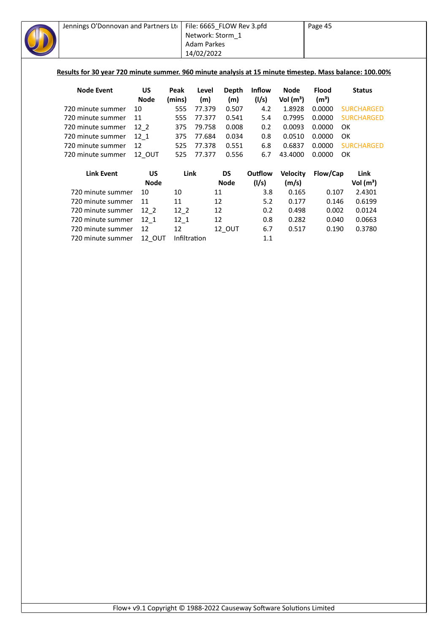| Jennings O'Donnovan and Partners Lto |             |        | File: 6665_FLOW Rev 3.pfd |              |         |                 | Page 45           |                                                                                                         |  |  |
|--------------------------------------|-------------|--------|---------------------------|--------------|---------|-----------------|-------------------|---------------------------------------------------------------------------------------------------------|--|--|
|                                      |             |        | Network: Storm_1          |              |         |                 |                   |                                                                                                         |  |  |
|                                      |             |        | <b>Adam Parkes</b>        |              |         |                 |                   |                                                                                                         |  |  |
|                                      |             |        | 14/02/2022                |              |         |                 |                   |                                                                                                         |  |  |
|                                      |             |        |                           |              |         |                 |                   |                                                                                                         |  |  |
|                                      |             |        |                           |              |         |                 |                   | Results for 30 year 720 minute summer. 960 minute analysis at 15 minute timestep. Mass balance: 100.00% |  |  |
| <b>Node Event</b>                    | <b>US</b>   | Peak   | Level                     | <b>Depth</b> | Inflow  | <b>Node</b>     | <b>Flood</b>      | <b>Status</b>                                                                                           |  |  |
|                                      | <b>Node</b> | (mins) | (m)                       | (m)          | (1/s)   | Vol $(m^3)$     | (m <sup>3</sup> ) |                                                                                                         |  |  |
| 720 minute summer                    | 10          | 555    | 77.379                    | 0.507        | 4.2     | 1.8928          | 0.0000            | <b>SURCHARGED</b>                                                                                       |  |  |
| 720 minute summer                    | 11          | 555    | 77.377                    | 0.541        | 5.4     | 0.7995          | 0.0000            | <b>SURCHARGED</b>                                                                                       |  |  |
| 720 minute summer                    | $12-2$      | 375    | 79.758                    | 0.008        | 0.2     | 0.0093          | 0.0000            | OK                                                                                                      |  |  |
| 720 minute summer                    | $12-1$      | 375    | 77.684                    | 0.034        | 0.8     | 0.0510          | 0.0000            | OK                                                                                                      |  |  |
| 720 minute summer                    | 12          | 525    | 77.378                    | 0.551        | 6.8     | 0.6837          | 0.0000            | <b>SURCHARGED</b>                                                                                       |  |  |
| 720 minute summer                    | 12_OUT      | 525    | 77.377                    | 0.556        | 6.7     | 43.4000         | 0.0000            | OK                                                                                                      |  |  |
| <b>Link Event</b>                    | <b>US</b>   | Link   |                           | <b>DS</b>    | Outflow | <b>Velocity</b> | Flow/Cap          | Link                                                                                                    |  |  |
|                                      | <b>Node</b> |        |                           | <b>Node</b>  | (1/s)   | (m/s)           |                   | Vol $(m^3)$                                                                                             |  |  |
| 720 minute summer                    | 10          | 10     | 11                        |              | 3.8     | 0.165           | 0.107             | 2.4301                                                                                                  |  |  |
| 720 minute summer                    | 11          | 11     | 12                        |              | 5.2     | 0.177           | 0.146             | 0.6199                                                                                                  |  |  |
| 720 minute summer                    | $12-2$      | $12-2$ | 12                        |              | 0.2     | 0.498           | 0.002             | 0.0124                                                                                                  |  |  |
| 720 minute summer                    | $12_1$      | $12-1$ | 12                        |              | 0.8     | 0.282           | 0.040             | 0.0663                                                                                                  |  |  |
| 720 minute summer                    | 12          | 12     |                           | 12_OUT       | 6.7     | 0.517           | 0.190             | 0.3780                                                                                                  |  |  |
|                                      |             |        | Infiltration              |              |         |                 |                   |                                                                                                         |  |  |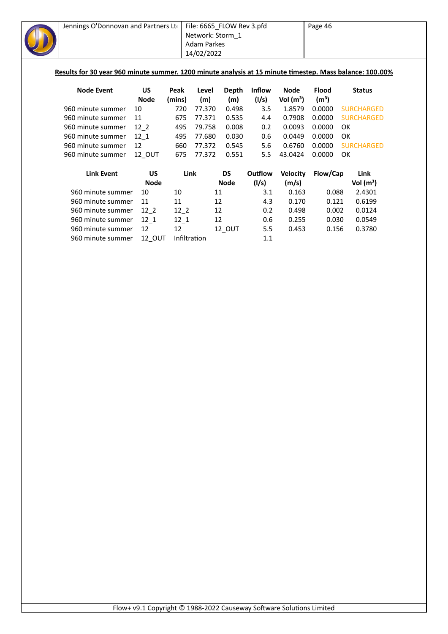| Jennings O'Donnovan and Partners Ltd                                                                     |             |              | File: 6665_FLOW Rev 3.pfd |              |               |                 | Page 46           |                   |  |  |  |
|----------------------------------------------------------------------------------------------------------|-------------|--------------|---------------------------|--------------|---------------|-----------------|-------------------|-------------------|--|--|--|
|                                                                                                          |             |              | Network: Storm_1          |              |               |                 |                   |                   |  |  |  |
|                                                                                                          |             |              | <b>Adam Parkes</b>        |              |               |                 |                   |                   |  |  |  |
|                                                                                                          |             |              | 14/02/2022                |              |               |                 |                   |                   |  |  |  |
|                                                                                                          |             |              |                           |              |               |                 |                   |                   |  |  |  |
| Results for 30 year 960 minute summer. 1200 minute analysis at 15 minute timestep. Mass balance: 100.00% |             |              |                           |              |               |                 |                   |                   |  |  |  |
|                                                                                                          |             |              |                           |              |               |                 |                   |                   |  |  |  |
| <b>Node Event</b>                                                                                        | <b>US</b>   | Peak         | Level                     | <b>Depth</b> | <b>Inflow</b> | <b>Node</b>     | <b>Flood</b>      | <b>Status</b>     |  |  |  |
|                                                                                                          | <b>Node</b> | (mins)       | (m)                       | (m)          | (1/s)         | Vol $(m^3)$     | (m <sup>3</sup> ) |                   |  |  |  |
| 960 minute summer                                                                                        | 10          | 720          | 77.370                    | 0.498        | 3.5           | 1.8579          | 0.0000            | <b>SURCHARGED</b> |  |  |  |
| 960 minute summer                                                                                        | 11          | 675          | 77.371                    | 0.535        | 4.4           | 0.7908          | 0.0000            | <b>SURCHARGED</b> |  |  |  |
| 960 minute summer                                                                                        | $12-2$      | 495          | 79.758                    | 0.008        | 0.2           | 0.0093          | 0.0000            | OK                |  |  |  |
| 960 minute summer                                                                                        | $12 - 1$    | 495          | 77.680                    | 0.030        | 0.6           | 0.0449          | 0.0000            | OK                |  |  |  |
| 960 minute summer                                                                                        | 12          | 660          | 77.372                    | 0.545        | 5.6           | 0.6760          | 0.0000            | <b>SURCHARGED</b> |  |  |  |
| 960 minute summer                                                                                        | 12_OUT      | 675          | 77.372                    | 0.551        | 5.5           | 43.0424         | 0.0000            | OK                |  |  |  |
| <b>Link Event</b>                                                                                        | <b>US</b>   | Link         |                           | <b>DS</b>    | Outflow       | <b>Velocity</b> | Flow/Cap          | Link              |  |  |  |
|                                                                                                          | <b>Node</b> |              |                           | <b>Node</b>  | (1/s)         | (m/s)           |                   | Vol $(m^3)$       |  |  |  |
| 960 minute summer                                                                                        | 10          | 10           | 11                        |              | 3.1           | 0.163           | 0.088             | 2.4301            |  |  |  |
| 960 minute summer                                                                                        | 11          | 11           | 12                        |              | 4.3           | 0.170           | 0.121             | 0.6199            |  |  |  |
| 960 minute summer                                                                                        | $12-2$      | $12-2$       | 12                        |              | 0.2           | 0.498           | 0.002             | 0.0124            |  |  |  |
| 960 minute summer                                                                                        | $12_{1}$    | $12_1$       | 12                        |              | 0.6           | 0.255           | 0.030             | 0.0549            |  |  |  |
| 960 minute summer                                                                                        | 12          | 12           |                           | 12_OUT       | 5.5           | 0.453           | 0.156             | 0.3780            |  |  |  |
| 960 minute summer                                                                                        | 12 OUT      | Infiltration |                           |              | 1.1           |                 |                   |                   |  |  |  |
|                                                                                                          |             |              |                           |              |               |                 |                   |                   |  |  |  |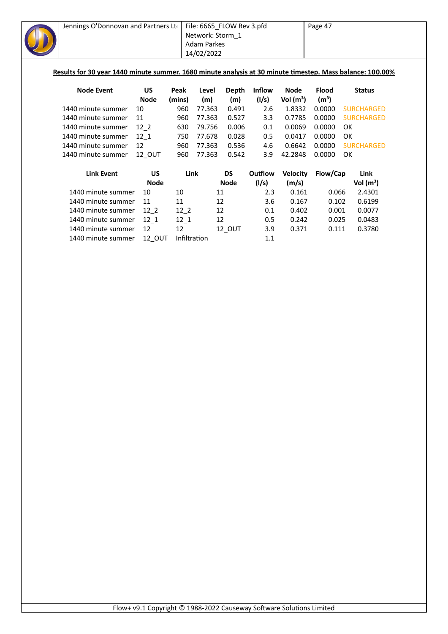| Jennings O'Donnovan and Partners Lto                                                                      |             |              | File: 6665_FLOW Rev 3.pfd |              |               |                 | Page 47           |                   |  |  |
|-----------------------------------------------------------------------------------------------------------|-------------|--------------|---------------------------|--------------|---------------|-----------------|-------------------|-------------------|--|--|
|                                                                                                           |             |              | Network: Storm 1          |              |               |                 |                   |                   |  |  |
| <b>Adam Parkes</b>                                                                                        |             |              |                           |              |               |                 |                   |                   |  |  |
|                                                                                                           |             |              | 14/02/2022                |              |               |                 |                   |                   |  |  |
|                                                                                                           |             |              |                           |              |               |                 |                   |                   |  |  |
| Results for 30 year 1440 minute summer. 1680 minute analysis at 30 minute timestep. Mass balance: 100.00% |             |              |                           |              |               |                 |                   |                   |  |  |
|                                                                                                           |             |              |                           |              |               |                 |                   |                   |  |  |
| <b>Node Event</b>                                                                                         | US          | Peak         | Level                     | <b>Depth</b> | <b>Inflow</b> | <b>Node</b>     | <b>Flood</b>      | <b>Status</b>     |  |  |
|                                                                                                           | <b>Node</b> | (mins)       | (m)                       | (m)          | (1/s)         | Vol $(m^3)$     | (m <sup>3</sup> ) |                   |  |  |
| 1440 minute summer                                                                                        | 10          | 960          | 77.363                    | 0.491        | 2.6           | 1.8332          | 0.0000            | <b>SURCHARGED</b> |  |  |
| 1440 minute summer                                                                                        | 11          | 960          | 77.363                    | 0.527        | 3.3           | 0.7785          | 0.0000            | <b>SURCHARGED</b> |  |  |
| 1440 minute summer                                                                                        | $12-2$      | 630          | 79.756                    | 0.006        | 0.1           | 0.0069          | 0.0000            | OK                |  |  |
| 1440 minute summer                                                                                        | $12 - 1$    | 750          | 77.678                    | 0.028        | 0.5           | 0.0417          | 0.0000            | OK                |  |  |
| 1440 minute summer                                                                                        | 12          | 960          | 77.363                    | 0.536        | 4.6           | 0.6642          | 0.0000            | <b>SURCHARGED</b> |  |  |
| 1440 minute summer                                                                                        | 12_OUT      | 960          | 77.363                    | 0.542        | 3.9           | 42.2848         | 0.0000            | OK                |  |  |
| <b>Link Event</b>                                                                                         | <b>US</b>   | Link         |                           | <b>DS</b>    | Outflow       | <b>Velocity</b> | Flow/Cap          | Link              |  |  |
|                                                                                                           | <b>Node</b> |              |                           | <b>Node</b>  | (1/s)         | (m/s)           |                   | Vol $(m^3)$       |  |  |
| 1440 minute summer                                                                                        | 10          | 10           | 11                        |              | 2.3           | 0.161           | 0.066             | 2.4301            |  |  |
| 1440 minute summer                                                                                        | 11          | 11           | 12                        |              | 3.6           | 0.167           | 0.102             | 0.6199            |  |  |
| 1440 minute summer                                                                                        | $12-2$      | $12-2$       | 12                        |              | 0.1           | 0.402           | 0.001             | 0.0077            |  |  |
| 1440 minute summer                                                                                        | $12_1$      | $12_1$       | 12                        |              | 0.5           | 0.242           | 0.025             | 0.0483            |  |  |
| 1440 minute summer                                                                                        | 12          | 12           |                           | 12_OUT       | 3.9           | 0.371           | 0.111             | 0.3780            |  |  |
| 1440 minute summer                                                                                        | 12 OUT      | Infiltration |                           |              | 1.1           |                 |                   |                   |  |  |
|                                                                                                           |             |              |                           |              |               |                 |                   |                   |  |  |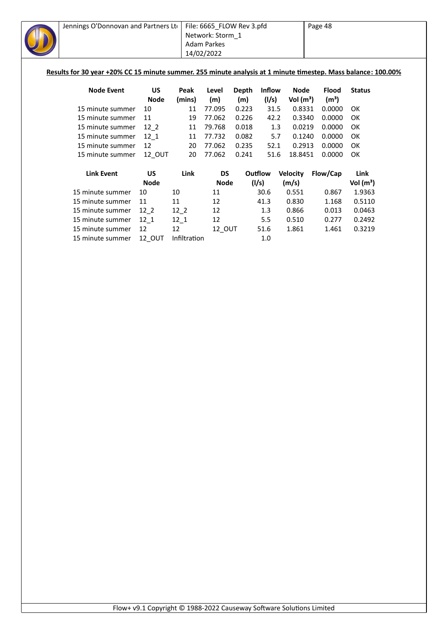| Jennings O'Donnovan and Partners Lto                                                                          |             |        | File: 6665_FLOW Rev 3.pfd |       |               |                 | Page 48           |               |
|---------------------------------------------------------------------------------------------------------------|-------------|--------|---------------------------|-------|---------------|-----------------|-------------------|---------------|
|                                                                                                               |             |        | Network: Storm 1          |       |               |                 |                   |               |
|                                                                                                               |             |        | <b>Adam Parkes</b>        |       |               |                 |                   |               |
|                                                                                                               |             |        | 14/02/2022                |       |               |                 |                   |               |
|                                                                                                               |             |        |                           |       |               |                 |                   |               |
| Results for 30 year +20% CC 15 minute summer. 255 minute analysis at 1 minute timestep. Mass balance: 100.00% |             |        |                           |       |               |                 |                   |               |
|                                                                                                               |             |        |                           |       |               |                 |                   |               |
| <b>Node Event</b>                                                                                             | <b>US</b>   | Peak   | Level                     | Depth | <b>Inflow</b> | Node            | <b>Flood</b>      | <b>Status</b> |
|                                                                                                               | <b>Node</b> | (mins) | (m)                       | (m)   | (1/s)         | Vol $(m^3)$     | (m <sup>3</sup> ) |               |
| 15 minute summer                                                                                              | 10          | 11     | 77.095                    | 0.223 | 31.5          | 0.8331          | 0.0000            | OK            |
| 15 minute summer                                                                                              | 11          | 19     | 77.062                    | 0.226 | 42.2          | 0.3340          | 0.0000            | OK            |
| 15 minute summer                                                                                              | $12-2$      | 11     | 79.768                    | 0.018 | 1.3           | 0.0219          | 0.0000            | OK            |
| 15 minute summer                                                                                              | 12 1        | 11     | 77.732                    | 0.082 | 5.7           | 0.1240          | 0.0000            | OK            |
| 15 minute summer                                                                                              | 12          | 20     | 77.062                    | 0.235 | 52.1          | 0.2913          | 0.0000            | OK            |
| 15 minute summer                                                                                              | 12 OUT      | 20     | 77.062                    | 0.241 | 51.6          | 18.8451         | 0.0000            | OK            |
| <b>Link Event</b>                                                                                             | <b>US</b>   | Link   | <b>DS</b>                 |       | Outflow       | <b>Velocity</b> | Flow/Cap          | Link          |
|                                                                                                               | <b>Node</b> |        | Node                      |       | (l/s)         | (m/s)           |                   | Vol $(m^3)$   |
| 15 minute summer                                                                                              | 10          | 10     | 11                        |       | 30.6          | 0.551           | 0.867             | 1.9363        |
| 15 minute summer                                                                                              | 11          | 11     | 12                        |       | 41.3          | 0.830           | 1.168             | 0.5110        |
| 15 minute summer                                                                                              | $12-2$      | $12-2$ | 12                        |       | 1.3           | 0.866           | 0.013             | 0.0463        |
| 15 minute summer                                                                                              | 12 1        | 12 1   | 12                        |       | 5.5           | 0.510           | 0.277             | 0.2492        |

15 minute summer 12 12 12\_OUT 51.6 1.861 1.461 0.3219 15 minute summer 12\_OUT Infiltration 1.0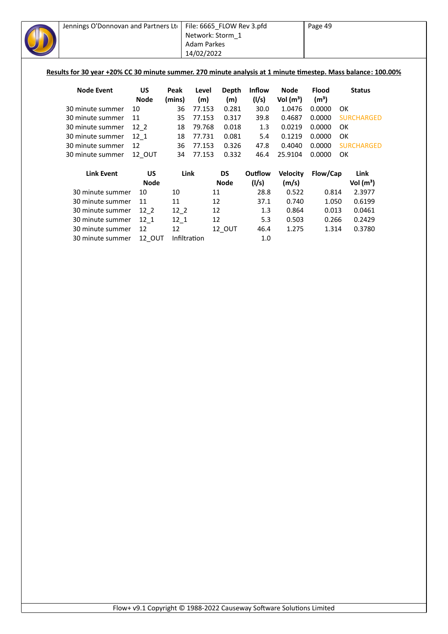| Jennings O'Donnovan and Partners Lto<br>Results for 30 year +20% CC 30 minute summer. 270 minute analysis at 1 minute timestep. Mass balance: 100.00% |                   |                | File: 6665_FLOW Rev 3.pfd<br>Network: Storm_1<br><b>Adam Parkes</b><br>14/02/2022 |                     |                        |                            | Page 49                           |    |                   |  |
|-------------------------------------------------------------------------------------------------------------------------------------------------------|-------------------|----------------|-----------------------------------------------------------------------------------|---------------------|------------------------|----------------------------|-----------------------------------|----|-------------------|--|
| <b>Node Event</b>                                                                                                                                     | US<br><b>Node</b> | Peak<br>(mins) | Level<br>(m)                                                                      | <b>Depth</b><br>(m) | <b>Inflow</b><br>(I/s) | <b>Node</b><br>Vol $(m^3)$ | <b>Flood</b><br>(m <sup>3</sup> ) |    | <b>Status</b>     |  |
| 30 minute summer                                                                                                                                      | 10                | 36             | 77.153                                                                            | 0.281               | 30.0                   | 1.0476                     | 0.0000                            | OK |                   |  |
| 30 minute summer                                                                                                                                      | 11                | 35             | 77.153                                                                            | 0.317               | 39.8                   | 0.4687                     | 0.0000                            |    | <b>SURCHARGED</b> |  |
| 30 minute summer                                                                                                                                      | $12-2$            | 18             | 79.768                                                                            | 0.018               | 1.3                    | 0.0219                     | 0.0000                            | OK |                   |  |
| 30 minute summer                                                                                                                                      | $12_{1}$          | 18             | 77.731                                                                            | 0.081               | 5.4                    | 0.1219                     | 0.0000                            | OK |                   |  |
| 30 minute summer                                                                                                                                      | 12                | 36             | 77.153                                                                            | 0.326               | 47.8                   | 0.4040                     | 0.0000                            |    | <b>SURCHARGED</b> |  |
| 30 minute summer                                                                                                                                      | 12_OUT            | 34             | 77.153                                                                            | 0.332               | 46.4                   | 25.9104                    | 0.0000                            | OK |                   |  |
| <b>Link Event</b>                                                                                                                                     | <b>US</b>         |                | Link                                                                              | <b>DS</b>           | Outflow                | <b>Velocity</b>            | Flow/Cap                          |    | Link              |  |
|                                                                                                                                                       | <b>Node</b>       |                |                                                                                   | <b>Node</b>         | (1/s)                  | (m/s)                      |                                   |    | Vol $(m^3)$       |  |
| 30 minute summer                                                                                                                                      | 10                | 10             | 11                                                                                |                     | 28.8                   | 0.522                      | 0.814                             |    | 2.3977            |  |
| 30 minute summer                                                                                                                                      | 11                | 11             |                                                                                   | 12                  | 37.1                   | 0.740                      | 1.050                             |    | 0.6199            |  |
| 30 minute summer                                                                                                                                      | $12-2$            | $12-2$         |                                                                                   | 12                  | 1.3                    | 0.864                      | 0.013                             |    | 0.0461            |  |
| 30 minute summer                                                                                                                                      | $12-1$            | $12-1$         |                                                                                   | 12                  | 5.3                    | 0.503                      | 0.266                             |    | 0.2429            |  |
| 30 minute summer                                                                                                                                      | 12                | 12             |                                                                                   | 12_OUT              | 46.4                   | 1.275                      | 1.314                             |    | 0.3780            |  |
| 30 minute summer                                                                                                                                      | 12_OUT            |                | Infiltration                                                                      |                     | $1.0\,$                |                            |                                   |    |                   |  |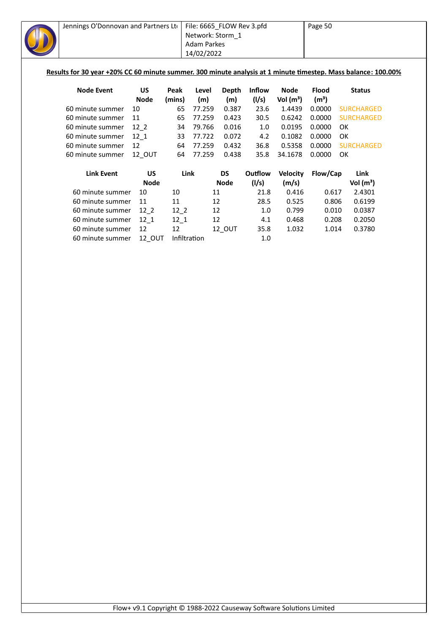| Jennings O'Donnovan and Partners Lto<br>Results for 30 year +20% CC 60 minute summer. 300 minute analysis at 1 minute timestep. Mass balance: 100.00% |                          |                | File: 6665_FLOW Rev 3.pfd<br>Network: Storm 1<br>Adam Parkes<br>14/02/2022 |                     |                        |                                      | Page 50                           |    |                   |
|-------------------------------------------------------------------------------------------------------------------------------------------------------|--------------------------|----------------|----------------------------------------------------------------------------|---------------------|------------------------|--------------------------------------|-----------------------------------|----|-------------------|
| <b>Node Event</b>                                                                                                                                     | <b>US</b><br><b>Node</b> | Peak<br>(mins) | Level<br>(m)                                                               | <b>Depth</b><br>(m) | <b>Inflow</b><br>(1/s) | <b>Node</b><br>Vol (m <sup>3</sup> ) | <b>Flood</b><br>(m <sup>3</sup> ) |    | <b>Status</b>     |
| 60 minute summer                                                                                                                                      | 10                       | 65             | 77.259                                                                     | 0.387               | 23.6                   | 1.4439                               | 0.0000                            |    | <b>SURCHARGED</b> |
| 60 minute summer                                                                                                                                      | 11                       | 65             | 77.259                                                                     | 0.423               | 30.5                   | 0.6242                               | 0.0000                            |    | <b>SURCHARGED</b> |
| 60 minute summer                                                                                                                                      | $12-2$                   | 34             | 79.766                                                                     | 0.016               | 1.0                    | 0.0195                               | 0.0000                            | OK |                   |
| 60 minute summer                                                                                                                                      | $12_{1}$                 | 33             | 77.722                                                                     | 0.072               | 4.2                    | 0.1082                               | 0.0000                            | OK |                   |
| 60 minute summer                                                                                                                                      | 12                       | 64             | 77.259                                                                     | 0.432               | 36.8                   | 0.5358                               | 0.0000                            |    | <b>SURCHARGED</b> |
| 60 minute summer                                                                                                                                      | 12_OUT                   | 64             | 77.259                                                                     | 0.438               | 35.8                   | 34.1678                              | 0.0000                            | OK |                   |
| <b>Link Event</b>                                                                                                                                     | <b>US</b>                |                | Link                                                                       | <b>DS</b>           | Outflow                | <b>Velocity</b>                      | Flow/Cap                          |    | Link              |
|                                                                                                                                                       | <b>Node</b>              |                |                                                                            | <b>Node</b>         | (1/s)                  | (m/s)                                |                                   |    | Vol $(m^3)$       |
| 60 minute summer                                                                                                                                      | 10                       | 10             | 11                                                                         |                     | 21.8                   | 0.416                                | 0.617                             |    | 2.4301            |
| 60 minute summer                                                                                                                                      | 11                       | 11             | 12                                                                         |                     | 28.5                   | 0.525                                | 0.806                             |    | 0.6199            |
| 60 minute summer                                                                                                                                      | $12-2$                   | $12-2$         | 12                                                                         |                     | 1.0                    | 0.799                                | 0.010                             |    | 0.0387            |
| 60 minute summer                                                                                                                                      | $12-1$                   | $12_1$         | 12                                                                         |                     | 4.1                    | 0.468                                | 0.208                             |    | 0.2050            |
| 60 minute summer                                                                                                                                      | 12                       | 12             |                                                                            | 12_OUT              | 35.8                   | 1.032                                | 1.014                             |    | 0.3780            |
| 60 minute summer                                                                                                                                      | 12 OUT                   |                | Infiltration                                                               |                     | 1.0                    |                                      |                                   |    |                   |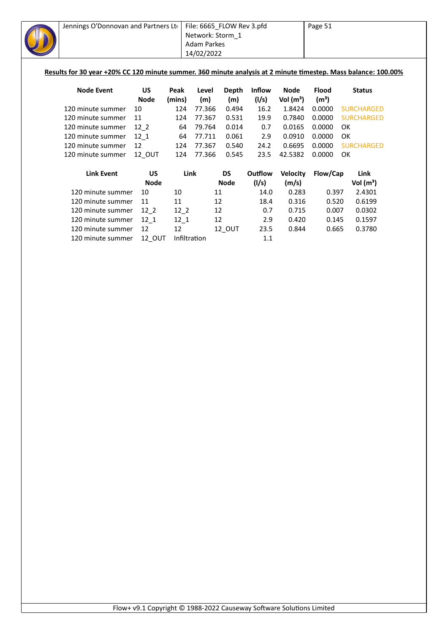| Jennings O'Donnovan and Partners Lto                                                                           |             |        | File: 6665_FLOW Rev 3.pfd |              |         |                 | Page 51           |                   |  |
|----------------------------------------------------------------------------------------------------------------|-------------|--------|---------------------------|--------------|---------|-----------------|-------------------|-------------------|--|
|                                                                                                                |             |        | Network: Storm 1          |              |         |                 |                   |                   |  |
|                                                                                                                |             |        | <b>Adam Parkes</b>        |              |         |                 |                   |                   |  |
|                                                                                                                |             |        | 14/02/2022                |              |         |                 |                   |                   |  |
|                                                                                                                |             |        |                           |              |         |                 |                   |                   |  |
| Results for 30 year +20% CC 120 minute summer. 360 minute analysis at 2 minute timestep. Mass balance: 100.00% |             |        |                           |              |         |                 |                   |                   |  |
| <b>Node Event</b>                                                                                              | US          | Peak   | Level                     | <b>Depth</b> | Inflow  | <b>Node</b>     | <b>Flood</b>      | <b>Status</b>     |  |
|                                                                                                                | <b>Node</b> | (mins) | (m)                       | (m)          | (1/s)   | Vol $(m^3)$     | (m <sup>3</sup> ) |                   |  |
| 120 minute summer                                                                                              | 10          | 124    | 77.366                    | 0.494        | 16.2    | 1.8424          | 0.0000            | <b>SURCHARGED</b> |  |
| 120 minute summer                                                                                              | 11          | 124    | 77.367                    | 0.531        | 19.9    | 0.7840          | 0.0000            | <b>SURCHARGED</b> |  |
| 120 minute summer                                                                                              | $12-2$      | 64     | 79.764                    | 0.014        | 0.7     | 0.0165          | 0.0000            | OK                |  |
| 120 minute summer                                                                                              | $12 - 1$    | 64     | 77.711                    | 0.061        | 2.9     | 0.0910          | 0.0000            | OK                |  |
| 120 minute summer                                                                                              | 12          | 124    | 77.367                    | 0.540        | 24.2    | 0.6695          | 0.0000            | <b>SURCHARGED</b> |  |
| 120 minute summer                                                                                              | 12_OUT      | 124    | 77.366                    | 0.545        | 23.5    | 42.5382         | 0.0000            | OK                |  |
|                                                                                                                |             |        |                           |              |         |                 |                   |                   |  |
| <b>Link Event</b>                                                                                              | <b>US</b>   |        | Link                      | <b>DS</b>    | Outflow | <b>Velocity</b> | Flow/Cap          | Link              |  |
|                                                                                                                | <b>Node</b> |        |                           | <b>Node</b>  | (1/s)   | (m/s)           |                   | Vol $(m^3)$       |  |
| 120 minute summer                                                                                              | 10          | 10     |                           | 11           | 14.0    | 0.283           | 0.397             | 2.4301            |  |
| 120 minute summer                                                                                              | 11          | 11     |                           | 12           | 18.4    | 0.316           | 0.520             | 0.6199            |  |
| 120 minute summer                                                                                              | $12-2$      | $12-2$ |                           | 12           | 0.7     | 0.715           | 0.007             | 0.0302            |  |
| 120 minute summer                                                                                              | $12_1$      | $12-1$ |                           | 12           | 2.9     | 0.420           | 0.145             | 0.1597            |  |
| 120 minute summer                                                                                              | 12          | 12     |                           | 12_OUT       | 23.5    | 0.844           | 0.665             | 0.3780            |  |
| 120 minute summer                                                                                              | 12_OUT      |        | Infiltration              |              | 1.1     |                 |                   |                   |  |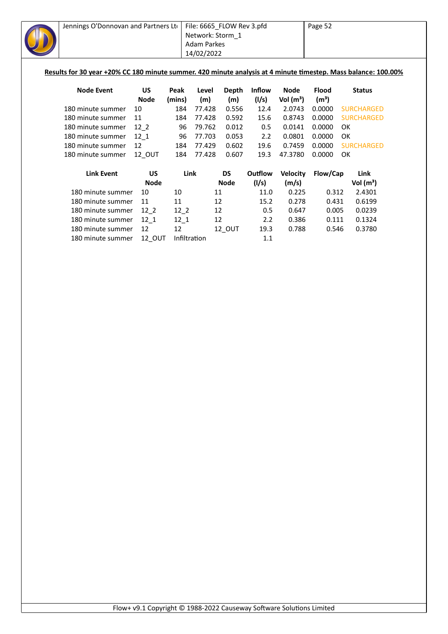| Jennings O'Donnovan and Partners Lto                                                                           |             |              | File: 6665_FLOW Rev 3.pfd |              |               |                 | Page 52           |                   |
|----------------------------------------------------------------------------------------------------------------|-------------|--------------|---------------------------|--------------|---------------|-----------------|-------------------|-------------------|
|                                                                                                                |             |              | Network: Storm 1          |              |               |                 |                   |                   |
|                                                                                                                |             |              | <b>Adam Parkes</b>        |              |               |                 |                   |                   |
|                                                                                                                |             |              | 14/02/2022                |              |               |                 |                   |                   |
|                                                                                                                |             |              |                           |              |               |                 |                   |                   |
| Results for 30 year +20% CC 180 minute summer. 420 minute analysis at 4 minute timestep. Mass balance: 100.00% |             |              |                           |              |               |                 |                   |                   |
|                                                                                                                |             |              |                           |              |               |                 |                   |                   |
| <b>Node Event</b>                                                                                              | US          | Peak         | Level                     | <b>Depth</b> | <b>Inflow</b> | <b>Node</b>     | <b>Flood</b>      | <b>Status</b>     |
|                                                                                                                | <b>Node</b> | (mins)       | (m)                       | (m)          | (1/s)         | Vol $(m^3)$     | (m <sup>3</sup> ) |                   |
| 180 minute summer                                                                                              | 10          | 184          | 77.428                    | 0.556        | 12.4          | 2.0743          | 0.0000            | <b>SURCHARGED</b> |
| 180 minute summer                                                                                              | 11          | 184          | 77.428                    | 0.592        | 15.6          | 0.8743          | 0.0000            | <b>SURCHARGED</b> |
| 180 minute summer                                                                                              | $12-2$      | 96           | 79.762                    | 0.012        | 0.5           | 0.0141          | 0.0000            | OK                |
| 180 minute summer                                                                                              | 12 1        | 96           | 77.703                    | 0.053        | 2.2           | 0.0801          | 0.0000            | OK                |
| 180 minute summer                                                                                              | 12          | 184          | 77.429                    | 0.602        | 19.6          | 0.7459          | 0.0000            | <b>SURCHARGED</b> |
| 180 minute summer                                                                                              | 12_OUT      | 184          | 77.428                    | 0.607        | 19.3          | 47.3780         | 0.0000            | OK                |
|                                                                                                                |             |              |                           |              |               |                 |                   |                   |
| <b>Link Event</b>                                                                                              | <b>US</b>   | Link         |                           | <b>DS</b>    | Outflow       | <b>Velocity</b> | Flow/Cap          | Link              |
|                                                                                                                | <b>Node</b> |              |                           | <b>Node</b>  | (1/s)         | (m/s)           |                   | Vol $(m^3)$       |
| 180 minute summer                                                                                              | 10          | 10           | 11                        |              | 11.0          | 0.225           | 0.312             | 2.4301            |
| 180 minute summer                                                                                              | 11          | 11           | 12                        |              | 15.2          | 0.278           | 0.431             | 0.6199            |
| 180 minute summer                                                                                              | $12-2$      | $12-2$       |                           | 12           | 0.5           | 0.647           | 0.005             | 0.0239            |
| 180 minute summer                                                                                              | $12_1$      | $12-1$       | 12                        |              | 2.2           | 0.386           | 0.111             | 0.1324            |
| 180 minute summer                                                                                              | 12          | 12           |                           | 12_OUT       | 19.3          | 0.788           | 0.546             | 0.3780            |
| 180 minute summer                                                                                              | 12_OUT      | Infiltration |                           |              | 1.1           |                 |                   |                   |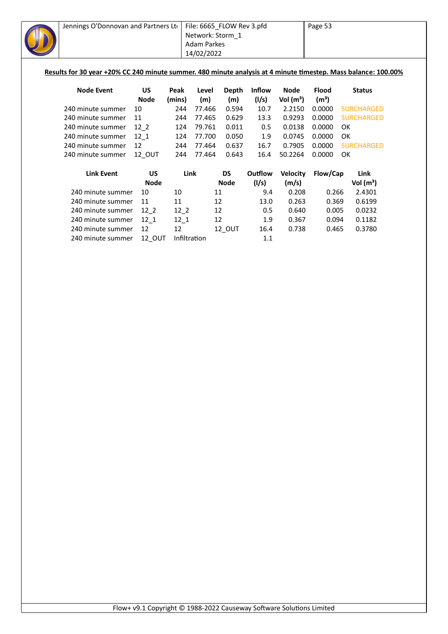| Jennings O'Donnovan and Partners Lto                                                                           |               |              | File: 6665_FLOW Rev 3.pfd |             |               |                 | Page 53           |                   |
|----------------------------------------------------------------------------------------------------------------|---------------|--------------|---------------------------|-------------|---------------|-----------------|-------------------|-------------------|
|                                                                                                                |               |              | Network: Storm 1          |             |               |                 |                   |                   |
|                                                                                                                |               |              | <b>Adam Parkes</b>        |             |               |                 |                   |                   |
|                                                                                                                |               |              | 14/02/2022                |             |               |                 |                   |                   |
|                                                                                                                |               |              |                           |             |               |                 |                   |                   |
| Results for 30 year +20% CC 240 minute summer. 480 minute analysis at 4 minute timestep. Mass balance: 100.00% |               |              |                           |             |               |                 |                   |                   |
| <b>Node Event</b>                                                                                              | <b>US</b>     | Peak         | Level                     | Depth       | <b>Inflow</b> | <b>Node</b>     | <b>Flood</b>      | <b>Status</b>     |
|                                                                                                                | <b>Node</b>   | (mins)       | (m)                       | (m)         | (1/s)         | Vol $(m^3)$     | (m <sup>3</sup> ) |                   |
| 240 minute summer                                                                                              | 10            | 244          | 77.466                    | 0.594       | 10.7          | 2.2150          | 0.0000            | <b>SURCHARGED</b> |
| 240 minute summer                                                                                              | 11            | 244          | 77.465                    | 0.629       | 13.3          | 0.9293          | 0.0000            | <b>SURCHARGED</b> |
| 240 minute summer                                                                                              | $12-2$        | 124          | 79.761                    | 0.011       | 0.5           | 0.0138          | 0.0000            | <b>OK</b>         |
| 240 minute summer                                                                                              | $12-1$        | 124          | 77.700                    | 0.050       | 1.9           | 0.0745          | 0.0000            | OK                |
| 240 minute summer                                                                                              | 12            | 244          | 77.464                    | 0.637       | 16.7          | 0.7905          | 0.0000            | <b>SURCHARGED</b> |
| 240 minute summer                                                                                              | 12 OUT        | 244          | 77.464                    | 0.643       | 16.4          | 50.2264         | 0.0000            | OK                |
| <b>Link Event</b>                                                                                              | <b>US</b>     | Link         |                           | <b>DS</b>   | Outflow       | <b>Velocity</b> | Flow/Cap          | Link              |
|                                                                                                                | <b>Node</b>   |              |                           | <b>Node</b> | (1/s)         | (m/s)           |                   | Vol $(m^3)$       |
| 240 minute summer                                                                                              | 10            | 10           | 11                        |             | 9.4           | 0.208           | 0.266             | 2.4301            |
| 240 minute summer                                                                                              | 11            | 11           | 12                        |             | 13.0          | 0.263           | 0.369             | 0.6199            |
| 240 minute summer                                                                                              | $12-2$        | $12-2$       | 12                        |             | 0.5           | 0.640           | 0.005             | 0.0232            |
| 240 minute summer                                                                                              | $12_1$        | $12-1$       | 12                        |             | 1.9           | 0.367           | 0.094             | 0.1182            |
| 240 minute summer                                                                                              | 12            | 12           |                           | 12_OUT      | 16.4          | 0.738           | 0.465             | 0.3780            |
| 240 minute summer                                                                                              | <b>12 OUT</b> | Infiltration |                           |             | 1.1           |                 |                   |                   |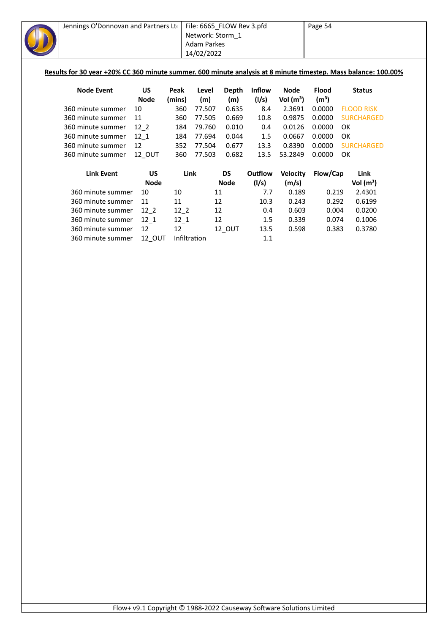| Jennings O'Donnovan and Partners Lto                                                                           |               |          | File: 6665_FLOW Rev 3.pfd |              |               |                 | Page 54           |    |                   |  |
|----------------------------------------------------------------------------------------------------------------|---------------|----------|---------------------------|--------------|---------------|-----------------|-------------------|----|-------------------|--|
|                                                                                                                |               |          | Network: Storm_1          |              |               |                 |                   |    |                   |  |
|                                                                                                                |               |          | <b>Adam Parkes</b>        |              |               |                 |                   |    |                   |  |
|                                                                                                                |               |          | 14/02/2022                |              |               |                 |                   |    |                   |  |
|                                                                                                                |               |          |                           |              |               |                 |                   |    |                   |  |
| Results for 30 year +20% CC 360 minute summer. 600 minute analysis at 8 minute timestep. Mass balance: 100.00% |               |          |                           |              |               |                 |                   |    |                   |  |
|                                                                                                                |               |          |                           |              |               |                 |                   |    |                   |  |
| <b>Node Event</b>                                                                                              | <b>US</b>     | Peak     | Level                     | <b>Depth</b> | <b>Inflow</b> | <b>Node</b>     | <b>Flood</b>      |    | <b>Status</b>     |  |
|                                                                                                                | <b>Node</b>   | (mins)   | (m)                       | (m)          | (1/s)         | Vol $(m^3)$     | (m <sup>3</sup> ) |    |                   |  |
| 360 minute summer                                                                                              | 10            | 360      | 77.507                    | 0.635        | 8.4           | 2.3691          | 0.0000            |    | <b>FLOOD RISK</b> |  |
| 360 minute summer                                                                                              | 11            | 360      | 77.505                    | 0.669        | 10.8          | 0.9875          | 0.0000            |    | <b>SURCHARGED</b> |  |
| 360 minute summer                                                                                              | $12-2$        | 184      | 79.760                    | 0.010        | 0.4           | 0.0126          | 0.0000            | OK |                   |  |
| 360 minute summer                                                                                              | $12 - 1$      | 184      | 77.694                    | 0.044        | 1.5           | 0.0667          | 0.0000            | OK |                   |  |
| 360 minute summer                                                                                              | 12            | 352      | 77.504                    | 0.677        | 13.3          | 0.8390          | 0.0000            |    | <b>SURCHARGED</b> |  |
| 360 minute summer                                                                                              | 12 OUT        | 360      | 77.503                    | 0.682        | 13.5          | 53.2849         | 0.0000            | OK |                   |  |
|                                                                                                                |               |          |                           |              |               |                 |                   |    |                   |  |
| <b>Link Event</b>                                                                                              | <b>US</b>     |          | Link                      | <b>DS</b>    | Outflow       | <b>Velocity</b> | Flow/Cap          |    | Link              |  |
|                                                                                                                | <b>Node</b>   |          |                           | <b>Node</b>  | (1/s)         | (m/s)           |                   |    | Vol $(m^3)$       |  |
| 360 minute summer                                                                                              | 10            | 10       | 11                        |              | 7.7           | 0.189           | 0.219             |    | 2.4301            |  |
| 360 minute summer                                                                                              | 11            | 11       | 12                        |              | 10.3          | 0.243           | 0.292             |    | 0.6199            |  |
| 360 minute summer                                                                                              | $12-2$        | $12-2$   | 12                        |              | 0.4           | 0.603           | 0.004             |    | 0.0200            |  |
| 360 minute summer                                                                                              | $12_{1}$      | $12 - 1$ | 12                        |              | 1.5           | 0.339           | 0.074             |    | 0.1006            |  |
| 360 minute summer                                                                                              | 12            | 12       |                           | 12_OUT       | 13.5          | 0.598           | 0.383             |    | 0.3780            |  |
| 360 minute summer                                                                                              | <b>12 OUT</b> |          | Infiltration              |              | 1.1           |                 |                   |    |                   |  |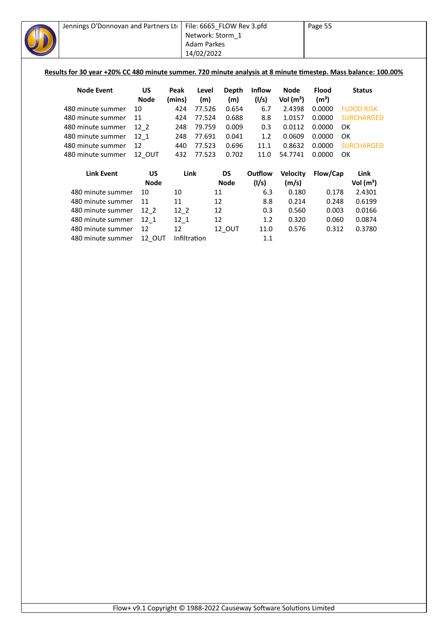| Jennings O'Donnovan and Partners Lto                                                                           |             |              | File: 6665_FLOW Rev 3.pfd |             |               |                 | Page 55           |                   |
|----------------------------------------------------------------------------------------------------------------|-------------|--------------|---------------------------|-------------|---------------|-----------------|-------------------|-------------------|
|                                                                                                                |             |              | Network: Storm_1          |             |               |                 |                   |                   |
|                                                                                                                |             |              | <b>Adam Parkes</b>        |             |               |                 |                   |                   |
|                                                                                                                |             |              | 14/02/2022                |             |               |                 |                   |                   |
|                                                                                                                |             |              |                           |             |               |                 |                   |                   |
| Results for 30 year +20% CC 480 minute summer. 720 minute analysis at 8 minute timestep. Mass balance: 100.00% |             |              |                           |             |               |                 |                   |                   |
|                                                                                                                |             |              |                           |             |               |                 |                   |                   |
| <b>Node Event</b>                                                                                              | <b>US</b>   | Peak         | Level                     | Depth       | <b>Inflow</b> | <b>Node</b>     | <b>Flood</b>      | <b>Status</b>     |
|                                                                                                                | <b>Node</b> | (mins)       | (m)                       | (m)         | (1/s)         | Vol $(m^3)$     | (m <sup>3</sup> ) |                   |
| 480 minute summer                                                                                              | 10          | 424          | 77.526                    | 0.654       | 6.7           | 2.4398          | 0.0000            | <b>FLOOD RISK</b> |
| 480 minute summer                                                                                              | 11          | 424          | 77.524                    | 0.688       | 8.8           | 1.0157          | 0.0000            | <b>SURCHARGED</b> |
| 480 minute summer                                                                                              | $12-2$      | 248          | 79.759                    | 0.009       | 0.3           | 0.0112          | 0.0000            | OK                |
| 480 minute summer                                                                                              | 12 1        | 248          | 77.691                    | 0.041       | 1.2           | 0.0609          | 0.0000            | OK                |
| 480 minute summer                                                                                              | 12          | 440          | 77.523                    | 0.696       | 11.1          | 0.8632          | 0.0000            | <b>SURCHARGED</b> |
| 480 minute summer                                                                                              | 12_OUT      | 432          | 77.523                    | 0.702       | 11.0          | 54.7741         | 0.0000            | <b>OK</b>         |
| <b>Link Event</b>                                                                                              | <b>US</b>   | Link         |                           | <b>DS</b>   | Outflow       | <b>Velocity</b> | Flow/Cap          | Link              |
|                                                                                                                | <b>Node</b> |              |                           | <b>Node</b> | (1/s)         | (m/s)           |                   | Vol $(m^3)$       |
| 480 minute summer                                                                                              | 10          | 10           |                           | 11          | 6.3           | 0.180           | 0.178             | 2.4301            |
| 480 minute summer                                                                                              | 11          | 11           |                           | 12          | 8.8           | 0.214           | 0.248             | 0.6199            |
| 480 minute summer                                                                                              | $12_{2}$    | $12-2$       |                           | 12          | 0.3           | 0.560           | 0.003             | 0.0166            |
| 480 minute summer                                                                                              | $12-1$      | $12-1$       |                           | 12          | 1.2           | 0.320           | 0.060             | 0.0874            |
| 480 minute summer                                                                                              | 12          | 12           |                           | 12_OUT      | 11.0          | 0.576           | 0.312             | 0.3780            |
| 480 minute summer                                                                                              | 12_OUT      | Infiltration |                           |             | 1.1           |                 |                   |                   |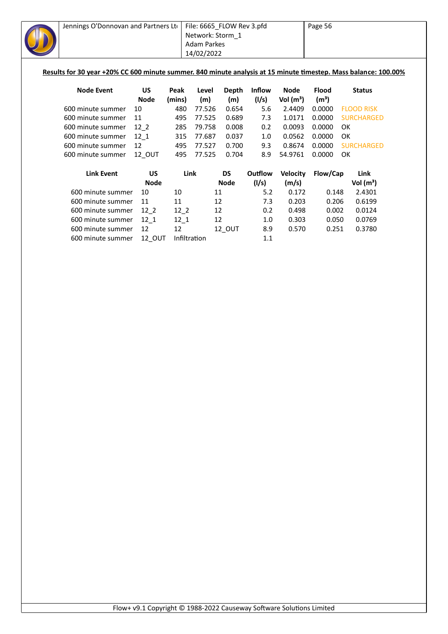| Jennings O'Donnovan and Partners Ltd                                                                            |               |              | File: 6665_FLOW Rev 3.pfd |              |               |                 | Page 56           |    |                   |  |
|-----------------------------------------------------------------------------------------------------------------|---------------|--------------|---------------------------|--------------|---------------|-----------------|-------------------|----|-------------------|--|
|                                                                                                                 |               |              | Network: Storm_1          |              |               |                 |                   |    |                   |  |
|                                                                                                                 |               |              | <b>Adam Parkes</b>        |              |               |                 |                   |    |                   |  |
|                                                                                                                 |               |              | 14/02/2022                |              |               |                 |                   |    |                   |  |
|                                                                                                                 |               |              |                           |              |               |                 |                   |    |                   |  |
| Results for 30 year +20% CC 600 minute summer. 840 minute analysis at 15 minute timestep. Mass balance: 100.00% |               |              |                           |              |               |                 |                   |    |                   |  |
|                                                                                                                 |               |              |                           |              |               |                 |                   |    |                   |  |
| <b>Node Event</b>                                                                                               | US            | Peak         | Level                     | <b>Depth</b> | <b>Inflow</b> | <b>Node</b>     | <b>Flood</b>      |    | <b>Status</b>     |  |
|                                                                                                                 | <b>Node</b>   | (mins)       | (m)                       | (m)          | (1/s)         | Vol $(m^3)$     | (m <sup>3</sup> ) |    |                   |  |
| 600 minute summer                                                                                               | 10            | 480          | 77.526                    | 0.654        | 5.6           | 2.4409          | 0.0000            |    | <b>FLOOD RISK</b> |  |
| 600 minute summer                                                                                               | 11            | 495          | 77.525                    | 0.689        | 7.3           | 1.0171          | 0.0000            |    | <b>SURCHARGED</b> |  |
| 600 minute summer                                                                                               | $12-2$        | 285          | 79.758                    | 0.008        | 0.2           | 0.0093          | 0.0000            | OK |                   |  |
| 600 minute summer                                                                                               | 12 1          | 315          | 77.687                    | 0.037        | 1.0           | 0.0562          | 0.0000            | OK |                   |  |
| 600 minute summer                                                                                               | 12            | 495          | 77.527                    | 0.700        | 9.3           | 0.8674          | 0.0000            |    | <b>SURCHARGED</b> |  |
| 600 minute summer                                                                                               | 12_OUT        | 495          | 77.525                    | 0.704        | 8.9           | 54.9761         | 0.0000            | OK |                   |  |
|                                                                                                                 |               |              |                           |              |               |                 |                   |    |                   |  |
| <b>Link Event</b>                                                                                               | <b>US</b>     | Link         |                           | <b>DS</b>    | Outflow       | <b>Velocity</b> | Flow/Cap          |    | Link              |  |
|                                                                                                                 | <b>Node</b>   |              |                           | <b>Node</b>  | (1/s)         | (m/s)           |                   |    | Vol $(m^3)$       |  |
| 600 minute summer                                                                                               | 10            | 10           | 11                        |              | 5.2           | 0.172           | 0.148             |    | 2.4301            |  |
| 600 minute summer                                                                                               | 11            | 11           | 12                        |              | 7.3           | 0.203           | 0.206             |    | 0.6199            |  |
| 600 minute summer                                                                                               | $12-2$        | $12-2$       | 12                        |              | 0.2           | 0.498           | 0.002             |    | 0.0124            |  |
| 600 minute summer                                                                                               | $12-1$        | $12-1$       | 12                        |              | 1.0           | 0.303           | 0.050             |    | 0.0769            |  |
| 600 minute summer                                                                                               | 12            | 12           |                           | 12_OUT       | 8.9           | 0.570           | 0.251             |    | 0.3780            |  |
| 600 minute summer                                                                                               | <b>12 OUT</b> | Infiltration |                           |              | 1.1           |                 |                   |    |                   |  |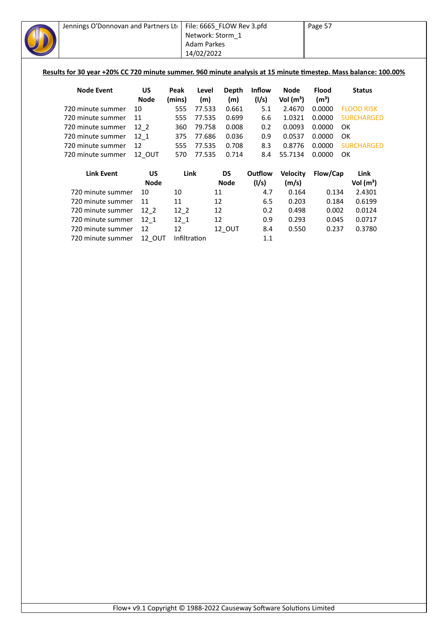| Jennings O'Donnovan and Partners Lto                                                                            |               |              | File: 6665_FLOW Rev 3.pfd |              |               |                 | Page 57           |    |                   |  |
|-----------------------------------------------------------------------------------------------------------------|---------------|--------------|---------------------------|--------------|---------------|-----------------|-------------------|----|-------------------|--|
|                                                                                                                 |               |              | Network: Storm 1          |              |               |                 |                   |    |                   |  |
|                                                                                                                 |               |              | <b>Adam Parkes</b>        |              |               |                 |                   |    |                   |  |
|                                                                                                                 |               |              | 14/02/2022                |              |               |                 |                   |    |                   |  |
|                                                                                                                 |               |              |                           |              |               |                 |                   |    |                   |  |
| Results for 30 year +20% CC 720 minute summer. 960 minute analysis at 15 minute timestep. Mass balance: 100.00% |               |              |                           |              |               |                 |                   |    |                   |  |
|                                                                                                                 |               |              |                           |              |               |                 |                   |    |                   |  |
| <b>Node Event</b>                                                                                               | <b>US</b>     | Peak         | Level                     | <b>Depth</b> | <b>Inflow</b> | <b>Node</b>     | <b>Flood</b>      |    | <b>Status</b>     |  |
|                                                                                                                 | <b>Node</b>   | (mins)       | (m)                       | (m)          | (1/s)         | Vol $(m^3)$     | (m <sup>3</sup> ) |    |                   |  |
| 720 minute summer                                                                                               | 10            | 555          | 77.533                    | 0.661        | 5.1           | 2.4670          | 0.0000            |    | <b>FLOOD RISK</b> |  |
| 720 minute summer                                                                                               | 11            | 555          | 77.535                    | 0.699        | 6.6           | 1.0321          | 0.0000            |    | <b>SURCHARGED</b> |  |
| 720 minute summer                                                                                               | $12-2$        | 360          | 79.758                    | 0.008        | 0.2           | 0.0093          | 0.0000            | OK |                   |  |
| 720 minute summer                                                                                               | $12 - 1$      | 375          | 77.686                    | 0.036        | 0.9           | 0.0537          | 0.0000            | OK |                   |  |
| 720 minute summer                                                                                               | 12            | 555          | 77.535                    | 0.708        | 8.3           | 0.8776          | 0.0000            |    | <b>SURCHARGED</b> |  |
| 720 minute summer                                                                                               | 12_OUT        | 570          | 77.535                    | 0.714        | 8.4           | 55.7134         | 0.0000            | OK |                   |  |
|                                                                                                                 |               |              |                           |              |               |                 |                   |    |                   |  |
| <b>Link Event</b>                                                                                               | <b>US</b>     | Link         |                           | <b>DS</b>    | Outflow       | <b>Velocity</b> | Flow/Cap          |    | Link              |  |
|                                                                                                                 | <b>Node</b>   |              |                           | <b>Node</b>  | (1/s)         | (m/s)           |                   |    | Vol $(m^3)$       |  |
| 720 minute summer                                                                                               | 10            | 10           | 11                        |              | 4.7           | 0.164           | 0.134             |    | 2.4301            |  |
| 720 minute summer                                                                                               | 11            | 11           | 12                        |              | 6.5           | 0.203           | 0.184             |    | 0.6199            |  |
| 720 minute summer                                                                                               | $12-2$        | $12-2$       | 12                        |              | 0.2           | 0.498           | 0.002             |    | 0.0124            |  |
| 720 minute summer                                                                                               | $12_{1}$      | $12-1$       | 12                        |              | 0.9           | 0.293           | 0.045             |    | 0.0717            |  |
| 720 minute summer                                                                                               | 12            | 12           |                           | 12_OUT       | 8.4           | 0.550           | 0.237             |    | 0.3780            |  |
| 720 minute summer                                                                                               | <b>12 OUT</b> | Infiltration |                           |              | 1.1           |                 |                   |    |                   |  |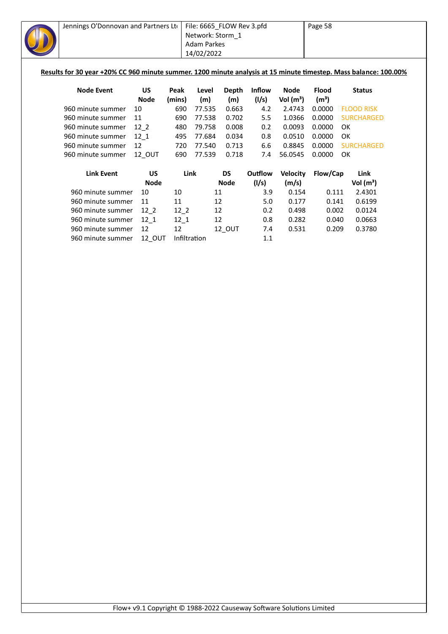| Jennings O'Donnovan and Partners Lto                                                                             |               |              |                    | File: 6665_FLOW Rev 3.pfd |               |                 | Page 58           |                   |  |
|------------------------------------------------------------------------------------------------------------------|---------------|--------------|--------------------|---------------------------|---------------|-----------------|-------------------|-------------------|--|
|                                                                                                                  |               |              | Network: Storm 1   |                           |               |                 |                   |                   |  |
|                                                                                                                  |               |              | <b>Adam Parkes</b> |                           |               |                 |                   |                   |  |
|                                                                                                                  |               |              | 14/02/2022         |                           |               |                 |                   |                   |  |
|                                                                                                                  |               |              |                    |                           |               |                 |                   |                   |  |
| Results for 30 year +20% CC 960 minute summer. 1200 minute analysis at 15 minute timestep. Mass balance: 100.00% |               |              |                    |                           |               |                 |                   |                   |  |
|                                                                                                                  |               |              |                    |                           |               |                 |                   |                   |  |
| <b>Node Event</b>                                                                                                | US            | Peak         | Level              | <b>Depth</b>              | <b>Inflow</b> | <b>Node</b>     | <b>Flood</b>      | <b>Status</b>     |  |
|                                                                                                                  | <b>Node</b>   | (mins)       | (m)                | (m)                       | (1/s)         | Vol $(m^3)$     | (m <sup>3</sup> ) |                   |  |
| 960 minute summer                                                                                                | 10            | 690          | 77.535             | 0.663                     | 4.2           | 2.4743          | 0.0000            | <b>FLOOD RISK</b> |  |
| 960 minute summer                                                                                                | 11            | 690          | 77.538             | 0.702                     | 5.5           | 1.0366          | 0.0000            | <b>SURCHARGED</b> |  |
| 960 minute summer                                                                                                | $12-2$        | 480          | 79.758             | 0.008                     | 0.2           | 0.0093          | 0.0000            | OK                |  |
| 960 minute summer                                                                                                | 12 1          | 495          | 77.684             | 0.034                     | 0.8           | 0.0510          | 0.0000            | OK                |  |
| 960 minute summer                                                                                                | 12            | 720          | 77.540             | 0.713                     | 6.6           | 0.8845          | 0.0000            | <b>SURCHARGED</b> |  |
| 960 minute summer                                                                                                | <b>12 OUT</b> | 690          | 77.539             | 0.718                     | 7.4           | 56.0545         | 0.0000            | OK                |  |
|                                                                                                                  |               |              |                    |                           |               |                 |                   |                   |  |
| <b>Link Event</b>                                                                                                | <b>US</b>     |              | Link               | <b>DS</b>                 | Outflow       | <b>Velocity</b> | Flow/Cap          | Link              |  |
|                                                                                                                  | <b>Node</b>   |              |                    | <b>Node</b>               | (1/s)         | (m/s)           |                   | Vol $(m^3)$       |  |
| 960 minute summer                                                                                                | 10            | 10           |                    | 11                        | 3.9           | 0.154           | 0.111             | 2.4301            |  |
| 960 minute summer                                                                                                | 11            | 11           |                    | 12                        | 5.0           | 0.177           | 0.141             | 0.6199            |  |
| 960 minute summer                                                                                                | $12-2$        | $12-2$       |                    | 12                        | 0.2           | 0.498           | 0.002             | 0.0124            |  |
| 960 minute summer                                                                                                | $12_{1}$      | $12-1$       |                    | 12                        | 0.8           | 0.282           | 0.040             | 0.0663            |  |
| 960 minute summer                                                                                                | 12            | 12           |                    | 12_OUT                    | 7.4           | 0.531           | 0.209             | 0.3780            |  |
| 960 minute summer                                                                                                | <b>12 OUT</b> | Infiltration |                    |                           | 1.1           |                 |                   |                   |  |
|                                                                                                                  |               |              |                    |                           |               |                 |                   |                   |  |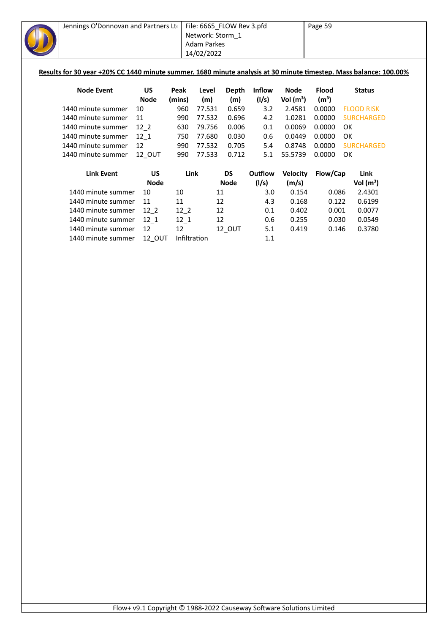| Jennings O'Donnovan and Partners Lto                                                                              |             |        |                    | File: 6665_FLOW Rev 3.pfd |               |                 | Page 59           |                   |
|-------------------------------------------------------------------------------------------------------------------|-------------|--------|--------------------|---------------------------|---------------|-----------------|-------------------|-------------------|
|                                                                                                                   |             |        | Network: Storm 1   |                           |               |                 |                   |                   |
|                                                                                                                   |             |        | <b>Adam Parkes</b> |                           |               |                 |                   |                   |
|                                                                                                                   |             |        | 14/02/2022         |                           |               |                 |                   |                   |
|                                                                                                                   |             |        |                    |                           |               |                 |                   |                   |
| Results for 30 year +20% CC 1440 minute summer. 1680 minute analysis at 30 minute timestep. Mass balance: 100.00% |             |        |                    |                           |               |                 |                   |                   |
| <b>Node Event</b>                                                                                                 | <b>US</b>   | Peak   | Level              | <b>Depth</b>              | <b>Inflow</b> | <b>Node</b>     | <b>Flood</b>      | <b>Status</b>     |
|                                                                                                                   | <b>Node</b> | (mins) | (m)                | (m)                       | (1/s)         | Vol $(m^3)$     | (m <sup>3</sup> ) |                   |
| 1440 minute summer                                                                                                | 10          | 960    | 77.531             | 0.659                     | 3.2           | 2.4581          | 0.0000            | <b>FLOOD RISK</b> |
| 1440 minute summer                                                                                                | 11          | 990    | 77.532             | 0.696                     | 4.2           | 1.0281          | 0.0000            | <b>SURCHARGED</b> |
| 1440 minute summer                                                                                                | $12-2$      | 630    | 79.756             | 0.006                     | 0.1           | 0.0069          | 0.0000            | OK                |
| 1440 minute summer                                                                                                | $12-1$      | 750    | 77.680             | 0.030                     | 0.6           | 0.0449          | 0.0000            | OK                |
| 1440 minute summer                                                                                                | 12          | 990    | 77.532             | 0.705                     | 5.4           | 0.8748          | 0.0000            | <b>SURCHARGED</b> |
| 1440 minute summer                                                                                                | 12 OUT      | 990    | 77.533             | 0.712                     | 5.1           | 55.5739         | 0.0000            | OK                |
| <b>Link Event</b>                                                                                                 | <b>US</b>   | Link   |                    | <b>DS</b>                 | Outflow       | <b>Velocity</b> | Flow/Cap          | Link              |
|                                                                                                                   | <b>Node</b> |        |                    | <b>Node</b>               | (I/s)         | (m/s)           |                   | Vol $(m^3)$       |
| 1440 minute summer                                                                                                | 10          | 10     |                    | 11                        | 3.0           | 0.154           | 0.086             | 2.4301            |
| 1440 minute summer                                                                                                | 11          | 11     |                    | 12                        | 4.3           | 0.168           | 0.122             | 0.6199            |
| 1440 minute summer                                                                                                | $12-2$      | $12-2$ |                    | 12                        | 0.1           | 0.402           | 0.001             | 0.0077            |
| 1440 minute summer                                                                                                | $12_{1}$    | $12_1$ |                    | 12                        | 0.6           | 0.255           | 0.030             | 0.0549            |
| 1440 minute summer                                                                                                | 12          | 12     |                    | 12_OUT                    | 5.1           | 0.419           | 0.146             | 0.3780            |
| 1440 minute summer                                                                                                | 12 OUT      |        | Infiltration       |                           | 1.1           |                 |                   |                   |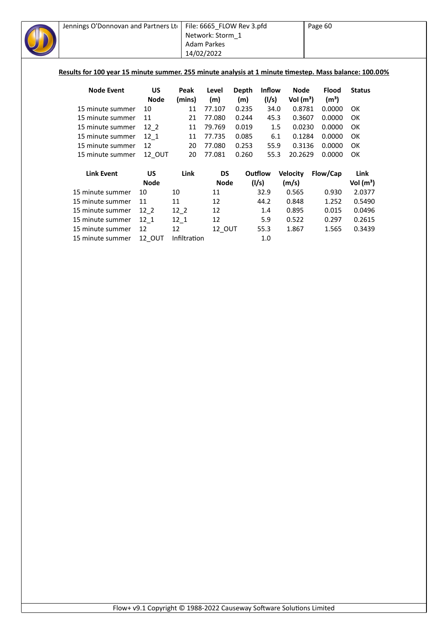| Jennings O'Donnovan and Partners Lto                                                                   |             |        | File: 6665 FLOW Rev 3.pfd<br>Network: Storm 1 |       |               |                 | Page 60           |               |
|--------------------------------------------------------------------------------------------------------|-------------|--------|-----------------------------------------------|-------|---------------|-----------------|-------------------|---------------|
|                                                                                                        |             |        | Adam Parkes                                   |       |               |                 |                   |               |
|                                                                                                        |             |        | 14/02/2022                                    |       |               |                 |                   |               |
|                                                                                                        |             |        |                                               |       |               |                 |                   |               |
| Results for 100 year 15 minute summer. 255 minute analysis at 1 minute timestep. Mass balance: 100.00% |             |        |                                               |       |               |                 |                   |               |
|                                                                                                        |             |        |                                               |       |               |                 |                   |               |
| <b>Node Event</b>                                                                                      | US          | Peak   | Level                                         | Depth | <b>Inflow</b> | Node            | <b>Flood</b>      | <b>Status</b> |
|                                                                                                        | <b>Node</b> | (mins) | (m)                                           | (m)   | (1/s)         | Vol $(m^3)$     | (m <sup>3</sup> ) |               |
| 15 minute summer                                                                                       | 10          | 11     | 77.107                                        | 0.235 | 34.0          | 0.8781          | 0.0000            | OK            |
| 15 minute summer                                                                                       | 11          | 21     | 77.080                                        | 0.244 | 45.3          | 0.3607          | 0.0000            | OK            |
| 15 minute summer                                                                                       | $12-2$      | 11     | 79.769                                        | 0.019 | 1.5           | 0.0230          | 0.0000            | OK            |
| 15 minute summer                                                                                       | 12 1        | 11     | 77.735                                        | 0.085 | 6.1           | 0.1284          | 0.0000            | OK            |
| 15 minute summer                                                                                       | 12          | 20     | 77.080                                        | 0.253 | 55.9          | 0.3136          | 0.0000            | OK            |
| 15 minute summer                                                                                       | 12 OUT      | 20     | 77.081                                        | 0.260 | 55.3          | 20.2629         | 0.0000            | OK            |
|                                                                                                        |             |        |                                               |       |               |                 |                   |               |
| <b>Link Event</b>                                                                                      | <b>US</b>   | Link   | <b>DS</b>                                     |       | Outflow       | <b>Velocity</b> | Flow/Cap          | Link          |
|                                                                                                        | <b>Node</b> |        | <b>Node</b>                                   |       | (1/s)         | (m/s)           |                   | Vol $(m^3)$   |
| 15 minute summer                                                                                       | 10          | 10     | 11                                            |       | 32.9          | 0.565           | 0.930             | 2.0377        |
| 15 minute summer                                                                                       | 11          | 11     | 12                                            |       | 44.2          | 0.848           | 1.252             | 0.5490        |
| 15 minute summer                                                                                       | $12-2$      | $12_2$ | 12                                            |       | 1.4           | 0.895           | 0.015             | 0.0496        |
| 15 minute summer                                                                                       | 12 1        | 12 1   | 12                                            |       | 5.9           | 0.522           | 0.297             | 0.2615        |

15 minute summer  $12\begin{matrix} 1 \\ 12 \end{matrix}$  12 5.9 0.522 0.297 0.2615

15 minute summer 12 12 12\_OUT 55.3 1.867 1.565 0.3439 15 minute summer 12\_OUT Infiltration 1.0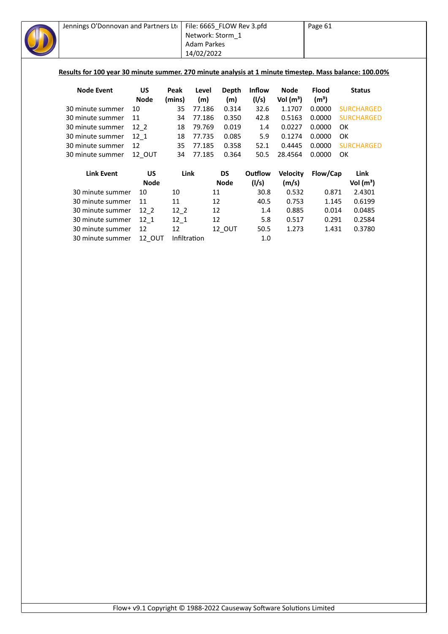| Jennings O'Donnovan and Partners Lto                                                                   |             |              | File: 6665_FLOW Rev 3.pfd |              |               |                       | Page 61                     |                   |  |
|--------------------------------------------------------------------------------------------------------|-------------|--------------|---------------------------|--------------|---------------|-----------------------|-----------------------------|-------------------|--|
|                                                                                                        |             |              | Network: Storm_1          |              |               |                       |                             |                   |  |
|                                                                                                        |             |              | <b>Adam Parkes</b>        |              |               |                       |                             |                   |  |
|                                                                                                        |             |              | 14/02/2022                |              |               |                       |                             |                   |  |
|                                                                                                        |             |              |                           |              |               |                       |                             |                   |  |
| Results for 100 year 30 minute summer. 270 minute analysis at 1 minute timestep. Mass balance: 100.00% |             |              |                           |              |               |                       |                             |                   |  |
|                                                                                                        | <b>US</b>   |              |                           |              |               |                       |                             |                   |  |
| <b>Node Event</b>                                                                                      | <b>Node</b> | Peak         | Level                     | Depth        | <b>Inflow</b> | <b>Node</b>           | <b>Flood</b>                | <b>Status</b>     |  |
| 30 minute summer                                                                                       | 10          | (mins)<br>35 | (m)<br>77.186             | (m)<br>0.314 | (I/s)<br>32.6 | Vol $(m^3)$<br>1.1707 | (m <sup>3</sup> )<br>0.0000 | <b>SURCHARGED</b> |  |
| 30 minute summer                                                                                       | 11          | 34           | 77.186                    | 0.350        | 42.8          | 0.5163                | 0.0000                      | <b>SURCHARGED</b> |  |
| 30 minute summer                                                                                       | $12-2$      | 18           | 79.769                    | 0.019        | 1.4           | 0.0227                | 0.0000                      | <b>OK</b>         |  |
|                                                                                                        |             |              |                           |              |               |                       |                             | <b>OK</b>         |  |
| 30 minute summer                                                                                       | $12_{1}$    | 18           | 77.735                    | 0.085        | 5.9           | 0.1274                | 0.0000                      |                   |  |
| 30 minute summer                                                                                       | 12          | 35           | 77.185                    | 0.358        | 52.1          | 0.4445                | 0.0000                      | <b>SURCHARGED</b> |  |
| 30 minute summer                                                                                       | 12 OUT      | 34           | 77.185                    | 0.364        | 50.5          | 28.4564               | 0.0000                      | OK                |  |
| <b>Link Event</b>                                                                                      | <b>US</b>   | Link         |                           | DS           | Outflow       | <b>Velocity</b>       | Flow/Cap                    | Link              |  |
|                                                                                                        | <b>Node</b> |              |                           | <b>Node</b>  | (1/s)         | (m/s)                 |                             | Vol $(m^3)$       |  |
| 30 minute summer                                                                                       | 10          | 10           | 11                        |              | 30.8          | 0.532                 | 0.871                       | 2.4301            |  |
| 30 minute summer                                                                                       | 11          | 11           | 12                        |              | 40.5          | 0.753                 | 1.145                       | 0.6199            |  |
| 30 minute summer                                                                                       | $12-2$      | $12-2$       | 12                        |              | 1.4           | 0.885                 | 0.014                       | 0.0485            |  |
| 30 minute summer                                                                                       | $12_1$      | $12-1$       | 12                        |              | 5.8           | 0.517                 | 0.291                       | 0.2584            |  |
| 30 minute summer                                                                                       | 12          | 12           |                           | 12_OUT       | 50.5          | 1.273                 | 1.431                       | 0.3780            |  |
| 30 minute summer                                                                                       | 12 OUT      | Infiltration |                           |              | 1.0           |                       |                             |                   |  |
|                                                                                                        |             |              |                           |              |               |                       |                             |                   |  |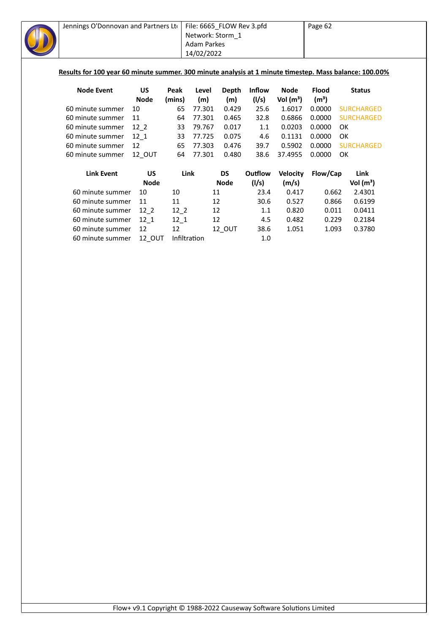| Jennings O'Donnovan and Partners Lto                                                                   |             |              |                    | File: 6665_FLOW Rev 3.pfd |               |                 | Page 62           |                   |
|--------------------------------------------------------------------------------------------------------|-------------|--------------|--------------------|---------------------------|---------------|-----------------|-------------------|-------------------|
|                                                                                                        |             |              |                    | Network: Storm_1          |               |                 |                   |                   |
|                                                                                                        |             |              | <b>Adam Parkes</b> |                           |               |                 |                   |                   |
|                                                                                                        |             |              | 14/02/2022         |                           |               |                 |                   |                   |
|                                                                                                        |             |              |                    |                           |               |                 |                   |                   |
| Results for 100 year 60 minute summer. 300 minute analysis at 1 minute timestep. Mass balance: 100.00% |             |              |                    |                           |               |                 |                   |                   |
|                                                                                                        |             |              |                    |                           |               |                 |                   |                   |
| <b>Node Event</b>                                                                                      | <b>US</b>   | Peak         | Level              | <b>Depth</b>              | <b>Inflow</b> | <b>Node</b>     | <b>Flood</b>      | <b>Status</b>     |
|                                                                                                        | <b>Node</b> | (mins)       | (m)                | (m)                       | (I/s)         | Vol $(m^3)$     | (m <sup>3</sup> ) |                   |
| 60 minute summer                                                                                       | 10          | 65           | 77.301             | 0.429                     | 25.6          | 1.6017          | 0.0000            | <b>SURCHARGED</b> |
| 60 minute summer                                                                                       | 11          | 64           | 77.301             | 0.465                     | 32.8          | 0.6866          | 0.0000            | <b>SURCHARGED</b> |
| 60 minute summer                                                                                       | $12-2$      | 33           | 79.767             | 0.017                     | 1.1           | 0.0203          | 0.0000            | 0K                |
| 60 minute summer                                                                                       | $12_{1}$    | 33           | 77.725             | 0.075                     | 4.6           | 0.1131          | 0.0000            | OK                |
| 60 minute summer                                                                                       | 12          | 65           | 77.303             | 0.476                     | 39.7          | 0.5902          | 0.0000            | <b>SURCHARGED</b> |
| 60 minute summer                                                                                       | 12_OUT      | 64           | 77.301             | 0.480                     | 38.6          | 37.4955         | 0.0000            | <b>OK</b>         |
|                                                                                                        |             |              |                    |                           |               |                 |                   |                   |
| <b>Link Event</b>                                                                                      | <b>US</b>   | Link         |                    | <b>DS</b>                 | Outflow       | <b>Velocity</b> | Flow/Cap          | Link              |
|                                                                                                        | <b>Node</b> |              |                    | <b>Node</b>               | (1/s)         | (m/s)           |                   | Vol $(m^3)$       |
| 60 minute summer                                                                                       | 10          | 10           |                    | 11                        | 23.4          | 0.417           | 0.662             | 2.4301            |
| 60 minute summer                                                                                       | 11          | 11           |                    | 12                        | 30.6          | 0.527           | 0.866             | 0.6199            |
| 60 minute summer                                                                                       | $12-2$      | $12-2$       |                    | 12                        | 1.1           | 0.820           | 0.011             | 0.0411            |
| 60 minute summer                                                                                       | $12-1$      | $12_1$       |                    | 12                        | 4.5           | 0.482           | 0.229             | 0.2184            |
| 60 minute summer                                                                                       | 12          | 12           |                    | 12_OUT                    | 38.6          | 1.051           | 1.093             | 0.3780            |
| 60 minute summer                                                                                       | 12_OUT      | Infiltration |                    |                           | 1.0           |                 |                   |                   |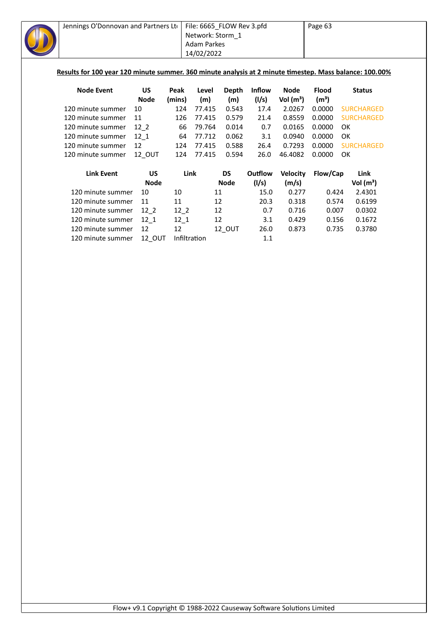| Jennings O'Donnovan and Partners Ltd                                                                    |             |        | File: 6665_FLOW Rev 3.pfd |              |               | Page 63         |                   |                   |
|---------------------------------------------------------------------------------------------------------|-------------|--------|---------------------------|--------------|---------------|-----------------|-------------------|-------------------|
|                                                                                                         |             |        | Network: Storm_1          |              |               |                 |                   |                   |
|                                                                                                         |             |        | <b>Adam Parkes</b>        |              |               |                 |                   |                   |
|                                                                                                         |             |        | 14/02/2022                |              |               |                 |                   |                   |
|                                                                                                         |             |        |                           |              |               |                 |                   |                   |
| Results for 100 year 120 minute summer. 360 minute analysis at 2 minute timestep. Mass balance: 100.00% |             |        |                           |              |               |                 |                   |                   |
| <b>Node Event</b>                                                                                       | <b>US</b>   | Peak   | Level                     | <b>Depth</b> | <b>Inflow</b> | <b>Node</b>     | <b>Flood</b>      | <b>Status</b>     |
|                                                                                                         | <b>Node</b> | (mins) | (m)                       | (m)          | (1/s)         | Vol $(m^3)$     | (m <sup>3</sup> ) |                   |
| 120 minute summer                                                                                       | 10          | 124    | 77.415                    | 0.543        | 17.4          | 2.0267          | 0.0000            | <b>SURCHARGED</b> |
| 120 minute summer                                                                                       | 11          | 126    | 77.415                    | 0.579        | 21.4          | 0.8559          | 0.0000            | <b>SURCHARGED</b> |
| 120 minute summer                                                                                       | $12-2$      | 66     | 79.764                    | 0.014        | 0.7           | 0.0165          | 0.0000            | OK                |
| 120 minute summer                                                                                       | $12 - 1$    | 64     | 77.712                    | 0.062        | 3.1           | 0.0940          | 0.0000            | OK                |
| 120 minute summer                                                                                       | 12          | 124    | 77.415                    | 0.588        | 26.4          | 0.7293          | 0.0000            | <b>SURCHARGED</b> |
| 120 minute summer                                                                                       | 12_OUT      | 124    | 77.415                    | 0.594        | 26.0          | 46.4082         | 0.0000            | OK                |
| <b>Link Event</b>                                                                                       | <b>US</b>   | Link   |                           | <b>DS</b>    | Outflow       | <b>Velocity</b> | Flow/Cap          | Link              |
|                                                                                                         | <b>Node</b> |        |                           | <b>Node</b>  | (1/s)         | (m/s)           |                   | Vol $(m^3)$       |
| 120 minute summer                                                                                       | 10          | 10     | 11                        |              | 15.0          | 0.277           | 0.424             | 2.4301            |
| 120 minute summer                                                                                       | 11          | 11     | 12                        |              | 20.3          | 0.318           | 0.574             | 0.6199            |
| 120 minute summer                                                                                       | $12_{2}$    | $12-2$ | 12                        |              | 0.7           | 0.716           | 0.007             | 0.0302            |
| 120 minute summer                                                                                       | $12_1$      | $12-1$ | 12                        |              | 3.1           | 0.429           | 0.156             | 0.1672            |
| 120 minute summer                                                                                       | 12          | 12     |                           | 12_OUT       | 26.0          | 0.873           | 0.735             | 0.3780            |
|                                                                                                         |             |        | Infiltration              |              | $1.1\,$       |                 |                   |                   |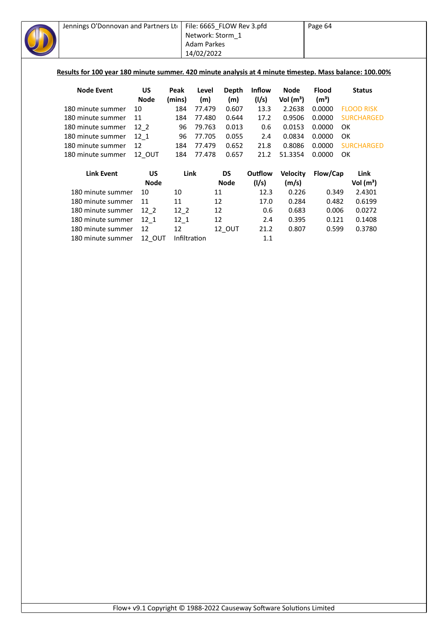| Jennings O'Donnovan and Partners Lto                                                                    |             |              | File: 6665_FLOW Rev 3.pfd |             |               | Page 64         |                   |                   |
|---------------------------------------------------------------------------------------------------------|-------------|--------------|---------------------------|-------------|---------------|-----------------|-------------------|-------------------|
|                                                                                                         |             |              | Network: Storm_1          |             |               |                 |                   |                   |
|                                                                                                         |             |              | <b>Adam Parkes</b>        |             |               |                 |                   |                   |
|                                                                                                         |             |              | 14/02/2022                |             |               |                 |                   |                   |
|                                                                                                         |             |              |                           |             |               |                 |                   |                   |
| Results for 100 year 180 minute summer. 420 minute analysis at 4 minute timestep. Mass balance: 100.00% |             |              |                           |             |               |                 |                   |                   |
| <b>Node Event</b>                                                                                       | <b>US</b>   | Peak         | Level                     | Depth       | <b>Inflow</b> | <b>Node</b>     | <b>Flood</b>      | <b>Status</b>     |
|                                                                                                         | <b>Node</b> | (mins)       | (m)                       | (m)         | (1/s)         | Vol $(m^3)$     | (m <sup>3</sup> ) |                   |
| 180 minute summer                                                                                       | 10          | 184          | 77.479                    | 0.607       | 13.3          | 2.2638          | 0.0000            | <b>FLOOD RISK</b> |
| 180 minute summer                                                                                       | 11          | 184          | 77.480                    | 0.644       | 17.2          | 0.9506          | 0.0000            | <b>SURCHARGED</b> |
| 180 minute summer                                                                                       | 12 2        | 96           | 79.763                    | 0.013       | 0.6           | 0.0153          | 0.0000            | <b>OK</b>         |
| 180 minute summer                                                                                       | $12-1$      | 96           | 77.705                    | 0.055       | 2.4           | 0.0834          | 0.0000            | OK.               |
| 180 minute summer                                                                                       | 12          | 184          | 77.479                    | 0.652       | 21.8          | 0.8086          | 0.0000            | <b>SURCHARGED</b> |
| 180 minute summer                                                                                       | 12_OUT      | 184          | 77.478                    | 0.657       | 21.2          | 51.3354         | 0.0000            | <b>OK</b>         |
| <b>Link Event</b>                                                                                       | <b>US</b>   | Link         |                           | <b>DS</b>   | Outflow       | <b>Velocity</b> | Flow/Cap          | Link              |
|                                                                                                         | <b>Node</b> |              |                           | <b>Node</b> | (1/s)         | (m/s)           |                   | Vol $(m^3)$       |
| 180 minute summer                                                                                       | 10          | 10           | 11                        |             | 12.3          | 0.226           | 0.349             | 2.4301            |
| 180 minute summer                                                                                       | 11          | 11           | 12                        |             | 17.0          | 0.284           | 0.482             | 0.6199            |
| 180 minute summer                                                                                       | $12-2$      | $12-2$       | 12                        |             | 0.6           | 0.683           | 0.006             | 0.0272            |
| 180 minute summer                                                                                       | $12-1$      | $12-1$       | 12                        |             | 2.4           | 0.395           | 0.121             | 0.1408            |
| 180 minute summer                                                                                       | 12          | 12           |                           | 12_OUT      | 21.2          | 0.807           | 0.599             | 0.3780            |
| 180 minute summer                                                                                       | 12 OUT      | Infiltration |                           |             | 1.1           |                 |                   |                   |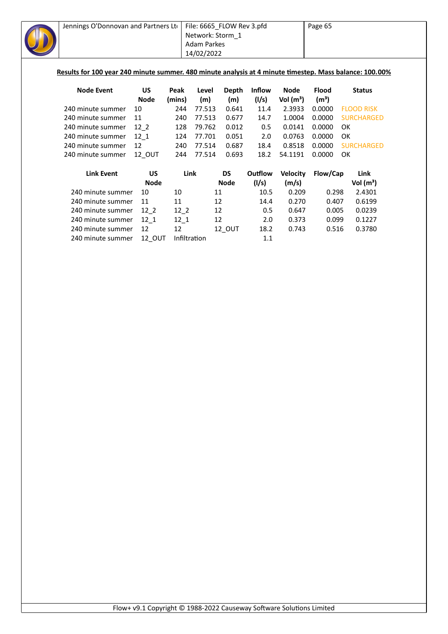| Jennings O'Donnovan and Partners Lto                                                                    |                   |             |              | File: 6665_FLOW Rev 3.pfd |             |               |                 | Page 65           |           |                   |
|---------------------------------------------------------------------------------------------------------|-------------------|-------------|--------------|---------------------------|-------------|---------------|-----------------|-------------------|-----------|-------------------|
|                                                                                                         |                   |             |              | Network: Storm_1          |             |               |                 |                   |           |                   |
|                                                                                                         |                   |             |              | <b>Adam Parkes</b>        |             |               |                 |                   |           |                   |
|                                                                                                         |                   |             |              | 14/02/2022                |             |               |                 |                   |           |                   |
|                                                                                                         |                   |             |              |                           |             |               |                 |                   |           |                   |
| Results for 100 year 240 minute summer. 480 minute analysis at 4 minute timestep. Mass balance: 100.00% |                   |             |              |                           |             |               |                 |                   |           |                   |
| <b>Node Event</b>                                                                                       |                   | <b>US</b>   | Peak         | Level                     | Depth       | <b>Inflow</b> | <b>Node</b>     | <b>Flood</b>      |           | <b>Status</b>     |
|                                                                                                         |                   | <b>Node</b> | (mins)       | (m)                       | (m)         | (1/s)         | Vol $(m^3)$     | (m <sup>3</sup> ) |           |                   |
| 240 minute summer                                                                                       |                   | 10          | 244          | 77.513                    | 0.641       | 11.4          | 2.3933          | 0.0000            |           | <b>FLOOD RISK</b> |
| 240 minute summer                                                                                       |                   | 11          | 240          | 77.513                    | 0.677       | 14.7          | 1.0004          | 0.0000            |           | <b>SURCHARGED</b> |
| 240 minute summer                                                                                       |                   | $12-2$      | 128          | 79.762                    | 0.012       | 0.5           | 0.0141          | 0.0000            | <b>OK</b> |                   |
| 240 minute summer                                                                                       |                   | $12 - 1$    | 124          | 77.701                    | 0.051       | 2.0           | 0.0763          | 0.0000            | <b>OK</b> |                   |
| 240 minute summer                                                                                       |                   | 12          | 240          | 77.514                    | 0.687       | 18.4          | 0.8518          | 0.0000            |           | <b>SURCHARGED</b> |
| 240 minute summer                                                                                       |                   | 12 OUT      | 244          | 77.514                    | 0.693       | 18.2          | 54.1191         | 0.0000            | OK        |                   |
|                                                                                                         | <b>Link Event</b> | <b>US</b>   | Link         |                           | <b>DS</b>   | Outflow       | <b>Velocity</b> | Flow/Cap          |           | Link              |
|                                                                                                         |                   | <b>Node</b> |              |                           | <b>Node</b> | (1/s)         | (m/s)           |                   |           | Vol $(m^3)$       |
|                                                                                                         | 240 minute summer | 10          | 10           | 11                        |             | 10.5          | 0.209           | 0.298             |           | 2.4301            |
|                                                                                                         | 240 minute summer | 11          | 11           | 12                        |             | 14.4          | 0.270           | 0.407             |           | 0.6199            |
|                                                                                                         | 240 minute summer | $12-2$      | $12-2$       | 12                        |             | 0.5           | 0.647           | 0.005             |           | 0.0239            |
|                                                                                                         | 240 minute summer | $12-1$      | $12 - 1$     | 12                        |             | 2.0           | 0.373           | 0.099             |           | 0.1227            |
|                                                                                                         | 240 minute summer | 12          | 12           |                           | 12_OUT      | 18.2          | 0.743           | 0.516             |           | 0.3780            |
|                                                                                                         | 240 minute summer | 12_OUT      | Infiltration |                           |             | 1.1           |                 |                   |           |                   |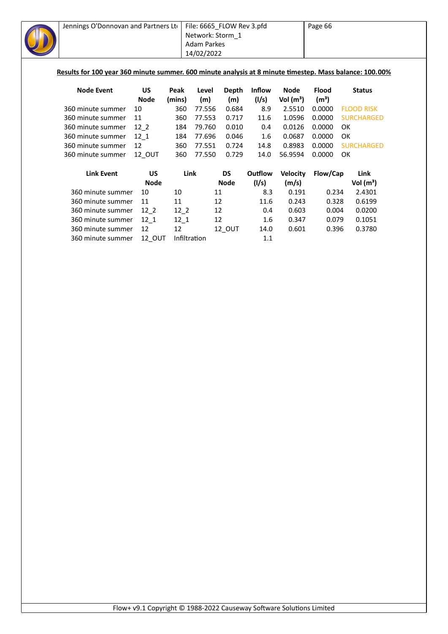| Jennings O'Donnovan and Partners Lto                                                                    |             |              | File: 6665_FLOW Rev 3.pfd |              |               |                 | Page 66           |                   |
|---------------------------------------------------------------------------------------------------------|-------------|--------------|---------------------------|--------------|---------------|-----------------|-------------------|-------------------|
|                                                                                                         |             |              | Network: Storm_1          |              |               |                 |                   |                   |
|                                                                                                         |             |              | <b>Adam Parkes</b>        |              |               |                 |                   |                   |
|                                                                                                         |             |              | 14/02/2022                |              |               |                 |                   |                   |
|                                                                                                         |             |              |                           |              |               |                 |                   |                   |
| Results for 100 year 360 minute summer. 600 minute analysis at 8 minute timestep. Mass balance: 100.00% |             |              |                           |              |               |                 |                   |                   |
| <b>Node Event</b>                                                                                       | <b>US</b>   | Peak         | Level                     | <b>Depth</b> | <b>Inflow</b> | <b>Node</b>     | <b>Flood</b>      | <b>Status</b>     |
|                                                                                                         | <b>Node</b> | (mins)       | (m)                       | (m)          | (1/s)         | Vol $(m^3)$     | (m <sup>3</sup> ) |                   |
| 360 minute summer                                                                                       | 10          | 360          | 77.556                    | 0.684        | 8.9           | 2.5510          | 0.0000            | <b>FLOOD RISK</b> |
| 360 minute summer                                                                                       | 11          | 360          | 77.553                    | 0.717        | 11.6          | 1.0596          | 0.0000            | <b>SURCHARGED</b> |
| 360 minute summer                                                                                       | $12-2$      | 184          | 79.760                    | 0.010        | 0.4           | 0.0126          | 0.0000            | <b>OK</b>         |
| 360 minute summer                                                                                       | 12 1        | 184          | 77.696                    | 0.046        | 1.6           | 0.0687          | 0.0000            | <b>OK</b>         |
| 360 minute summer                                                                                       | 12          | 360          | 77.551                    | 0.724        | 14.8          | 0.8983          | 0.0000            | <b>SURCHARGED</b> |
| 360 minute summer                                                                                       | 12_OUT      | 360          | 77.550                    | 0.729        | 14.0          | 56.9594         | 0.0000            | <b>OK</b>         |
| <b>Link Event</b>                                                                                       | <b>US</b>   | Link         |                           | <b>DS</b>    | Outflow       | <b>Velocity</b> | Flow/Cap          | Link              |
|                                                                                                         | <b>Node</b> |              |                           | <b>Node</b>  | (1/s)         | (m/s)           |                   | Vol $(m^3)$       |
| 360 minute summer                                                                                       | 10          | 10           | 11                        |              | 8.3           | 0.191           | 0.234             | 2.4301            |
| 360 minute summer                                                                                       | 11          | 11           | 12                        |              | 11.6          | 0.243           | 0.328             | 0.6199            |
| 360 minute summer                                                                                       | $12-2$      | $12-2$       | 12                        |              | 0.4           | 0.603           | 0.004             | 0.0200            |
| 360 minute summer                                                                                       | $12-1$      | $12_1$       | 12                        |              | 1.6           | 0.347           | 0.079             | 0.1051            |
| 360 minute summer                                                                                       | 12          | 12           |                           | 12_OUT       | 14.0          | 0.601           | 0.396             | 0.3780            |
| 360 minute summer                                                                                       | 12_OUT      | Infiltration |                           |              | 1.1           |                 |                   |                   |
|                                                                                                         |             |              |                           |              |               |                 |                   |                   |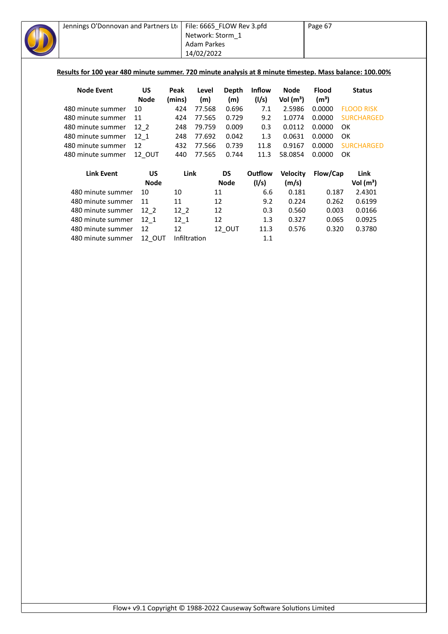| Jennings O'Donnovan and Partners Ltd                                                                    |             |              | File: 6665_FLOW Rev 3.pfd |             |               |                 | Page 67           |           |                   |  |
|---------------------------------------------------------------------------------------------------------|-------------|--------------|---------------------------|-------------|---------------|-----------------|-------------------|-----------|-------------------|--|
|                                                                                                         |             |              | Network: Storm 1          |             |               |                 |                   |           |                   |  |
|                                                                                                         |             |              | <b>Adam Parkes</b>        |             |               |                 |                   |           |                   |  |
|                                                                                                         |             |              | 14/02/2022                |             |               |                 |                   |           |                   |  |
|                                                                                                         |             |              |                           |             |               |                 |                   |           |                   |  |
| Results for 100 year 480 minute summer. 720 minute analysis at 8 minute timestep. Mass balance: 100.00% |             |              |                           |             |               |                 |                   |           |                   |  |
| <b>Node Event</b>                                                                                       | <b>US</b>   | Peak         | Level                     | Depth       | <b>Inflow</b> | <b>Node</b>     | <b>Flood</b>      |           | <b>Status</b>     |  |
|                                                                                                         | <b>Node</b> | (mins)       | (m)                       | (m)         | (1/s)         | Vol $(m^3)$     | (m <sup>3</sup> ) |           |                   |  |
| 480 minute summer                                                                                       | 10          | 424          | 77.568                    | 0.696       | 7.1           | 2.5986          | 0.0000            |           | <b>FLOOD RISK</b> |  |
| 480 minute summer                                                                                       | 11          | 424          | 77.565                    | 0.729       | 9.2           | 1.0774          | 0.0000            |           | <b>SURCHARGED</b> |  |
| 480 minute summer                                                                                       | $12-2$      | 248          | 79.759                    | 0.009       | 0.3           | 0.0112          | 0.0000            | <b>OK</b> |                   |  |
| 480 minute summer                                                                                       | 12 1        | 248          | 77.692                    | 0.042       | 1.3           | 0.0631          | 0.0000            | <b>OK</b> |                   |  |
| 480 minute summer                                                                                       | 12          | 432          | 77.566                    | 0.739       | 11.8          | 0.9167          | 0.0000            |           | <b>SURCHARGED</b> |  |
| 480 minute summer                                                                                       | 12 OUT      | 440          | 77.565                    | 0.744       | 11.3          | 58.0854         | 0.0000            | <b>OK</b> |                   |  |
| <b>Link Event</b>                                                                                       | <b>US</b>   | Link         |                           | <b>DS</b>   | Outflow       | <b>Velocity</b> | Flow/Cap          |           | Link              |  |
|                                                                                                         | <b>Node</b> |              |                           | <b>Node</b> | (1/s)         | (m/s)           |                   |           | Vol $(m^3)$       |  |
| 480 minute summer                                                                                       | 10          | 10           | 11                        |             | 6.6           | 0.181           | 0.187             |           | 2.4301            |  |
| 480 minute summer                                                                                       | 11          | 11           | 12                        |             | 9.2           | 0.224           | 0.262             |           | 0.6199            |  |
| 480 minute summer                                                                                       | $12-2$      | $12-2$       | 12                        |             | 0.3           | 0.560           | 0.003             |           | 0.0166            |  |
| 480 minute summer                                                                                       | $12_{1}$    | $12-1$       | 12                        |             | 1.3           | 0.327           | 0.065             |           | 0.0925            |  |
| 480 minute summer                                                                                       | 12          | 12           |                           | 12_OUT      | 11.3          | 0.576           | 0.320             |           | 0.3780            |  |
| 480 minute summer                                                                                       | 12_OUT      | Infiltration |                           |             | 1.1           |                 |                   |           |                   |  |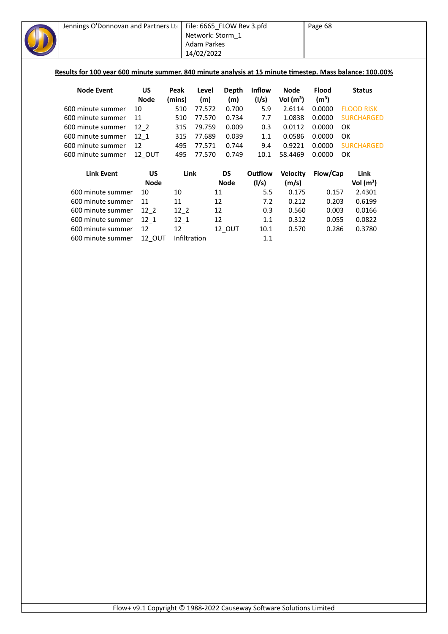| Jennings O'Donnovan and Partners Lto                                                                     |             |              | File: 6665_FLOW Rev 3.pfd |             |               |                 | Page 68           |    |                   |  |
|----------------------------------------------------------------------------------------------------------|-------------|--------------|---------------------------|-------------|---------------|-----------------|-------------------|----|-------------------|--|
|                                                                                                          |             |              | Network: Storm 1          |             |               |                 |                   |    |                   |  |
|                                                                                                          |             |              | <b>Adam Parkes</b>        |             |               |                 |                   |    |                   |  |
|                                                                                                          |             |              | 14/02/2022                |             |               |                 |                   |    |                   |  |
|                                                                                                          |             |              |                           |             |               |                 |                   |    |                   |  |
| Results for 100 year 600 minute summer. 840 minute analysis at 15 minute timestep. Mass balance: 100.00% |             |              |                           |             |               |                 |                   |    |                   |  |
| <b>Node Event</b>                                                                                        | <b>US</b>   | Peak         | Level                     | Depth       | <b>Inflow</b> | <b>Node</b>     | <b>Flood</b>      |    | <b>Status</b>     |  |
|                                                                                                          | <b>Node</b> | (mins)       | (m)                       | (m)         | (1/s)         | Vol $(m^3)$     | (m <sup>3</sup> ) |    |                   |  |
| 600 minute summer                                                                                        | 10          | 510          | 77.572                    | 0.700       | 5.9           | 2.6114          | 0.0000            |    | <b>FLOOD RISK</b> |  |
| 600 minute summer                                                                                        | 11          | 510          | 77.570                    | 0.734       | 7.7           | 1.0838          | 0.0000            |    | <b>SURCHARGED</b> |  |
| 600 minute summer                                                                                        | $12-2$      | 315          | 79.759                    | 0.009       | 0.3           | 0.0112          | 0.0000            | OK |                   |  |
| 600 minute summer                                                                                        | 12 1        | 315          | 77.689                    | 0.039       | 1.1           | 0.0586          | 0.0000            | OK |                   |  |
| 600 minute summer                                                                                        | 12          | 495          | 77.571                    | 0.744       | 9.4           | 0.9221          | 0.0000            |    | <b>SURCHARGED</b> |  |
| 600 minute summer                                                                                        | 12_OUT      | 495          | 77.570                    | 0.749       | 10.1          | 58.4469         | 0.0000            | OK |                   |  |
|                                                                                                          |             |              |                           |             |               |                 |                   |    |                   |  |
| <b>Link Event</b>                                                                                        | <b>US</b>   | Link         |                           | <b>DS</b>   | Outflow       | <b>Velocity</b> | Flow/Cap          |    | Link              |  |
|                                                                                                          | <b>Node</b> |              |                           | <b>Node</b> | (1/s)         | (m/s)           |                   |    | Vol $(m^3)$       |  |
| 600 minute summer                                                                                        | 10          | 10           | 11                        |             | 5.5           | 0.175           | 0.157             |    | 2.4301            |  |
| 600 minute summer                                                                                        | 11          | 11           | 12                        |             | 7.2           | 0.212           | 0.203             |    | 0.6199            |  |
| 600 minute summer                                                                                        | $12-2$      | $12-2$       | 12                        |             | 0.3           | 0.560           | 0.003             |    | 0.0166            |  |
| 600 minute summer                                                                                        | $12 - 1$    | $12_1$       | 12                        |             | 1.1           | 0.312           | 0.055             |    | 0.0822            |  |
| 600 minute summer                                                                                        | 12          | 12           |                           | 12_OUT      | 10.1          | 0.570           | 0.286             |    | 0.3780            |  |
| 600 minute summer                                                                                        | 12_OUT      | Infiltration |                           |             | 1.1           |                 |                   |    |                   |  |
|                                                                                                          |             |              |                           |             |               |                 |                   |    |                   |  |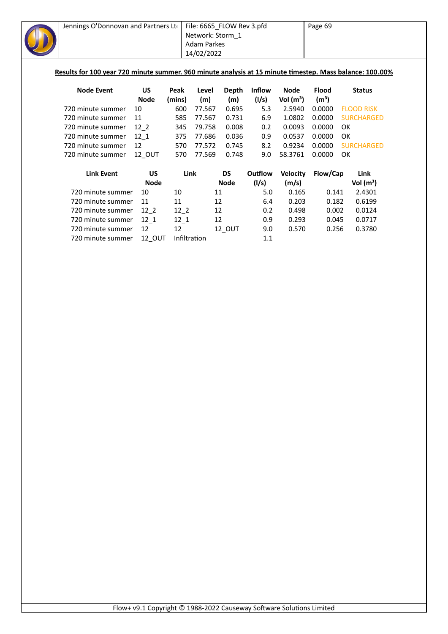| Jennings O'Donnovan and Partners Ltd |             |              | File: 6665_FLOW Rev 3.pfd<br>Network: Storm_1<br><b>Adam Parkes</b><br>14/02/2022 |             |         |                 | Page 69<br>Results for 100 year 720 minute summer. 960 minute analysis at 15 minute timestep. Mass balance: 100.00% |                   |  |  |
|--------------------------------------|-------------|--------------|-----------------------------------------------------------------------------------|-------------|---------|-----------------|---------------------------------------------------------------------------------------------------------------------|-------------------|--|--|
| <b>Node Event</b>                    | <b>US</b>   | Peak         | Level                                                                             | Depth       | Inflow  | <b>Node</b>     | <b>Flood</b>                                                                                                        | <b>Status</b>     |  |  |
|                                      | <b>Node</b> | (mins)       | (m)                                                                               | (m)         | (1/s)   | Vol $(m^3)$     | (m <sup>3</sup> )                                                                                                   |                   |  |  |
| 720 minute summer                    | 10          | 600          | 77.567                                                                            | 0.695       | 5.3     | 2.5940          | 0.0000                                                                                                              | <b>FLOOD RISK</b> |  |  |
| 720 minute summer                    | 11          | 585          | 77.567                                                                            | 0.731       | 6.9     | 1.0802          | 0.0000                                                                                                              | <b>SURCHARGED</b> |  |  |
| 720 minute summer                    | $12-2$      | 345          | 79.758                                                                            | 0.008       | 0.2     | 0.0093          | 0.0000                                                                                                              | OK                |  |  |
| 720 minute summer                    | 12 1        | 375          | 77.686                                                                            | 0.036       | 0.9     | 0.0537          | 0.0000                                                                                                              | OK                |  |  |
| 720 minute summer                    | 12          | 570          | 77.572                                                                            | 0.745       | 8.2     | 0.9234          | 0.0000                                                                                                              | <b>SURCHARGED</b> |  |  |
| 720 minute summer                    | 12 OUT      | 570          | 77.569                                                                            | 0.748       | 9.0     | 58.3761         | 0.0000                                                                                                              | OK                |  |  |
| <b>Link Event</b>                    | <b>US</b>   | Link         |                                                                                   | <b>DS</b>   | Outflow | <b>Velocity</b> | Flow/Cap                                                                                                            | Link              |  |  |
|                                      | <b>Node</b> |              |                                                                                   | <b>Node</b> | (1/s)   | (m/s)           |                                                                                                                     | Vol $(m^3)$       |  |  |
| 720 minute summer                    | 10          | 10           | 11                                                                                |             | 5.0     | 0.165           | 0.141                                                                                                               | 2.4301            |  |  |
| 720 minute summer                    | 11          | 11           | 12                                                                                |             | 6.4     | 0.203           | 0.182                                                                                                               | 0.6199            |  |  |
| 720 minute summer                    | $12-2$      | $12-2$       | 12                                                                                |             | 0.2     | 0.498           | 0.002                                                                                                               | 0.0124            |  |  |
| 720 minute summer                    | $12-1$      | $12_1$       | 12                                                                                |             | 0.9     | 0.293           | 0.045                                                                                                               | 0.0717            |  |  |
| 720 minute summer                    | 12          | 12           |                                                                                   | 12_OUT      | 9.0     | 0.570           | 0.256                                                                                                               | 0.3780            |  |  |
| 720 minute summer                    | 12 OUT      | Infiltration |                                                                                   |             | 1.1     |                 |                                                                                                                     |                   |  |  |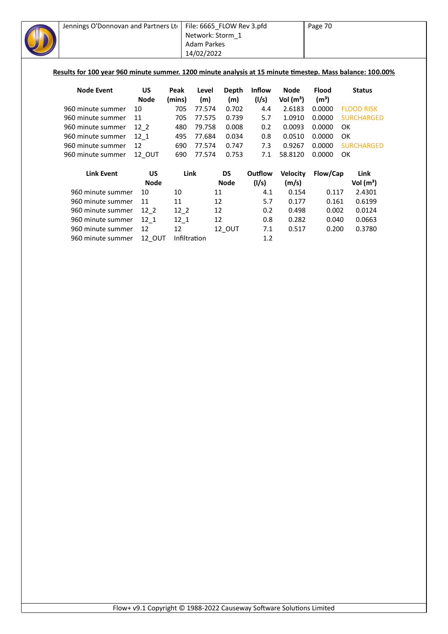| Jennings O'Donnovan and Partners Lto                                                                      |               |              | File: 6665_FLOW Rev 3.pfd<br>Network: Storm 1 |             |         |                 | Page 70           |                   |
|-----------------------------------------------------------------------------------------------------------|---------------|--------------|-----------------------------------------------|-------------|---------|-----------------|-------------------|-------------------|
|                                                                                                           |               |              | <b>Adam Parkes</b>                            |             |         |                 |                   |                   |
|                                                                                                           |               |              | 14/02/2022                                    |             |         |                 |                   |                   |
|                                                                                                           |               |              |                                               |             |         |                 |                   |                   |
| Results for 100 year 960 minute summer. 1200 minute analysis at 15 minute timestep. Mass balance: 100.00% |               |              |                                               |             |         |                 |                   |                   |
| <b>Node Event</b>                                                                                         | <b>US</b>     | Peak         | Level                                         | Depth       | Inflow  | <b>Node</b>     | <b>Flood</b>      | <b>Status</b>     |
|                                                                                                           | <b>Node</b>   | (mins)       | (m)                                           | (m)         | (1/s)   | Vol $(m^3)$     | (m <sup>3</sup> ) |                   |
| 960 minute summer                                                                                         | 10            | 705          | 77.574                                        | 0.702       | 4.4     | 2.6183          | 0.0000            | <b>FLOOD RISK</b> |
| 960 minute summer                                                                                         | 11            | 705          | 77.575                                        | 0.739       | 5.7     | 1.0910          | 0.0000            | <b>SURCHARGED</b> |
| 960 minute summer                                                                                         | $12-2$        | 480          | 79.758                                        | 0.008       | 0.2     | 0.0093          | 0.0000            | OK                |
| 960 minute summer                                                                                         | $12_{1}$      | 495          | 77.684                                        | 0.034       | 0.8     | 0.0510          | 0.0000            | OK                |
| 960 minute summer                                                                                         | 12            | 690          | 77.574                                        | 0.747       | 7.3     | 0.9267          | 0.0000            | <b>SURCHARGED</b> |
| 960 minute summer                                                                                         | 12 OUT        | 690          | 77.574                                        | 0.753       | 7.1     | 58.8120         | 0.0000            | OK                |
| <b>Link Event</b>                                                                                         | <b>US</b>     | Link         |                                               | <b>DS</b>   | Outflow | <b>Velocity</b> | Flow/Cap          | <b>Link</b>       |
|                                                                                                           | <b>Node</b>   |              |                                               | <b>Node</b> | (1/s)   | (m/s)           |                   | Vol $(m^3)$       |
| 960 minute summer                                                                                         | 10            | 10           | 11                                            |             | 4.1     | 0.154           | 0.117             | 2.4301            |
| 960 minute summer                                                                                         | 11            | 11           | 12                                            |             | 5.7     | 0.177           | 0.161             | 0.6199            |
| 960 minute summer                                                                                         | $12-2$        | $12-2$       | 12                                            |             | 0.2     | 0.498           | 0.002             | 0.0124            |
| 960 minute summer                                                                                         | $12_1$        | $12_1$       | 12                                            |             | 0.8     | 0.282           | 0.040             | 0.0663            |
| 960 minute summer                                                                                         | 12            | 12           |                                               | 12_OUT      | 7.1     | 0.517           | 0.200             | 0.3780            |
| 960 minute summer                                                                                         | <b>12 OUT</b> | Infiltration |                                               |             | 1.2     |                 |                   |                   |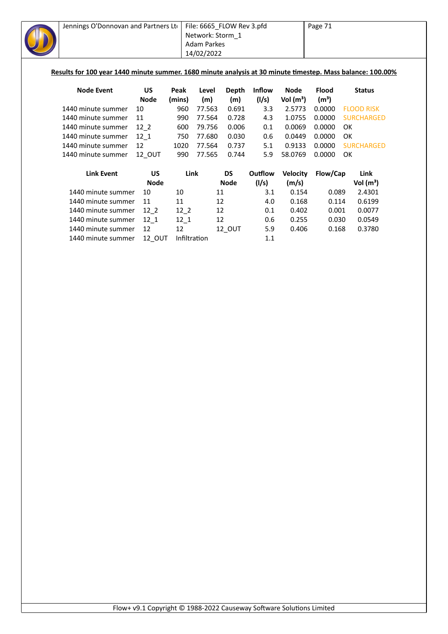| Jennings O'Donnovan and Partners Lto                                                                       |             |              | File: 6665_FLOW Rev 3.pfd |              |               |                 | Page 71           |                   |  |  |
|------------------------------------------------------------------------------------------------------------|-------------|--------------|---------------------------|--------------|---------------|-----------------|-------------------|-------------------|--|--|
|                                                                                                            |             |              | Network: Storm 1          |              |               |                 |                   |                   |  |  |
|                                                                                                            |             |              | <b>Adam Parkes</b>        |              |               |                 |                   |                   |  |  |
|                                                                                                            |             |              | 14/02/2022                |              |               |                 |                   |                   |  |  |
|                                                                                                            |             |              |                           |              |               |                 |                   |                   |  |  |
| Results for 100 year 1440 minute summer. 1680 minute analysis at 30 minute timestep. Mass balance: 100.00% |             |              |                           |              |               |                 |                   |                   |  |  |
| <b>Node Event</b>                                                                                          | <b>US</b>   | Peak         | Level                     | <b>Depth</b> | <b>Inflow</b> | <b>Node</b>     | <b>Flood</b>      | <b>Status</b>     |  |  |
|                                                                                                            | <b>Node</b> | (mins)       | (m)                       | (m)          | (1/s)         | Vol $(m^3)$     | (m <sup>3</sup> ) |                   |  |  |
| 1440 minute summer                                                                                         | 10          | 960          | 77.563                    | 0.691        | 3.3           | 2.5773          | 0.0000            | <b>FLOOD RISK</b> |  |  |
| 1440 minute summer                                                                                         | 11          | 990          | 77.564                    | 0.728        | 4.3           | 1.0755          | 0.0000            | <b>SURCHARGED</b> |  |  |
| 1440 minute summer                                                                                         | $12-2$      | 600          | 79.756                    | 0.006        | 0.1           | 0.0069          | 0.0000            | <b>OK</b>         |  |  |
| 1440 minute summer                                                                                         | $12-1$      | 750          | 77.680                    | 0.030        | 0.6           | 0.0449          | 0.0000            | <b>OK</b>         |  |  |
| 1440 minute summer                                                                                         | 12          | 1020         | 77.564                    | 0.737        | 5.1           | 0.9133          | 0.0000            | <b>SURCHARGED</b> |  |  |
| 1440 minute summer                                                                                         | 12_OUT      | 990          | 77.565                    | 0.744        | 5.9           | 58.0769         | 0.0000            | <b>OK</b>         |  |  |
| <b>Link Event</b>                                                                                          | <b>US</b>   | <b>Link</b>  |                           | <b>DS</b>    | Outflow       | <b>Velocity</b> | Flow/Cap          | Link              |  |  |
|                                                                                                            | <b>Node</b> |              |                           | <b>Node</b>  | (1/s)         | (m/s)           |                   | Vol $(m^3)$       |  |  |
| 1440 minute summer                                                                                         | 10          | 10           | 11                        |              | 3.1           | 0.154           | 0.089             | 2.4301            |  |  |
| 1440 minute summer                                                                                         | 11          | 11           | 12                        |              | 4.0           | 0.168           | 0.114             | 0.6199            |  |  |
| 1440 minute summer                                                                                         | $12-2$      | $12-2$       | 12                        |              | 0.1           | 0.402           | 0.001             | 0.0077            |  |  |
| 1440 minute summer                                                                                         | $12_1$      | $12_1$       | 12                        |              | 0.6           | 0.255           | 0.030             | 0.0549            |  |  |
| 1440 minute summer                                                                                         | 12          | 12           |                           | 12_OUT       | 5.9           | 0.406           | 0.168             | 0.3780            |  |  |
| 1440 minute summer                                                                                         | 12_OUT      | Infiltration |                           |              | 1.1           |                 |                   |                   |  |  |
|                                                                                                            |             |              |                           |              |               |                 |                   |                   |  |  |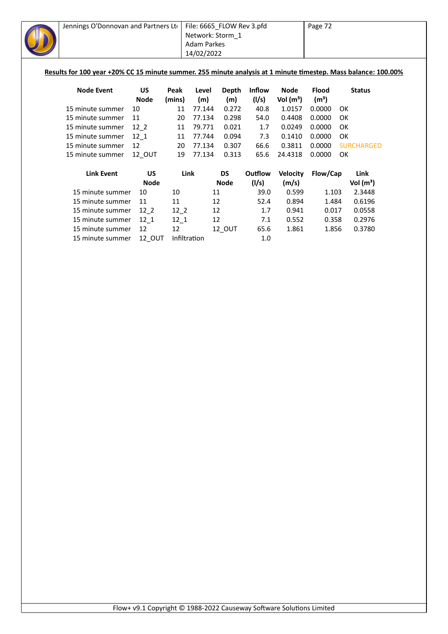| Jennings O'Donnovan and Partners Lto                                                                           |             |        | File: 6665 FLOW Rev 3.pfd |             |               |                 | Page 72           |           |                   |  |
|----------------------------------------------------------------------------------------------------------------|-------------|--------|---------------------------|-------------|---------------|-----------------|-------------------|-----------|-------------------|--|
|                                                                                                                |             |        | Network: Storm 1          |             |               |                 |                   |           |                   |  |
|                                                                                                                |             |        | <b>Adam Parkes</b>        |             |               |                 |                   |           |                   |  |
|                                                                                                                |             |        | 14/02/2022                |             |               |                 |                   |           |                   |  |
|                                                                                                                |             |        |                           |             |               |                 |                   |           |                   |  |
| Results for 100 year +20% CC 15 minute summer. 255 minute analysis at 1 minute timestep. Mass balance: 100.00% |             |        |                           |             |               |                 |                   |           |                   |  |
|                                                                                                                |             |        |                           |             |               |                 |                   |           |                   |  |
| <b>Node Event</b>                                                                                              | <b>US</b>   | Peak   | Level                     | Depth       | <b>Inflow</b> | Node            | <b>Flood</b>      |           | <b>Status</b>     |  |
|                                                                                                                | <b>Node</b> | (mins) | (m)                       | (m)         | (1/s)         | Vol $(m^3)$     | (m <sup>3</sup> ) |           |                   |  |
| 15 minute summer                                                                                               | 10          | 11     | 77.144                    | 0.272       | 40.8          | 1.0157          | 0.0000            | OK        |                   |  |
| 15 minute summer                                                                                               | 11          | 20     | 77.134                    | 0.298       | 54.0          | 0.4408          | 0.0000            | 0K        |                   |  |
| 15 minute summer                                                                                               | $12-2$      | 11     | 79.771                    | 0.021       | 1.7           | 0.0249          | 0.0000            | OK        |                   |  |
| 15 minute summer                                                                                               | 12 1        | 11     | 77.744                    | 0.094       | 7.3           | 0.1410          | 0.0000            | OK        |                   |  |
| 15 minute summer                                                                                               | 12          | 20     | 77.134                    | 0.307       | 66.6          | 0.3811          | 0.0000            |           | <b>SURCHARGED</b> |  |
| 15 minute summer                                                                                               | 12_OUT      | 19     | 77.134                    | 0.313       | 65.6          | 24.4318         | 0.0000            | <b>OK</b> |                   |  |
|                                                                                                                |             |        |                           |             |               |                 |                   |           |                   |  |
| <b>Link Event</b>                                                                                              | US          |        | Link                      | DS          | Outflow       | <b>Velocity</b> | Flow/Cap          |           | Link              |  |
|                                                                                                                | <b>Node</b> |        |                           | <b>Node</b> | (1/s)         | (m/s)           |                   |           | Vol $(m^3)$       |  |
| 15 minute summer                                                                                               | 10          | 10     | 11                        |             | 39.0          | 0.599           | 1.103             |           | 2.3448            |  |
| 15 minute summer                                                                                               | 11          | 11     | 12                        |             | 52.4          | 0.894           | 1.484             |           | 0.6196            |  |
| 15 minute summer                                                                                               | $12-2$      | $12-2$ | 12                        |             | 1.7           | 0.941           | 0.017             |           | 0.0558            |  |
| 15 minute summer                                                                                               | $12 - 1$    | $12-1$ | 12                        |             | 7.1           | 0.552           | 0.358             |           | 0.2976            |  |
| 15 minute summer                                                                                               | 12          | 12     |                           | 12_OUT      | 65.6          | 1.861           | 1.856             |           | 0.3780            |  |
| 15 minute summer                                                                                               | 12 OUT      |        | Infiltration              |             | 1.0           |                 |                   |           |                   |  |
|                                                                                                                |             |        |                           |             |               |                 |                   |           |                   |  |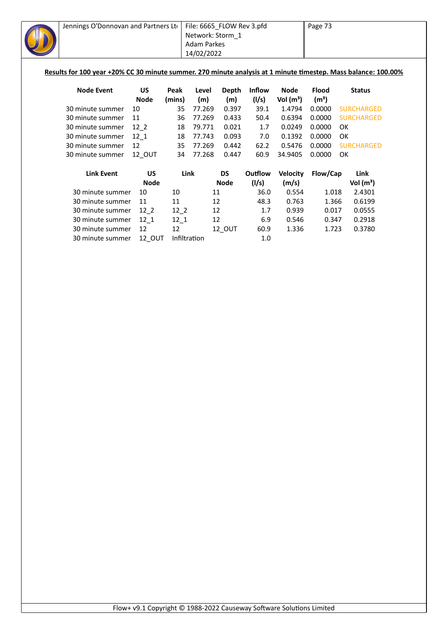| Jennings O'Donnovan and Partners Lto                                                                           |             |        | File: 6665_FLOW Rev 3.pfd<br>Network: Storm_1<br><b>Adam Parkes</b><br>14/02/2022 |              |               |             | Page 73           |    |                   |  |
|----------------------------------------------------------------------------------------------------------------|-------------|--------|-----------------------------------------------------------------------------------|--------------|---------------|-------------|-------------------|----|-------------------|--|
| Results for 100 year +20% CC 30 minute summer. 270 minute analysis at 1 minute timestep. Mass balance: 100.00% |             |        |                                                                                   |              |               |             |                   |    |                   |  |
| <b>Node Event</b>                                                                                              | US          | Peak   | Level                                                                             | <b>Depth</b> | <b>Inflow</b> | <b>Node</b> | <b>Flood</b>      |    | <b>Status</b>     |  |
|                                                                                                                | <b>Node</b> | (mins) | (m)                                                                               | (m)          | (I/s)         | Vol $(m^3)$ | (m <sup>3</sup> ) |    |                   |  |
| 30 minute summer                                                                                               | 10          | 35     | 77.269                                                                            | 0.397        | 39.1          | 1.4794      | 0.0000            |    | <b>SURCHARGED</b> |  |
| 30 minute summer                                                                                               | 11          | 36     | 77.269                                                                            | 0.433        | 50.4          | 0.6394      | 0.0000            |    | <b>SURCHARGED</b> |  |
| 30 minute summer                                                                                               | $12-2$      | 18     | 79.771                                                                            | 0.021        | 1.7           | 0.0249      | 0.0000            | OK |                   |  |
| 30 minute summer                                                                                               | $12-1$      | 18     | 77.743                                                                            | 0.093        | 7.0           | 0.1392      | 0.0000            | OK |                   |  |
| 30 minute summer                                                                                               | 12          | 35     | 77.269                                                                            | 0.442        | 62.2          | 0.5476      | 0.0000            |    | <b>SURCHARGED</b> |  |
| 30 minute summer                                                                                               | 12 OUT      | 34     | 77.268                                                                            | 0.447        | 60.9          | 34.9405     | 0.0000            | OK |                   |  |
| <b>Link Event</b>                                                                                              | <b>US</b>   |        | Link                                                                              | <b>DS</b>    | Outflow       | Velocity    | Flow/Cap          |    | Link              |  |
|                                                                                                                | <b>Node</b> |        |                                                                                   | <b>Node</b>  | (I/s)         | (m/s)       |                   |    | Vol $(m^3)$       |  |
| 30 minute summer                                                                                               | 10          | 10     |                                                                                   | 11           | 36.0          | 0.554       | 1.018             |    | 2.4301            |  |
| 30 minute summer                                                                                               | 11          | 11     |                                                                                   | 12           | 48.3          | 0.763       | 1.366             |    | 0.6199            |  |
| 30 minute summer                                                                                               | $12-2$      | $12-2$ |                                                                                   | 12           | 1.7           | 0.939       | 0.017             |    | 0.0555            |  |
| 30 minute summer                                                                                               | $12-1$      | $12_1$ |                                                                                   | 12           | 6.9           | 0.546       | 0.347             |    | 0.2918            |  |
| 30 minute summer                                                                                               | 12          | 12     |                                                                                   | 12_OUT       | 60.9          | 1.336       | 1.723             |    | 0.3780            |  |
| 30 minute summer                                                                                               | 12_OUT      |        | Infiltration                                                                      |              | 1.0           |             |                   |    |                   |  |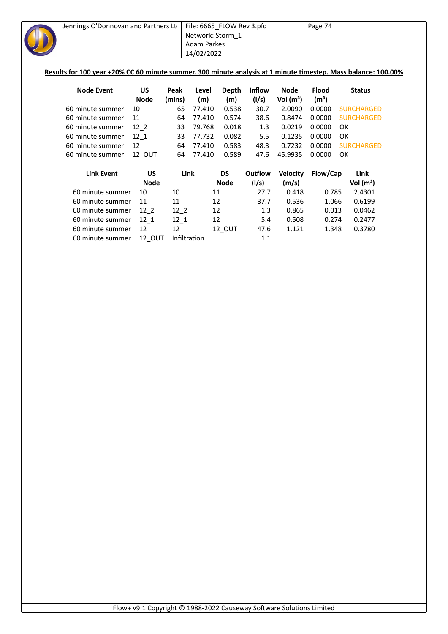| Jennings O'Donnovan and Partners Lto                                                                           |             |          | File: 6665_FLOW Rev 3.pfd |           |         |                       | Page 74           |                   |
|----------------------------------------------------------------------------------------------------------------|-------------|----------|---------------------------|-----------|---------|-----------------------|-------------------|-------------------|
|                                                                                                                |             |          | Network: Storm 1          |           |         |                       |                   |                   |
|                                                                                                                |             |          | Adam Parkes               |           |         |                       |                   |                   |
|                                                                                                                |             |          | 14/02/2022                |           |         |                       |                   |                   |
|                                                                                                                |             |          |                           |           |         |                       |                   |                   |
| Results for 100 year +20% CC 60 minute summer. 300 minute analysis at 1 minute timestep. Mass balance: 100.00% |             |          |                           |           |         |                       |                   |                   |
|                                                                                                                |             |          |                           |           |         |                       |                   |                   |
| <b>Node Event</b>                                                                                              | <b>US</b>   | Peak     | Level                     | Depth     | Inflow  | Node                  | <b>Flood</b>      | <b>Status</b>     |
|                                                                                                                | <b>Node</b> | (mins)   | (m)                       | (m)       | (1/s)   | Vol (m <sup>3</sup> ) | (m <sup>3</sup> ) |                   |
| 60 minute summer                                                                                               | 10          | 65       | 77.410                    | 0.538     | 30.7    | 2.0090                | 0.0000            | <b>SURCHARGED</b> |
| 60 minute summer                                                                                               | 11          | 64       | 77.410                    | 0.574     | 38.6    | 0.8474                | 0.0000            | <b>SURCHARGED</b> |
| 60 minute summer                                                                                               | $12-2$      | 33       | 79.768                    | 0.018     | 1.3     | 0.0219                | 0.0000            | OK                |
| 60 minute summer                                                                                               | 12 1        | 33       | 77.732                    | 0.082     | 5.5     | 0.1235                | 0.0000            | OK                |
| 60 minute summer                                                                                               | 12          | 64       | 77.410                    | 0.583     | 48.3    | 0.7232                | 0.0000            | <b>SURCHARGED</b> |
| 60 minute summer                                                                                               | 12 OUT      | 64       | 77.410                    | 0.589     | 47.6    | 45.9935               | 0.0000            | OK                |
| <b>Link Event</b>                                                                                              | <b>US</b>   | Link     |                           | <b>DS</b> | Outflow | <b>Velocity</b>       | Flow/Cap          | Link              |
|                                                                                                                | <b>Node</b> |          |                           | Node      | (1/s)   | (m/s)                 |                   | Vol $(m^3)$       |
| 60 minute summer                                                                                               | 10          | 10       | 11                        |           | 27.7    | 0.418                 | 0.785             | 2.4301            |
| 60 minute summer                                                                                               | 11          | 11       | 12                        |           | 37.7    | 0.536                 | 1.066             | 0.6199            |
| 60 minute summer                                                                                               | $12-2$      | $12-2$   | 12                        |           | 1.3     | 0.865                 | 0.013             | 0.0462            |
| 60 minute summer                                                                                               | 12 1        | $12 - 1$ | 12                        |           | 5.4     | 0.508                 | 0.274             | 0.2477            |

60 minute summer 12 12 12\_OUT 47.6 1.121 1.348 0.3780

60 minute summer 12\_OUT Infiltration 1.1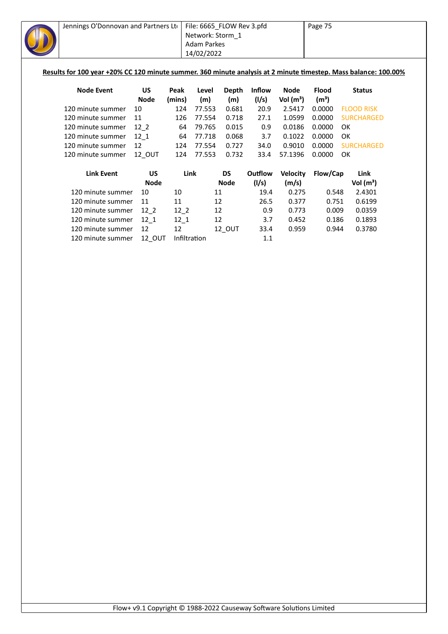| Results for 100 year +20% CC 120 minute summer. 360 minute analysis at 2 minute timestep. Mass balance: 100.00% |
|-----------------------------------------------------------------------------------------------------------------|
|                                                                                                                 |
|                                                                                                                 |
|                                                                                                                 |
|                                                                                                                 |
| <b>SURCHARGED</b>                                                                                               |
|                                                                                                                 |
|                                                                                                                 |
| <b>SURCHARGED</b>                                                                                               |
|                                                                                                                 |
|                                                                                                                 |
|                                                                                                                 |
|                                                                                                                 |
|                                                                                                                 |
|                                                                                                                 |
|                                                                                                                 |
|                                                                                                                 |
|                                                                                                                 |
|                                                                                                                 |
|                                                                                                                 |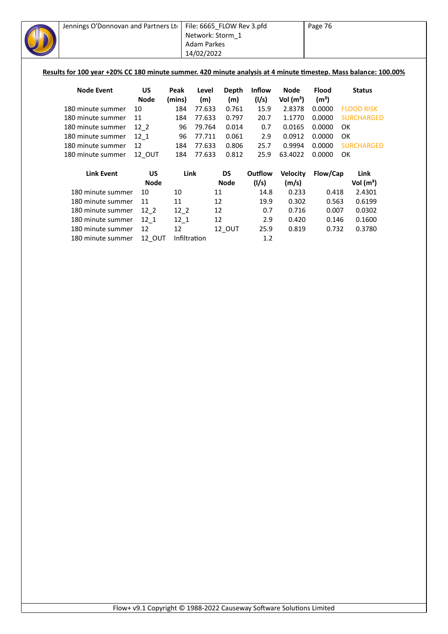| Jennings O'Donnovan and Partners Lto                                                                            |             |              |                    | File: 6665_FLOW Rev 3.pfd |               |                 | Page 76           |                   |  |
|-----------------------------------------------------------------------------------------------------------------|-------------|--------------|--------------------|---------------------------|---------------|-----------------|-------------------|-------------------|--|
|                                                                                                                 |             |              | Network: Storm 1   |                           |               |                 |                   |                   |  |
|                                                                                                                 |             |              | <b>Adam Parkes</b> |                           |               |                 |                   |                   |  |
|                                                                                                                 |             |              | 14/02/2022         |                           |               |                 |                   |                   |  |
|                                                                                                                 |             |              |                    |                           |               |                 |                   |                   |  |
| Results for 100 year +20% CC 180 minute summer. 420 minute analysis at 4 minute timestep. Mass balance: 100.00% |             |              |                    |                           |               |                 |                   |                   |  |
|                                                                                                                 |             |              |                    |                           |               |                 |                   |                   |  |
| <b>Node Event</b>                                                                                               | <b>US</b>   | Peak         | Level              | Depth                     | <b>Inflow</b> | <b>Node</b>     | <b>Flood</b>      | <b>Status</b>     |  |
|                                                                                                                 | <b>Node</b> | (mins)       | (m)                | (m)                       | (1/s)         | Vol $(m^3)$     | (m <sup>3</sup> ) |                   |  |
| 180 minute summer                                                                                               | 10          | 184          | 77.633             | 0.761                     | 15.9          | 2.8378          | 0.0000            | <b>FLOOD RISK</b> |  |
| 180 minute summer                                                                                               | 11          | 184          | 77.633             | 0.797                     | 20.7          | 1.1770          | 0.0000            | <b>SURCHARGED</b> |  |
| 180 minute summer                                                                                               | $12-2$      | 96           | 79.764             | 0.014                     | 0.7           | 0.0165          | 0.0000            | OK                |  |
| 180 minute summer                                                                                               | $12 - 1$    | 96           | 77.711             | 0.061                     | 2.9           | 0.0912          | 0.0000            | OK                |  |
| 180 minute summer                                                                                               | 12          | 184          | 77.633             | 0.806                     | 25.7          | 0.9994          | 0.0000            | <b>SURCHARGED</b> |  |
| 180 minute summer                                                                                               | 12_OUT      | 184          | 77.633             | 0.812                     | 25.9          | 63.4022         | 0.0000            | OK                |  |
|                                                                                                                 |             |              |                    |                           |               |                 |                   |                   |  |
| <b>Link Event</b>                                                                                               | <b>US</b>   | Link         |                    | <b>DS</b>                 | Outflow       | <b>Velocity</b> | Flow/Cap          | Link              |  |
|                                                                                                                 | <b>Node</b> |              |                    | <b>Node</b>               | (1/s)         | (m/s)           |                   | Vol $(m^3)$       |  |
| 180 minute summer                                                                                               | 10          | 10           |                    | 11                        | 14.8          | 0.233           | 0.418             | 2.4301            |  |
| 180 minute summer                                                                                               | 11          | 11           |                    | 12                        | 19.9          | 0.302           | 0.563             | 0.6199            |  |
| 180 minute summer                                                                                               | $12-2$      | $12-2$       |                    | 12                        | 0.7           | 0.716           | 0.007             | 0.0302            |  |
| 180 minute summer                                                                                               | $12_1$      | $12-1$       |                    | 12                        | 2.9           | 0.420           | 0.146             | 0.1600            |  |
| 180 minute summer                                                                                               | 12          | 12           |                    | 12_OUT                    | 25.9          | 0.819           | 0.732             | 0.3780            |  |
| 180 minute summer                                                                                               | 12 OUT      | Infiltration |                    |                           | 1.2           |                 |                   |                   |  |
|                                                                                                                 |             |              |                    |                           |               |                 |                   |                   |  |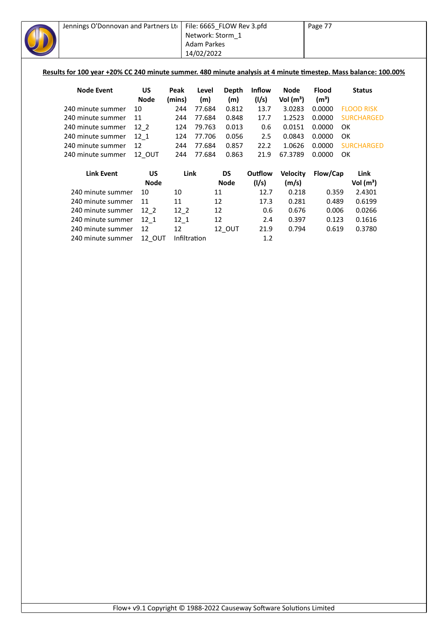| Jennings O'Donnovan and Partners Lto                                                                            |             |              | File: 6665_FLOW Rev 3.pfd |             |               |                 | Page 77           |    |                   |  |
|-----------------------------------------------------------------------------------------------------------------|-------------|--------------|---------------------------|-------------|---------------|-----------------|-------------------|----|-------------------|--|
|                                                                                                                 |             |              | Network: Storm 1          |             |               |                 |                   |    |                   |  |
|                                                                                                                 |             |              | <b>Adam Parkes</b>        |             |               |                 |                   |    |                   |  |
|                                                                                                                 |             |              | 14/02/2022                |             |               |                 |                   |    |                   |  |
|                                                                                                                 |             |              |                           |             |               |                 |                   |    |                   |  |
| Results for 100 year +20% CC 240 minute summer. 480 minute analysis at 4 minute timestep. Mass balance: 100.00% |             |              |                           |             |               |                 |                   |    |                   |  |
|                                                                                                                 |             |              |                           |             |               |                 |                   |    |                   |  |
| <b>Node Event</b>                                                                                               | US          | Peak         | Level                     | Depth       | <b>Inflow</b> | <b>Node</b>     | <b>Flood</b>      |    | <b>Status</b>     |  |
|                                                                                                                 | <b>Node</b> | (mins)       | (m)                       | (m)         | (1/s)         | Vol $(m^3)$     | (m <sup>3</sup> ) |    |                   |  |
| 240 minute summer                                                                                               | 10          | 244          | 77.684                    | 0.812       | 13.7          | 3.0283          | 0.0000            |    | <b>FLOOD RISK</b> |  |
| 240 minute summer                                                                                               | 11          | 244          | 77.684                    | 0.848       | 17.7          | 1.2523          | 0.0000            |    | <b>SURCHARGED</b> |  |
| 240 minute summer                                                                                               | $12-2$      | 124          | 79.763                    | 0.013       | 0.6           | 0.0151          | 0.0000            | OK |                   |  |
| 240 minute summer                                                                                               | $12 - 1$    | 124          | 77.706                    | 0.056       | 2.5           | 0.0843          | 0.0000            | OK |                   |  |
| 240 minute summer                                                                                               | 12          | 244          | 77.684                    | 0.857       | 22.2          | 1.0626          | 0.0000            |    | <b>SURCHARGED</b> |  |
| 240 minute summer                                                                                               | 12_OUT      | 244          | 77.684                    | 0.863       | 21.9          | 67.3789         | 0.0000            | OK |                   |  |
|                                                                                                                 |             |              |                           |             |               |                 |                   |    |                   |  |
| <b>Link Event</b>                                                                                               | US          | Link         |                           | <b>DS</b>   | Outflow       | <b>Velocity</b> | Flow/Cap          |    | Link              |  |
|                                                                                                                 | <b>Node</b> |              |                           | <b>Node</b> | (1/s)         | (m/s)           |                   |    | Vol $(m^3)$       |  |
| 240 minute summer                                                                                               | 10          | 10           | 11                        |             | 12.7          | 0.218           | 0.359             |    | 2.4301            |  |
| 240 minute summer                                                                                               | 11          | 11           | 12                        |             | 17.3          | 0.281           | 0.489             |    | 0.6199            |  |
| 240 minute summer                                                                                               | $12-2$      | $12-2$       | 12                        |             | 0.6           | 0.676           | 0.006             |    | 0.0266            |  |
| 240 minute summer                                                                                               | $12-1$      | $12-1$       | 12                        |             | 2.4           | 0.397           | 0.123             |    | 0.1616            |  |
| 240 minute summer                                                                                               | 12          | 12           |                           | 12_OUT      | 21.9          | 0.794           | 0.619             |    | 0.3780            |  |
| 240 minute summer                                                                                               | 12 OUT      | Infiltration |                           |             | 1.2           |                 |                   |    |                   |  |
|                                                                                                                 |             |              |                           |             |               |                 |                   |    |                   |  |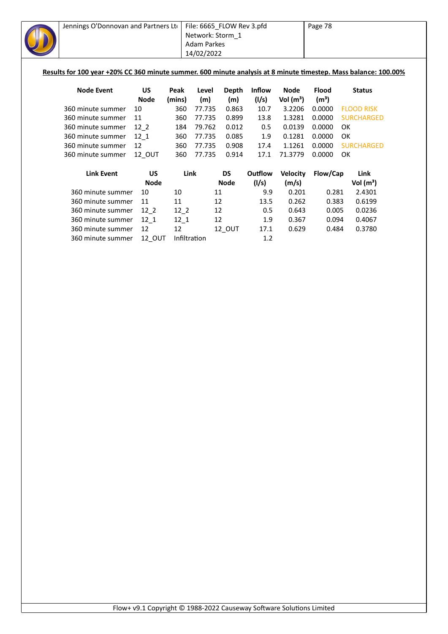| Jennings O'Donnovan and Partners Lto                                                                            |                          |               | File: 6665_FLOW Rev 3.pfd |              |                        |                            | Page 78                           |    |                   |  |
|-----------------------------------------------------------------------------------------------------------------|--------------------------|---------------|---------------------------|--------------|------------------------|----------------------------|-----------------------------------|----|-------------------|--|
|                                                                                                                 |                          |               | Network: Storm_1          |              |                        |                            |                                   |    |                   |  |
|                                                                                                                 |                          |               | Adam Parkes               |              |                        |                            |                                   |    |                   |  |
|                                                                                                                 |                          |               | 14/02/2022                |              |                        |                            |                                   |    |                   |  |
|                                                                                                                 |                          |               |                           |              |                        |                            |                                   |    |                   |  |
| Results for 100 year +20% CC 360 minute summer. 600 minute analysis at 8 minute timestep. Mass balance: 100.00% |                          |               |                           |              |                        |                            |                                   |    |                   |  |
|                                                                                                                 |                          |               |                           |              |                        |                            |                                   |    |                   |  |
| <b>Node Event</b>                                                                                               | <b>US</b><br><b>Node</b> | Peak          | Level<br>(m)              | Depth<br>(m) | <b>Inflow</b><br>(1/s) | <b>Node</b><br>Vol $(m^3)$ | <b>Flood</b><br>(m <sup>3</sup> ) |    | <b>Status</b>     |  |
| 360 minute summer                                                                                               | 10                       | (mins)<br>360 | 77.735                    | 0.863        | 10.7                   | 3.2206                     | 0.0000                            |    | <b>FLOOD RISK</b> |  |
| 360 minute summer                                                                                               | 11                       | 360           | 77.735                    | 0.899        | 13.8                   | 1.3281                     | 0.0000                            |    | <b>SURCHARGED</b> |  |
| 360 minute summer                                                                                               | $12-2$                   | 184           | 79.762                    | 0.012        | 0.5                    | 0.0139                     | 0.0000                            | OK |                   |  |
| 360 minute summer                                                                                               | $12 - 1$                 | 360           | 77.735                    | 0.085        | 1.9                    | 0.1281                     | 0.0000                            | OK |                   |  |
| 360 minute summer                                                                                               | 12                       | 360           | 77.735                    | 0.908        | 17.4                   | 1.1261                     | 0.0000                            |    | <b>SURCHARGED</b> |  |
| 360 minute summer                                                                                               | 12 OUT                   | 360           | 77.735                    | 0.914        | 17.1                   | 71.3779                    | 0.0000                            | OK |                   |  |
|                                                                                                                 |                          |               |                           |              |                        |                            |                                   |    |                   |  |
| <b>Link Event</b>                                                                                               | <b>US</b>                |               | Link                      | <b>DS</b>    | Outflow                | <b>Velocity</b>            | Flow/Cap                          |    | Link              |  |
|                                                                                                                 | <b>Node</b>              |               |                           | <b>Node</b>  | (1/s)                  | (m/s)                      |                                   |    | Vol $(m^3)$       |  |
| 360 minute summer                                                                                               | 10                       | 10            |                           | 11           | 9.9                    | 0.201                      | 0.281                             |    | 2.4301            |  |
| 360 minute summer                                                                                               | 11                       | 11            |                           | 12           | 13.5                   | 0.262                      | 0.383                             |    | 0.6199            |  |
| 360 minute summer                                                                                               | $12-2$                   | $12-2$        |                           | 12           | 0.5                    | 0.643                      | 0.005                             |    | 0.0236            |  |
| 360 minute summer                                                                                               | $12-1$                   | $12-1$        |                           | 12           | 1.9                    | 0.367                      | 0.094                             |    | 0.4067            |  |
| 360 minute summer                                                                                               | 12                       | 12            |                           | 12_OUT       | 17.1                   | 0.629                      | 0.484                             |    | 0.3780            |  |
| 360 minute summer                                                                                               | <b>12 OUT</b>            |               | Infiltration              |              | 1.2                    |                            |                                   |    |                   |  |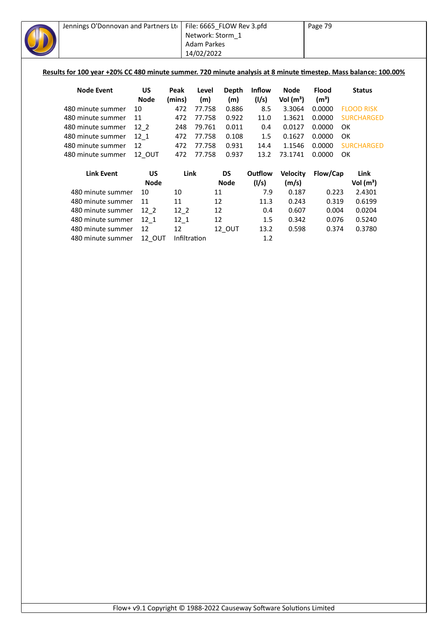| Jennings O'Donnovan and Partners Lto                                                                            |             |        | File: 6665_FLOW Rev 3.pfd |             |               |                 | Page 79           |    |                   |  |
|-----------------------------------------------------------------------------------------------------------------|-------------|--------|---------------------------|-------------|---------------|-----------------|-------------------|----|-------------------|--|
|                                                                                                                 |             |        | Network: Storm_1          |             |               |                 |                   |    |                   |  |
|                                                                                                                 |             |        | <b>Adam Parkes</b>        |             |               |                 |                   |    |                   |  |
|                                                                                                                 |             |        | 14/02/2022                |             |               |                 |                   |    |                   |  |
|                                                                                                                 |             |        |                           |             |               |                 |                   |    |                   |  |
| Results for 100 year +20% CC 480 minute summer. 720 minute analysis at 8 minute timestep. Mass balance: 100.00% |             |        |                           |             |               |                 |                   |    |                   |  |
|                                                                                                                 |             |        |                           |             |               |                 |                   |    |                   |  |
| <b>Node Event</b>                                                                                               | US          | Peak   | Level                     | Depth       | <b>Inflow</b> | Node            | <b>Flood</b>      |    | <b>Status</b>     |  |
|                                                                                                                 | <b>Node</b> | (mins) | (m)                       | (m)         | (1/s)         | Vol $(m^3)$     | (m <sup>3</sup> ) |    |                   |  |
| 480 minute summer                                                                                               | 10          | 472    | 77.758                    | 0.886       | 8.5           | 3.3064          | 0.0000            |    | <b>FLOOD RISK</b> |  |
| 480 minute summer                                                                                               | 11          | 472    | 77.758                    | 0.922       | 11.0          | 1.3621          | 0.0000            |    | <b>SURCHARGED</b> |  |
| 480 minute summer                                                                                               | $12-2$      | 248    | 79.761                    | 0.011       | 0.4           | 0.0127          | 0.0000            | OK |                   |  |
| 480 minute summer                                                                                               | 12 1        | 472    | 77.758                    | 0.108       | 1.5           | 0.1627          | 0.0000            | OK |                   |  |
| 480 minute summer                                                                                               | 12          | 472    | 77.758                    | 0.931       | 14.4          | 1.1546          | 0.0000            |    | <b>SURCHARGED</b> |  |
| 480 minute summer                                                                                               | 12_OUT      | 472    | 77.758                    | 0.937       | 13.2          | 73.1741         | 0.0000            | OK |                   |  |
|                                                                                                                 |             |        |                           |             |               |                 |                   |    |                   |  |
| <b>Link Event</b>                                                                                               | <b>US</b>   |        | Link                      | <b>DS</b>   | Outflow       | <b>Velocity</b> | Flow/Cap          |    | Link              |  |
|                                                                                                                 | <b>Node</b> |        |                           | <b>Node</b> | (1/s)         | (m/s)           |                   |    | Vol $(m^3)$       |  |
| 480 minute summer                                                                                               | 10          | 10     |                           | 11          | 7.9           | 0.187           | 0.223             |    | 2.4301            |  |
| 480 minute summer                                                                                               | 11          | 11     |                           | 12          | 11.3          | 0.243           | 0.319             |    | 0.6199            |  |
| 480 minute summer                                                                                               | $12-2$      | $12-2$ |                           | 12          | 0.4           | 0.607           | 0.004             |    | 0.0204            |  |
| 480 minute summer                                                                                               | $12-1$      | $12-1$ |                           | 12          | 1.5           | 0.342           | 0.076             |    | 0.5240            |  |
| 480 minute summer                                                                                               | 12          | 12     |                           | 12_OUT      | 13.2          | 0.598           | 0.374             |    | 0.3780            |  |
| 480 minute summer                                                                                               | 12 OUT      |        | Infiltration              |             | 1.2           |                 |                   |    |                   |  |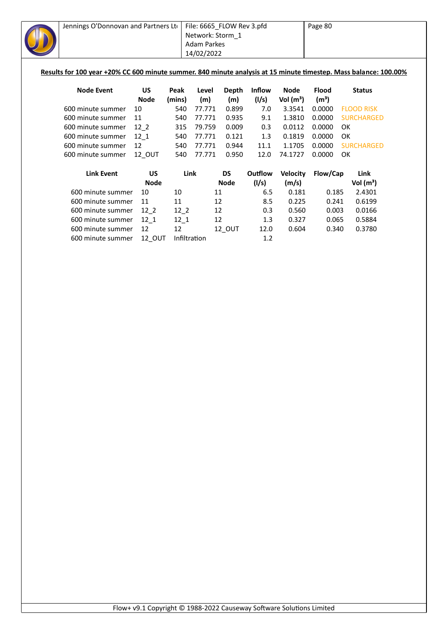| Jennings O'Donnovan and Partners Lto                                                                             |               |          | File: 6665_FLOW Rev 3.pfd |              |               |                 | Page 80           |    |                   |  |
|------------------------------------------------------------------------------------------------------------------|---------------|----------|---------------------------|--------------|---------------|-----------------|-------------------|----|-------------------|--|
|                                                                                                                  |               |          | Network: Storm 1          |              |               |                 |                   |    |                   |  |
|                                                                                                                  |               |          | <b>Adam Parkes</b>        |              |               |                 |                   |    |                   |  |
|                                                                                                                  |               |          | 14/02/2022                |              |               |                 |                   |    |                   |  |
|                                                                                                                  |               |          |                           |              |               |                 |                   |    |                   |  |
| Results for 100 year +20% CC 600 minute summer. 840 minute analysis at 15 minute timestep. Mass balance: 100.00% |               |          |                           |              |               |                 |                   |    |                   |  |
| <b>Node Event</b>                                                                                                | <b>US</b>     | Peak     | Level                     | <b>Depth</b> | <b>Inflow</b> | <b>Node</b>     | <b>Flood</b>      |    | <b>Status</b>     |  |
|                                                                                                                  | <b>Node</b>   | (mins)   | (m)                       | (m)          | (1/s)         | Vol $(m^3)$     | (m <sup>3</sup> ) |    |                   |  |
| 600 minute summer                                                                                                | 10            | 540      | 77.771                    | 0.899        | 7.0           | 3.3541          | 0.0000            |    | <b>FLOOD RISK</b> |  |
| 600 minute summer                                                                                                | 11            | 540      | 77.771                    | 0.935        | 9.1           | 1.3810          | 0.0000            |    | <b>SURCHARGED</b> |  |
| 600 minute summer                                                                                                | $12-2$        | 315      | 79.759                    | 0.009        | 0.3           | 0.0112          | 0.0000            | OK |                   |  |
| 600 minute summer                                                                                                | $12 - 1$      | 540      | 77.771                    | 0.121        | 1.3           | 0.1819          | 0.0000            | OK |                   |  |
| 600 minute summer                                                                                                | 12            | 540      | 77.771                    | 0.944        | 11.1          | 1.1705          | 0.0000            |    | <b>SURCHARGED</b> |  |
| 600 minute summer                                                                                                | 12 OUT        | 540      | 77.771                    | 0.950        | 12.0          | 74.1727         | 0.0000            | OK |                   |  |
|                                                                                                                  |               |          |                           |              |               |                 |                   |    |                   |  |
| <b>Link Event</b>                                                                                                | US            |          | Link                      | <b>DS</b>    | Outflow       | <b>Velocity</b> | Flow/Cap          |    | Link              |  |
|                                                                                                                  | <b>Node</b>   |          |                           | <b>Node</b>  | (1/s)         | (m/s)           |                   |    | Vol $(m^3)$       |  |
| 600 minute summer                                                                                                | 10            | 10       | 11                        |              | 6.5           | 0.181           | 0.185             |    | 2.4301            |  |
| 600 minute summer                                                                                                | 11            | 11       | 12                        |              | 8.5           | 0.225           | 0.241             |    | 0.6199            |  |
| 600 minute summer                                                                                                | $12-2$        | $12-2$   | 12                        |              | 0.3           | 0.560           | 0.003             |    | 0.0166            |  |
| 600 minute summer                                                                                                | $12-1$        | $12_{1}$ | 12                        |              | 1.3           | 0.327           | 0.065             |    | 0.5884            |  |
| 600 minute summer                                                                                                | 12            | 12       |                           | 12_OUT       | 12.0          | 0.604           | 0.340             |    | 0.3780            |  |
| 600 minute summer                                                                                                | <b>12 OUT</b> |          | Infiltration              |              | 1.2           |                 |                   |    |                   |  |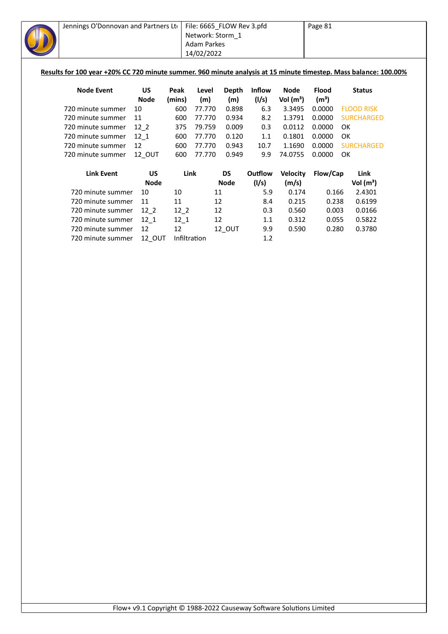| Jennings O'Donnovan and Partners Lto                                                                             |             |              | File: 6665_FLOW Rev 3.pfd |              |               |                 | Page 81           |    |                   |  |
|------------------------------------------------------------------------------------------------------------------|-------------|--------------|---------------------------|--------------|---------------|-----------------|-------------------|----|-------------------|--|
|                                                                                                                  |             |              | Network: Storm_1          |              |               |                 |                   |    |                   |  |
|                                                                                                                  |             |              | <b>Adam Parkes</b>        |              |               |                 |                   |    |                   |  |
|                                                                                                                  |             |              | 14/02/2022                |              |               |                 |                   |    |                   |  |
|                                                                                                                  |             |              |                           |              |               |                 |                   |    |                   |  |
| Results for 100 year +20% CC 720 minute summer. 960 minute analysis at 15 minute timestep. Mass balance: 100.00% |             |              |                           |              |               |                 |                   |    |                   |  |
|                                                                                                                  |             |              |                           |              |               |                 |                   |    |                   |  |
| <b>Node Event</b>                                                                                                | US          | Peak         | Level                     | <b>Depth</b> | <b>Inflow</b> | <b>Node</b>     | <b>Flood</b>      |    | <b>Status</b>     |  |
|                                                                                                                  | <b>Node</b> | (mins)       | (m)                       | (m)          | (1/s)         | Vol $(m^3)$     | (m <sup>3</sup> ) |    |                   |  |
| 720 minute summer                                                                                                | 10          | 600          | 77.770                    | 0.898        | 6.3           | 3.3495          | 0.0000            |    | <b>FLOOD RISK</b> |  |
| 720 minute summer                                                                                                | 11          | 600          | 77.770                    | 0.934        | 8.2           | 1.3791          | 0.0000            |    | <b>SURCHARGED</b> |  |
| 720 minute summer                                                                                                | $12-2$      | 375          | 79.759                    | 0.009        | 0.3           | 0.0112          | 0.0000            | OK |                   |  |
| 720 minute summer                                                                                                | $12 - 1$    | 600          | 77.770                    | 0.120        | 1.1           | 0.1801          | 0.0000            | OK |                   |  |
| 720 minute summer                                                                                                | 12          | 600          | 77.770                    | 0.943        | 10.7          | 1.1690          | 0.0000            |    | <b>SURCHARGED</b> |  |
| 720 minute summer                                                                                                | 12_OUT      | 600          | 77.770                    | 0.949        | 9.9           | 74.0755         | 0.0000            | OK |                   |  |
|                                                                                                                  |             |              |                           |              |               |                 |                   |    |                   |  |
| <b>Link Event</b>                                                                                                | <b>US</b>   |              | Link                      | <b>DS</b>    | Outflow       | <b>Velocity</b> | Flow/Cap          |    | Link              |  |
|                                                                                                                  | <b>Node</b> |              |                           | <b>Node</b>  | (1/s)         | (m/s)           |                   |    | Vol $(m^3)$       |  |
| 720 minute summer                                                                                                | 10          | 10           | 11                        |              | 5.9           | 0.174           | 0.166             |    | 2.4301            |  |
| 720 minute summer                                                                                                | 11          | 11           | 12                        |              | 8.4           | 0.215           | 0.238             |    | 0.6199            |  |
| 720 minute summer                                                                                                | $12-2$      | $12-2$       | 12                        |              | 0.3           | 0.560           | 0.003             |    | 0.0166            |  |
| 720 minute summer                                                                                                | $12_1$      | $12-1$       | 12                        |              | 1.1           | 0.312           | 0.055             |    | 0.5822            |  |
| 720 minute summer                                                                                                | 12          | 12           |                           | 12_OUT       | 9.9           | 0.590           | 0.280             |    | 0.3780            |  |
| 720 minute summer                                                                                                | 12_OUT      | Infiltration |                           |              | 1.2           |                 |                   |    |                   |  |
|                                                                                                                  |             |              |                           |              |               |                 |                   |    |                   |  |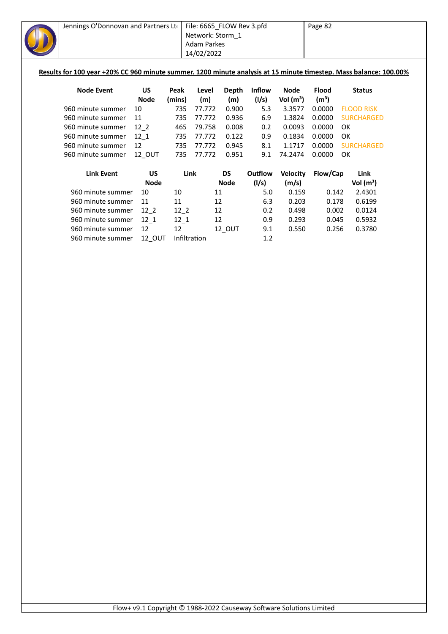| Jennings O'Donnovan and Partners Ltd                                                                              |             |              |                    | File: 6665_FLOW Rev 3.pfd |               |                 | Page 82           |    |                   |  |
|-------------------------------------------------------------------------------------------------------------------|-------------|--------------|--------------------|---------------------------|---------------|-----------------|-------------------|----|-------------------|--|
|                                                                                                                   |             |              | Network: Storm 1   |                           |               |                 |                   |    |                   |  |
|                                                                                                                   |             |              | <b>Adam Parkes</b> |                           |               |                 |                   |    |                   |  |
|                                                                                                                   |             |              | 14/02/2022         |                           |               |                 |                   |    |                   |  |
|                                                                                                                   |             |              |                    |                           |               |                 |                   |    |                   |  |
| Results for 100 year +20% CC 960 minute summer. 1200 minute analysis at 15 minute timestep. Mass balance: 100.00% |             |              |                    |                           |               |                 |                   |    |                   |  |
|                                                                                                                   |             |              |                    |                           |               |                 |                   |    |                   |  |
| <b>Node Event</b>                                                                                                 | <b>US</b>   | Peak         | Level              | <b>Depth</b>              | <b>Inflow</b> | <b>Node</b>     | <b>Flood</b>      |    | <b>Status</b>     |  |
|                                                                                                                   | <b>Node</b> | (mins)       | (m)                | (m)                       | (1/s)         | Vol $(m^3)$     | (m <sup>3</sup> ) |    |                   |  |
| 960 minute summer                                                                                                 | 10          | 735          | 77.772             | 0.900                     | 5.3           | 3.3577          | 0.0000            |    | <b>FLOOD RISK</b> |  |
| 960 minute summer                                                                                                 | 11          | 735          | 77.772             | 0.936                     | 6.9           | 1.3824          | 0.0000            |    | <b>SURCHARGED</b> |  |
| 960 minute summer                                                                                                 | $12-2$      | 465          | 79.758             | 0.008                     | 0.2           | 0.0093          | 0.0000            | OK |                   |  |
| 960 minute summer                                                                                                 | 12 1        | 735          | 77.772             | 0.122                     | 0.9           | 0.1834          | 0.0000            | OK |                   |  |
| 960 minute summer                                                                                                 | 12          | 735          | 77.772             | 0.945                     | 8.1           | 1.1717          | 0.0000            |    | <b>SURCHARGED</b> |  |
| 960 minute summer                                                                                                 | 12_OUT      | 735          | 77.772             | 0.951                     | 9.1           | 74.2474         | 0.0000            | OK |                   |  |
|                                                                                                                   |             |              |                    |                           |               |                 |                   |    |                   |  |
| <b>Link Event</b>                                                                                                 | <b>US</b>   | Link         |                    | <b>DS</b>                 | Outflow       | <b>Velocity</b> | Flow/Cap          |    | Link              |  |
|                                                                                                                   | <b>Node</b> |              |                    | <b>Node</b>               | (1/s)         | (m/s)           |                   |    | Vol $(m^3)$       |  |
| 960 minute summer                                                                                                 | 10          | 10           |                    | 11                        | 5.0           | 0.159           | 0.142             |    | 2.4301            |  |
| 960 minute summer                                                                                                 | 11          | 11           |                    | 12                        | 6.3           | 0.203           | 0.178             |    | 0.6199            |  |
| 960 minute summer                                                                                                 | $12-2$      | $12-2$       |                    | 12                        | 0.2           | 0.498           | 0.002             |    | 0.0124            |  |
| 960 minute summer                                                                                                 | $12_{1}$    | $12-1$       |                    | 12                        | 0.9           | 0.293           | 0.045             |    | 0.5932            |  |
| 960 minute summer                                                                                                 | 12          | 12           |                    | 12_OUT                    | 9.1           | 0.550           | 0.256             |    | 0.3780            |  |
| 960 minute summer                                                                                                 | 12 OUT      | Infiltration |                    |                           | 1.2           |                 |                   |    |                   |  |
|                                                                                                                   |             |              |                    |                           |               |                 |                   |    |                   |  |